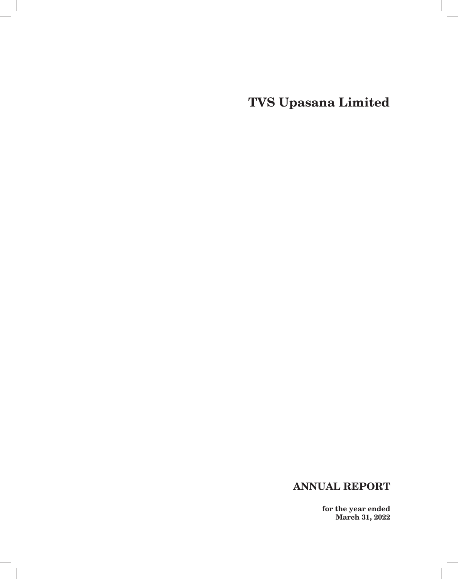# **ANNUAL REPORT**

 $\overline{\phantom{a}}$ 

**for the year ended March 31, 2022**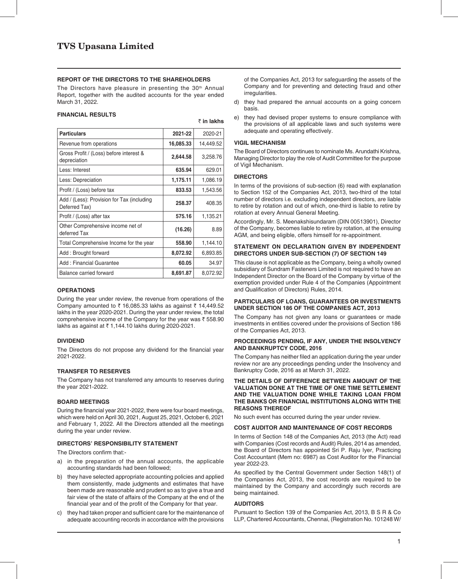### **REPORT OF THE DIRECTORS TO THE SHAREHOLDERS**

The Directors have pleasure in presenting the 30<sup>th</sup> Annual Report, together with the audited accounts for the year ended March 31, 2022.

## **FINANCIAL RESULTS**

` **in lakhs**

| <b>Particulars</b>                                          | 2021-22   | 2020-21   |
|-------------------------------------------------------------|-----------|-----------|
| Revenue from operations                                     | 16,085.33 | 14,449.52 |
| Gross Profit / (Loss) before interest &<br>depreciation     | 2,644.58  | 3,258.76  |
| Less: Interest                                              | 635.94    | 629.01    |
| Less: Depreciation                                          | 1,175.11  | 1,086.19  |
| Profit / (Loss) before tax                                  | 833.53    | 1,543.56  |
| Add / (Less): Provision for Tax (including<br>Deferred Tax) | 258.37    | 408.35    |
| Profit / (Loss) after tax                                   | 575.16    | 1,135.21  |
| Other Comprehensive income net of<br>deferred Tax           | (16.26)   | 8.89      |
| Total Comprehensive Income for the year                     | 558.90    | 1,144.10  |
| Add: Brought forward                                        | 8,072.92  | 6,893.85  |
| Add: Financial Guarantee                                    | 60.05     | 34.97     |
| Balance carried forward                                     | 8,691.87  | 8,072.92  |

## **OPERATIONS**

During the year under review, the revenue from operations of the Company amounted to  $\bar{\tau}$  16,085.33 lakhs as against  $\bar{\tau}$  14,449.52 lakhs in the year 2020-2021. During the year under review, the total comprehensive income of the Company for the year was  $\bar{z}$  558.90 lakhs as against at ₹ 1,144.10 lakhs during 2020-2021.

#### **DIVIDEND**

The Directors do not propose any dividend for the financial year 2021-2022.

## **TRANSFER TO RESERVES**

The Company has not transferred any amounts to reserves during the year 2021-2022.

#### **BOARD MEETINGS**

During the financial year 2021-2022, there were four board meetings, which were held on April 30, 2021, August 25, 2021, October 6, 2021 and February 1, 2022. All the Directors attended all the meetings during the year under review.

## **DIRECTORS' RESPONSIBILITY STATEMENT**

The Directors confirm that:-

- a) in the preparation of the annual accounts, the applicable accounting standards had been followed;
- b) they have selected appropriate accounting policies and applied them consistently, made judgments and estimates that have been made are reasonable and prudent so as to give a true and fair view of the state of affairs of the Company at the end of the financial year and of the profit of the Company for that year.
- c) they had taken proper and sufficient care for the maintenance of adequate accounting records in accordance with the provisions

of the Companies Act, 2013 for safeguarding the assets of the Company and for preventing and detecting fraud and other irregularities.

- d) they had prepared the annual accounts on a going concern basis.
- e) they had devised proper systems to ensure compliance with the provisions of all applicable laws and such systems were adequate and operating effectively.

## **VIGIL MECHANISM**

The Board of Directors continues to nominate Ms. Arundathi Krishna, Managing Director to play the role of Audit Committee for the purpose of Vigil Mechanism.

## **DIRECTORS**

In terms of the provisions of sub-section (6) read with explanation to Section 152 of the Companies Act, 2013, two-third of the total number of directors i.e. excluding independent directors, are liable to retire by rotation and out of which, one-third is liable to retire by rotation at every Annual General Meeting.

Accordingly, Mr. S. Meenakshisundaram (DIN 00513901), Director of the Company, becomes liable to retire by rotation, at the ensuing AGM, and being eligible, offers himself for re-appointment.

## **STATEMENT ON DECLARATION GIVEN BY INDEPENDENT DIRECTORS UNDER SUB-SECTION (7) OF SECTION 149**

This clause is not applicable as the Company, being a wholly owned subsidiary of Sundram Fasteners Limited is not required to have an Independent Director on the Board of the Company by virtue of the exemption provided under Rule 4 of the Companies (Appointment and Qualification of Directors) Rules, 2014.

#### **PARTICULARS OF LOANS, GUARANTEES OR INVESTMENTS UNDER SECTION 186 OF THE COMPANIES ACT, 2013**

The Company has not given any loans or guarantees or made investments in entities covered under the provisions of Section 186 of the Companies Act, 2013.

#### **PROCEEDINGS PENDING, IF ANY, UNDER THE INSOLVENCY AND BANKRUPTCY CODE, 2016**

The Company has neither filed an application during the year under review nor are any proceedings pending under the Insolvency and Bankruptcy Code, 2016 as at March 31, 2022.

### **THE DETAILS OF DIFFERENCE BETWEEN AMOUNT OF THE VALUATION DONE AT THE TIME OF ONE TIME SETTLEMENT AND THE VALUATION DONE WHILE TAKING LOAN FROM THE BANKS OR FINANCIAL INSTITUTIONS ALONG WITH THE REASONS THEREOF**

No such event has occurred during the year under review.

#### **COST AUDITOR AND MAINTENANCE OF COST RECORDS**

In terms of Section 148 of the Companies Act, 2013 (the Act) read with Companies (Cost records and Audit) Rules, 2014 as amended, the Board of Directors has appointed Sri P. Raju Iyer, Practicing Cost Accountant (Mem no: 6987) as Cost Auditor for the Financial year 2022-23.

As specified by the Central Government under Section 148(1) of the Companies Act, 2013, the cost records are required to be maintained by the Company and accordingly such records are being maintained.

## **AUDITORS**

Pursuant to Section 139 of the Companies Act, 2013, B S R & Co LLP, Chartered Accountants, Chennai, (Registration No. 101248 W/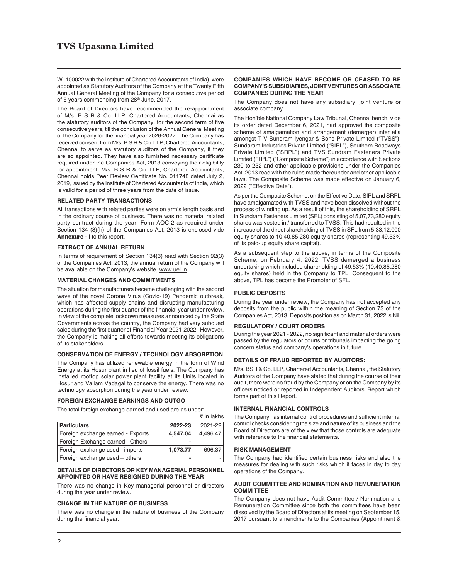W- 100022 with the Institute of Chartered Accountants of India), were appointed as Statutory Auditors of the Company at the Twenty Fifth Annual General Meeting of the Company for a consecutive period of 5 years commencing from 28<sup>th</sup> June, 2017.

The Board of Directors have recommended the re-appointment of M/s. B S R & Co. LLP, Chartered Accountants, Chennai as the statutory auditors of the Company, for the second term of five consecutive years, till the conclusion of the Annual General Meeting of the Company for the financial year 2026-2027. The Company has received consent from M/s. B S R & Co. LLP, Chartered Accountants, Chennai to serve as statutory auditors of the Company, if they are so appointed. They have also furnished necessary certificate required under the Companies Act, 2013 conveying their eligibility for appointment. M/s. B S R & Co. LLP, Chartered Accountants, Chennai holds Peer Review Certificate No. 011748 dated July 2, 2019, issued by the Institute of Chartered Accountants of India, which is valid for a period of three years from the date of issue.

### **RELATED PARTY TRANSACTIONS**

All transactions with related parties were on arm's length basis and in the ordinary course of business. There was no material related party contract during the year. Form AOC-2 as required under Section 134 (3)(h) of the Companies Act, 2013 is enclosed vide **Annexure - I** to this report.

## **EXTRACT OF ANNUAL RETURN**

In terms of requirement of Section 134(3) read with Section 92(3) of the Companies Act, 2013, the annual return of the Company will be available on the Company's website, www.uel.in.

### **MATERIAL CHANGES AND COMMITMENTS**

The situation for manufacturers became challenging with the second wave of the novel Corona Virus (Covid-19) Pandemic outbreak, which has affected supply chains and disrupting manufacturing operations during the first quarter of the financial year under review. In view of the complete lockdown measures announced by the State Governments across the country, the Company had very subdued sales during the first quarter of Financial Year 2021-2022. However, the Company is making all efforts towards meeting its obligations of its stakeholders.

#### **CONSERVATION OF ENERGY / TECHNOLOGY ABSORPTION**

The Company has utilized renewable energy in the form of Wind Energy at its Hosur plant in lieu of fossil fuels. The Company has installed rooftop solar power plant facility at its Units located in Hosur and Vallam Vadagal to conserve the energy. There was no technology absorption during the year under review.

#### **FOREIGN EXCHANGE EARNINGS AND OUTGO**

The total foreign exchange earned and used are as under:

|                                   |          | ₹ in lakhs |
|-----------------------------------|----------|------------|
| <b>Particulars</b>                | 2022-23  | 2021-22    |
| Foreign exchange earned - Exports | 4,547.04 | 4,496.47   |
| Foreign Exchange earned - Others  |          |            |
| Foreign exchange used - imports   | 1,073.77 | 696.37     |
| Foreign exchange used - others    |          |            |

## **DETAILS OF DIRECTORS OR KEY MANAGERIAL PERSONNEL APPOINTED OR HAVE RESIGNED DURING THE YEAR**

There was no change in Key managerial personnel or directors during the year under review.

#### **CHANGE IN THE NATURE OF BUSINESS**

There was no change in the nature of business of the Company during the financial year.

#### **COMPANIES WHICH HAVE BECOME OR CEASED TO BE COMPANY'S SUBSIDIARIES, JOINT VENTURES OR ASSOCIATE COMPANIES DURING THE YEAR**

The Company does not have any subsidiary, joint venture or associate company.

The Hon'ble National Company Law Tribunal, Chennai bench, vide its order dated December 6, 2021, had approved the composite scheme of amalgamation and arrangement (demerger) inter alia amongst T V Sundram Iyengar & Sons Private Limited ("TVSS"), Sundaram Industries Private Limited ("SIPL"), Southern Roadways Private Limited ("SRPL") and TVS Sundram Fasteners Private Limited ("TPL") ("Composite Scheme") in accordance with Sections 230 to 232 and other applicable provisions under the Companies Act, 2013 read with the rules made thereunder and other applicable laws. The Composite Scheme was made effective on January 6, 2022 ("Effective Date").

As per the Composite Scheme, on the Effective Date, SIPL and SRPL have amalgamated with TVSS and have been dissolved without the process of winding up. As a result of this, the shareholding of SRPL in Sundram Fasteners Limited (SFL) consisting of 5,07,73,280 equity shares was vested in / transferred to TVSS. This had resulted in the increase of the direct shareholding of TVSS in SFL from 5,33,12,000 equity shares to 10,40,85,280 equity shares (representing 49.53% of its paid-up equity share capital).

As a subsequent step to the above, in terms of the Composite Scheme, on February 4, 2022, TVSS demerged a business undertaking which included shareholding of 49.53% (10,40,85,280 equity shares) held in the Company to TPL. Consequent to the above, TPL has become the Promoter of SFL.

#### **PUBLIC DEPOSITS**

During the year under review, the Company has not accepted any deposits from the public within the meaning of Section 73 of the Companies Act, 2013. Deposits position as on March 31, 2022 is Nil.

#### **REGULATORY / COURT ORDERS**

During the year 2021 - 2022, no significant and material orders were passed by the regulators or courts or tribunals impacting the going concern status and company's operations in future.

#### **DETAILS OF FRAUD REPORTED BY AUDITORS:**

M/s. BSR & Co. LLP, Chartered Accountants, Chennai, the Statutory Auditors of the Company have stated that during the course of their audit, there were no fraud by the Company or on the Company by its officers noticed or reported in Independent Auditors' Report which forms part of this Report.

#### **INTERNAL FINANCIAL CONTROLS**

The Company has internal control procedures and sufficient internal control checks considering the size and nature of its business and the Board of Directors are of the view that those controls are adequate with reference to the financial statements.

#### **RISK MANAGEMENT**

The Company had identified certain business risks and also the measures for dealing with such risks which it faces in day to day operations of the Company.

## **AUDIT COMMITTEE AND NOMINATION AND REMUNERATION COMMITTEE**

The Company does not have Audit Committee / Nomination and Remuneration Committee since both the committees have been dissolved by the Board of Directors at its meeting on September 15, 2017 pursuant to amendments to the Companies (Appointment &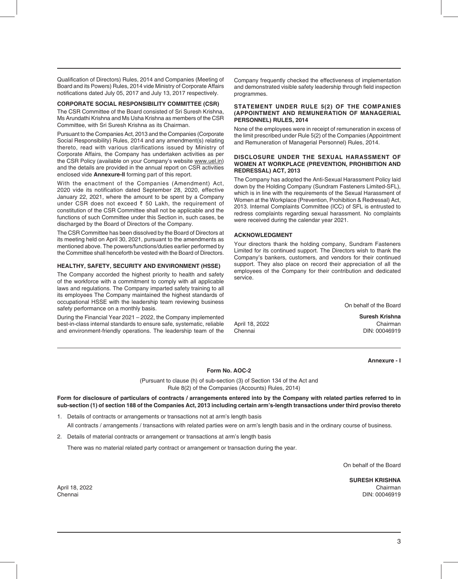Qualification of Directors) Rules, 2014 and Companies (Meeting of Board and its Powers) Rules, 2014 vide Ministry of Corporate Affairs notifications dated July 05, 2017 and July 13, 2017 respectively.

#### **CORPORATE SOCIAL RESPONSIBILITY COMMITTEE (CSR)**

The CSR Committee of the Board consisted of Sri Suresh Krishna, Ms Arundathi Krishna and Ms Usha Krishna as members of the CSR Committee, with Sri Suresh Krishna as its Chairman.

Pursuant to the Companies Act, 2013 and the Companies (Corporate Social Responsibility) Rules, 2014 and any amendment(s) relating thereto, read with various clarifications issued by Ministry of Corporate Affairs, the Company has undertaken activities as per the CSR Policy (available on your Company's website www.uel.in) and the details are provided in the annual report on CSR activities enclosed vide **Annexure-II** forming part of this report.

With the enactment of the Companies (Amendment) Act, 2020 vide its notification dated September 28, 2020, effective January 22, 2021, where the amount to be spent by a Company under CSR does not exceed  $\bar{\tau}$  50 Lakh, the requirement of constitution of the CSR Committee shall not be applicable and the functions of such Committee under this Section in, such cases, be discharged by the Board of Directors of the Company.

The CSR Committee has been dissolved by the Board of Directors at its meeting held on April 30, 2021, pursuant to the amendments as mentioned above. The powers/functions/duties earlier performed by the Committee shall henceforth be vested with the Board of Directors.

## **HEALTHY, SAFETY, SECURITY AND ENVIRONMENT (HSSE)**

The Company accorded the highest priority to health and safety of the workforce with a commitment to comply with all applicable laws and regulations. The Company imparted safety training to all its employees The Company maintained the highest standards of occupational HSSE with the leadership team reviewing business safety performance on a monthly basis.

During the Financial Year 2021 – 2022, the Company implemented best-in-class internal standards to ensure safe, systematic, reliable and environment-friendly operations. The leadership team of the

Company frequently checked the effectiveness of implementation and demonstrated visible safety leadership through field inspection programmes.

### **STATEMENT UNDER RULE 5(2) OF THE COMPANIES (APPOINTMENT AND REMUNERATION OF MANAGERIAL PERSONNEL) RULES, 2014**

None of the employees were in receipt of remuneration in excess of the limit prescribed under Rule 5(2) of the Companies (Appointment and Remuneration of Managerial Personnel) Rules, 2014.

## **DISCLOSURE UNDER THE SEXUAL HARASSMENT OF WOMEN AT WORKPLACE (PREVENTION, PROHIBITION AND REDRESSAL) ACT, 2013**

The Company has adopted the Anti-Sexual Harassment Policy laid down by the Holding Company (Sundram Fasteners Limited-SFL), which is in line with the requirements of the Sexual Harassment of Women at the Workplace (Prevention, Prohibition & Redressal) Act, 2013. Internal Complaints Committee (ICC) of SFL is entrusted to redress complaints regarding sexual harassment. No complaints were received during the calendar year 2021.

#### **ACKNOWLEDGMENT**

Your directors thank the holding company, Sundram Fasteners Limited for its continued support. The Directors wish to thank the Company's bankers, customers, and vendors for their continued support. They also place on record their appreciation of all the employees of the Company for their contribution and dedicated service.

On behalf of the Board

 **Suresh Krishna** April 18, 2022 Chairman Chennai DIN: 00046919

**Annexure - I**

## **Form No. AOC-2**

(Pursuant to clause (h) of sub-section (3) of Section 134 of the Act and Rule 8(2) of the Companies (Accounts) Rules, 2014)

**Form for disclosure of particulars of contracts / arrangements entered into by the Company with related parties referred to in sub-section (1) of section 188 of the Companies Act, 2013 including certain arm's-length transactions under third proviso thereto**

1. Details of contracts or arrangements or transactions not at arm's length basis

All contracts / arrangements / transactions with related parties were on arm's length basis and in the ordinary course of business.

2. Details of material contracts or arrangement or transactions at arm's length basis

There was no material related party contract or arrangement or transaction during the year.

On behalf of the Board

 **SURESH KRISHNA** April 18, 2022 Chairman Chennai DIN: 00046919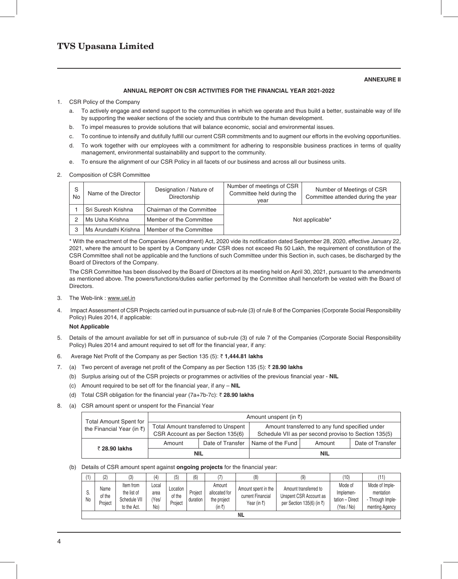## **ANNEXURE II**

## **ANNUAL REPORT ON CSR ACTIVITIES FOR THE FINANCIAL YEAR 2021-2022**

- 1. CSR Policy of the Company
	- a. To actively engage and extend support to the communities in which we operate and thus build a better, sustainable way of life by supporting the weaker sections of the society and thus contribute to the human development.
	- b. To impel measures to provide solutions that will balance economic, social and environmental issues.
	- c. To continue to intensify and dutifully fulfill our current CSR commitments and to augment our efforts in the evolving opportunities.
	- d. To work together with our employees with a commitment for adhering to responsible business practices in terms of quality management, environmental sustainability and support to the community.
	- e. To ensure the alignment of our CSR Policy in all facets of our business and across all our business units.
- 2. Composition of CSR Committee

| S<br><b>No</b> | Name of the Director | Designation / Nature of<br>Directorship | Number of meetings of CSR<br>Committee held during the<br>vear | Number of Meetings of CSR<br>Committee attended during the year |
|----------------|----------------------|-----------------------------------------|----------------------------------------------------------------|-----------------------------------------------------------------|
|                | Sri Suresh Krishna   | Chairman of the Committee               |                                                                |                                                                 |
|                | Ms Usha Krishna      | Member of the Committee                 | Not applicable*                                                |                                                                 |
|                | Ms Arundathi Krishna | Member of the Committee                 |                                                                |                                                                 |

\* With the enactment of the Companies (Amendment) Act, 2020 vide its notification dated September 28, 2020, effective January 22, 2021, where the amount to be spent by a Company under CSR does not exceed Rs 50 Lakh, the requirement of constitution of the CSR Committee shall not be applicable and the functions of such Committee under this Section in, such cases, be discharged by the Board of Directors of the Company.

 The CSR Committee has been dissolved by the Board of Directors at its meeting held on April 30, 2021, pursuant to the amendments as mentioned above. The powers/functions/duties earlier performed by the Committee shall henceforth be vested with the Board of Directors.

- 3. The Web-link : www.uel.in
- 4. Impact Assessment of CSR Projects carried out in pursuance of sub-rule (3) of rule 8 of the Companies (Corporate Social Responsibility Policy) Rules 2014, if applicable:

## **Not Applicable**

- 5. Details of the amount available for set off in pursuance of sub-rule (3) of rule 7 of the Companies (Corporate Social Responsibility Policy) Rules 2014 and amount required to set off for the financial year, if any:
- 6. Average Net Profit of the Company as per Section 135 (5): ₹1,444.81 lakhs
- 7. (a) Two percent of average net profit of the Company as per Section 135 (5): ₹ 28.90 lakhs
	- (b) Surplus arising out of the CSR projects or programmes or activities of the previous financial year **NIL**
	- (c) Amount required to be set off for the financial year, if any **NIL**
	- (d) Total CSR obligation for the financial year (7a+7b-7c): ₹ 28.90 lakhs
- 8. (a) CSR amount spent or unspent for the Financial Year

| <b>Total Amount Spent for</b>      |                                   | Amount unspent (in $\bar{z}$ )      |                                                                                                        |        |                  |  |
|------------------------------------|-----------------------------------|-------------------------------------|--------------------------------------------------------------------------------------------------------|--------|------------------|--|
| the Financial Year (in $\bar{z}$ ) | CSR Account as per Section 135(6) | Total Amount transferred to Unspent | Amount transferred to any fund specified under<br>Schedule VII as per second proviso to Section 135(5) |        |                  |  |
| ₹ 28.90 lakhs                      | Amount                            | Date of Transfer                    | Name of the Fund I                                                                                     | Amount | Date of Transfer |  |
|                                    | NIL                               |                                     | <b>NIL</b>                                                                                             |        |                  |  |

## (b) Details of CSR amount spent against **ongoing projects** for the financial year:

| (1)      | (2)                       | (3)                                                     | (4)                           | (5)                           | (6)                 |                                                          | (8)                                                              | (9)                                                                                   | (10)                                                  | (11)                                                              |  |  |  |
|----------|---------------------------|---------------------------------------------------------|-------------------------------|-------------------------------|---------------------|----------------------------------------------------------|------------------------------------------------------------------|---------------------------------------------------------------------------------------|-------------------------------------------------------|-------------------------------------------------------------------|--|--|--|
| S.<br>No | Name<br>of the<br>Project | Item from<br>the list of<br>Schedule VII<br>to the Act. | Local<br>area<br>'Yes/<br>No) | Location<br>of the<br>Project | Project<br>duration | Amount<br>allocated for<br>the project<br>$(in \bar{z})$ | Amount spent in the<br>current Financial<br>Year (in $\bar{z}$ ) | Amount transferred to<br>Unspent CSR Account as<br>per Section 135(6) (in $\bar{z}$ ) | Mode of<br>Implemen-<br>tation - Direct<br>(Yes / No) | Mode of Imple-<br>mentation<br>- Through Imple-<br>menting Agency |  |  |  |
|          | <b>NIL</b>                |                                                         |                               |                               |                     |                                                          |                                                                  |                                                                                       |                                                       |                                                                   |  |  |  |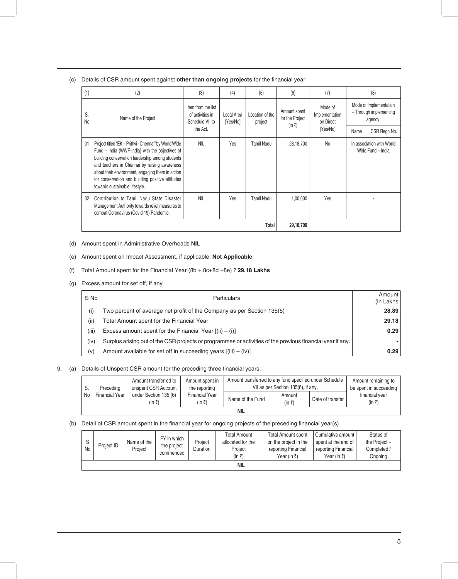|  | (c) Details of CSR amount spent against other than ongoing projects for the financial year: |  |  |  |
|--|---------------------------------------------------------------------------------------------|--|--|--|
|--|---------------------------------------------------------------------------------------------|--|--|--|

| (1)      | (2)                                                                                                                                                                                                                                                                                                                                                   | (3)                                                       | (4)                    | (5)                        | (6)                             | (7)                                    |      | (8)                                                         |
|----------|-------------------------------------------------------------------------------------------------------------------------------------------------------------------------------------------------------------------------------------------------------------------------------------------------------------------------------------------------------|-----------------------------------------------------------|------------------------|----------------------------|---------------------------------|----------------------------------------|------|-------------------------------------------------------------|
| S.<br>No | Name of the Project                                                                                                                                                                                                                                                                                                                                   | Item from the list<br>of activities in<br>Schedule VII to | Local Area<br>(Yes/No) | Location of the<br>project | Amount spent<br>for the Project | Mode of<br>Implementation<br>on Direct |      | Mode of Implementation<br>- Through implementing<br>agency. |
|          |                                                                                                                                                                                                                                                                                                                                                       | the Act.                                                  |                        |                            | (in ₹)                          | (Yes/No)                               | Name | CSR Regn No.                                                |
| 01       | Project titled "EK - Prithvi - Chennai" by World Wide<br>Fund - India (WWF-India) with the objectives of<br>building conservation leadership among students<br>and teachers in Chennai by raising awareness<br>about their environment, engaging them in action<br>for conservation and building positive attitudes<br>towards sustainable lifestyle. | <b>NIL</b>                                                | Yes                    | Tamil Nadu                 | 28,18,700                       | No                                     |      | In association with World<br>Wide Fund - India              |
| 02       | Contribution to Tamil Nadu State Disaster<br>Management Authority towards relief measures to<br>combat Coronavirus (Covid-19) Pandemic.                                                                                                                                                                                                               | <b>NIL</b>                                                | Yes                    | Tamil Nadu                 | 1,00,000                        | Yes                                    |      |                                                             |
|          |                                                                                                                                                                                                                                                                                                                                                       |                                                           |                        | Total                      | 29,18,700                       |                                        |      |                                                             |

(d) Amount spent in Administrative Overheads **NIL**

- (e) Amount spent on Impact Assessment, if applicable: **Not Applicable**
- (f) Total Amount spent for the Financial Year (8b + 8c+8d +8e) ₹ 29.18 Lakhs
- (g) Excess amount for set off, if any

| S No  | <b>Particulars</b>                                                                                         | Amount<br>(in Lakhs |
|-------|------------------------------------------------------------------------------------------------------------|---------------------|
| (i)   | Two percent of average net profit of the Company as per Section 135(5)                                     | 28.89               |
| (iii) | Total Amount spent for the Financial Year                                                                  | 29.18               |
| (iii) | Excess amount spent for the Financial Year $[(ii) - (i)]$                                                  | 0.29                |
| (iv)  | Surplus arising out of the CSR projects or programmes or activities of the previous financial year if any. |                     |
| (v)   | Amount available for set off in succeeding years $[(iii) - (iv)]$                                          | 0.29                |

# 9. (a) Details of Unspent CSR amount for the preceding three financial years:

| S.         | Preceding             | Amount transferred to<br>unspent CSR Account | Amount spent in<br>the reporting        | Amount transferred to any fund specified under Schedule | VII as per Section 135(6), if any. |                  | Amount remaining to<br>be spent in succeeding |  |  |  |
|------------|-----------------------|----------------------------------------------|-----------------------------------------|---------------------------------------------------------|------------------------------------|------------------|-----------------------------------------------|--|--|--|
| No I       | <b>Financial Year</b> | under Section 135 (6)<br>$(in \bar{z})$      | <b>Financial Year</b><br>$(in \bar{z})$ | Name of the Fund                                        | Amount<br>$(in \bar{z})$           | Date of transfer | financial year<br>$(in \bar{z})$              |  |  |  |
| <b>NIL</b> |                       |                                              |                                         |                                                         |                                    |                  |                                               |  |  |  |

(b) Detail of CSR amount spent in the financial year for ongoing projects of the preceding financial year(s)

| S<br>No | Project ID | Name of the<br>Project | FY in which<br>the project<br>commenced | Project<br>Duration | Total Amount<br>allocated for the<br>Project<br>(in ₹) | <b>Total Amount spent</b><br>on the project in the<br>reporting Financial<br>Year (in $\bar{z}$ ) | i Cumulative amount I<br>spent at the end of<br>reporting Financial<br>Year (in ₹) | Status of<br>the Project $-$<br>Completed /<br>Ongoing |  |  |
|---------|------------|------------------------|-----------------------------------------|---------------------|--------------------------------------------------------|---------------------------------------------------------------------------------------------------|------------------------------------------------------------------------------------|--------------------------------------------------------|--|--|
|         | NIL        |                        |                                         |                     |                                                        |                                                                                                   |                                                                                    |                                                        |  |  |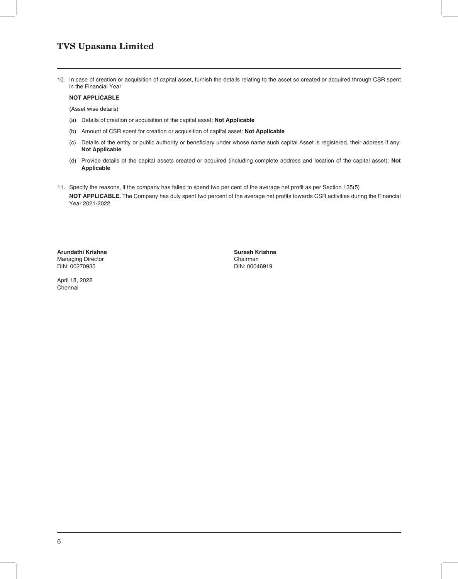10. In case of creation or acquisition of capital asset, furnish the details relating to the asset so created or acquired through CSR spent in the Financial Year

## **NOT APPLICABLE**

(Asset wise details)

- (a) Details of creation or acquisition of the capital asset: **Not Applicable**
- (b) Amount of CSR spent for creation or acquisition of capital asset: **Not Applicable**
- (c) Details of the entity or public authority or beneficiary under whose name such capital Asset is registered, their address if any: **Not Applicable**
- (d) Provide details of the capital assets created or acquired (including complete address and location of the capital asset): **Not Applicable**
- 11. Specify the reasons, if the company has failed to spend two per cent of the average net profi t as per Section 135(5) **NOT APPLICABLE.** The Company has duly spent two percent of the average net profits towards CSR activities during the Financial Year 2021-2022.

**Arundathi Krishna**<br>
Managing Director<br>
Managing Director Managing Director<br>DIN: 00270935

April 18, 2022 **Chennai** 

DIN: 00046919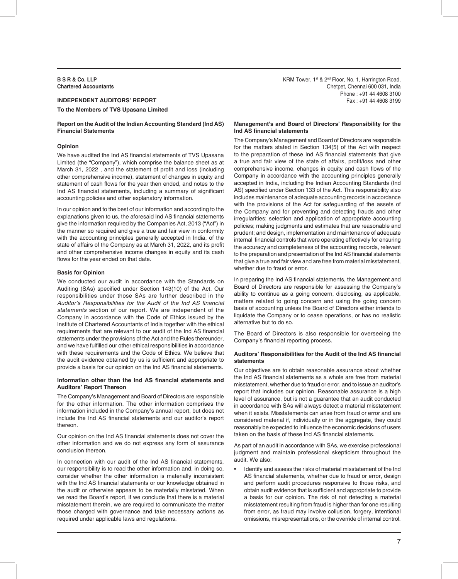**B S R & Co. LLP Chartered Accountants**

## **INDEPENDENT AUDITORS' REPORT**

**To the Members of TVS Upasana Limited**

**Report on the Audit of the Indian Accounting Standard (Ind AS) Financial Statements**

#### **Opinion**

We have audited the Ind AS financial statements of TVS Upasana Limited (the "Company"), which comprise the balance sheet as at March 31, 2022, and the statement of profit and loss (including other comprehensive income), statement of changes in equity and statement of cash flows for the year then ended, and notes to the Ind AS financial statements, including a summary of significant accounting policies and other explanatory information.

In our opinion and to the best of our information and according to the explanations given to us, the aforesaid Ind AS financial statements give the information required by the Companies Act, 2013 ("Act") in the manner so required and give a true and fair view in conformity with the accounting principles generally accepted in India, of the state of affairs of the Company as at March 31, 2022, and its profit and other comprehensive income changes in equity and its cash flows for the year ended on that date.

## **Basis for Opinion**

We conducted our audit in accordance with the Standards on Auditing (SAs) specified under Section 143(10) of the Act. Our responsibilities under those SAs are further described in the Auditor's Responsibilities for the Audit of the Ind AS financial *statements* section of our report. We are independent of the Company in accordance with the Code of Ethics issued by the Institute of Chartered Accountants of India together with the ethical requirements that are relevant to our audit of the Ind AS financial statements under the provisions of the Act and the Rules thereunder, and we have fulfilled our other ethical responsibilities in accordance with these requirements and the Code of Ethics. We believe that the audit evidence obtained by us is sufficient and appropriate to provide a basis for our opinion on the Ind AS financial statements.

## Information other than the Ind AS financial statements and **Auditors' Report Thereon**

The Company's Management and Board of Directors are responsible for the other information. The other information comprises the information included in the Company's annual report, but does not include the Ind AS financial statements and our auditor's report thereon.

Our opinion on the Ind AS financial statements does not cover the other information and we do not express any form of assurance conclusion thereon.

In connection with our audit of the Ind AS financial statements, our responsibility is to read the other information and, in doing so, consider whether the other information is materially inconsistent with the Ind AS financial statements or our knowledge obtained in the audit or otherwise appears to be materially misstated. When we read the Board's report, if we conclude that there is a material misstatement therein, we are required to communicate the matter those charged with governance and take necessary actions as required under applicable laws and regulations.

KRM Tower, 1<sup>st</sup> & 2<sup>nd</sup> Floor, No. 1, Harrington Road, Chetpet, Chennai 600 031, India Phone : +91 44 4608 3100 Fax : +91 44 4608 3199

## **Management's and Board of Directors' Responsibility for the Ind AS financial statements**

The Company's Management and Board of Directors are responsible for the matters stated in Section 134(5) of the Act with respect to the preparation of these Ind AS financial statements that give a true and fair view of the state of affairs, profit/loss and other comprehensive income, changes in equity and cash flows of the Company in accordance with the accounting principles generally accepted in India, including the Indian Accounting Standards (Ind AS) specified under Section 133 of the Act. This responsibility also includes maintenance of adequate accounting records in accordance with the provisions of the Act for safeguarding of the assets of the Company and for preventing and detecting frauds and other irregularities; selection and application of appropriate accounting policies; making judgments and estimates that are reasonable and prudent; and design, implementation and maintenance of adequate internal financial controls that were operating effectively for ensuring the accuracy and completeness of the accounting records, relevant to the preparation and presentation of the Ind AS financial statements that give a true and fair view and are free from material misstatement, whether due to fraud or error.

In preparing the Ind AS financial statements, the Management and Board of Directors are responsible for assessing the Company's ability to continue as a going concern, disclosing, as applicable, matters related to going concern and using the going concern basis of accounting unless the Board of Directors either intends to liquidate the Company or to cease operations, or has no realistic alternative but to do so.

The Board of Directors is also responsible for overseeing the Company's financial reporting process.

## Auditors' Responsibilities for the Audit of the Ind AS financial **statements**

Our objectives are to obtain reasonable assurance about whether the Ind AS financial statements as a whole are free from material misstatement, whether due to fraud or error, and to issue an auditor's report that includes our opinion. Reasonable assurance is a high level of assurance, but is not a guarantee that an audit conducted in accordance with SAs will always detect a material misstatement when it exists. Misstatements can arise from fraud or error and are considered material if, individually or in the aggregate, they could reasonably be expected to influence the economic decisions of users taken on the basis of these Ind AS financial statements.

As part of an audit in accordance with SAs, we exercise professional judgment and maintain professional skepticism throughout the audit. We also:

• Identify and assess the risks of material misstatement of the Ind AS financial statements, whether due to fraud or error, design and perform audit procedures responsive to those risks, and obtain audit evidence that is sufficient and appropriate to provide a basis for our opinion. The risk of not detecting a material misstatement resulting from fraud is higher than for one resulting from error, as fraud may involve collusion, forgery, intentional omissions, misrepresentations, or the override of internal control.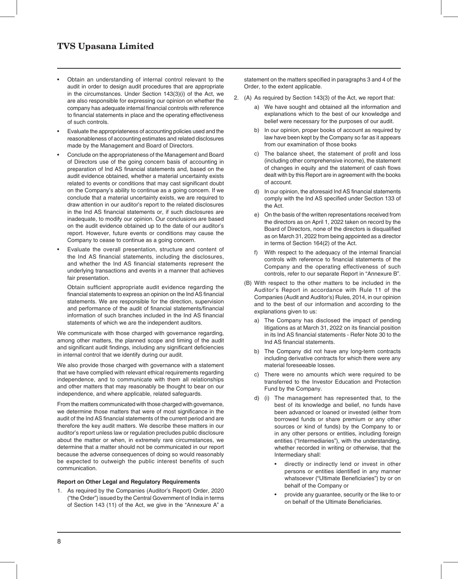- Obtain an understanding of internal control relevant to the audit in order to design audit procedures that are appropriate in the circumstances. Under Section 143(3)(i) of the Act, we are also responsible for expressing our opinion on whether the company has adequate internal financial controls with reference to financial statements in place and the operating effectiveness of such controls.
- Evaluate the appropriateness of accounting policies used and the reasonableness of accounting estimates and related disclosures made by the Management and Board of Directors.
- Conclude on the appropriateness of the Management and Board of Directors use of the going concern basis of accounting in preparation of Ind AS financial statements and, based on the audit evidence obtained, whether a material uncertainty exists related to events or conditions that may cast significant doubt on the Company's ability to continue as a going concern. If we conclude that a material uncertainty exists, we are required to draw attention in our auditor's report to the related disclosures in the Ind AS financial statements or, if such disclosures are inadequate, to modify our opinion. Our conclusions are based on the audit evidence obtained up to the date of our auditor's report. However, future events or conditions may cause the Company to cease to continue as a going concern.
- Evaluate the overall presentation, structure and content of the Ind AS financial statements, including the disclosures, and whether the Ind AS financial statements represent the underlying transactions and events in a manner that achieves fair presentation.
	- Obtain sufficient appropriate audit evidence regarding the financial statements to express an opinion on the Ind AS financial statements. We are responsible for the direction, supervision and performance of the audit of financial statements/financial information of such branches included in the Ind AS financial statements of which we are the independent auditors.

We communicate with those charged with governance regarding, among other matters, the planned scope and timing of the audit and significant audit findings, including any significant deficiencies in internal control that we identify during our audit.

We also provide those charged with governance with a statement that we have complied with relevant ethical requirements regarding independence, and to communicate with them all relationships and other matters that may reasonably be thought to bear on our independence, and where applicable, related safeguards.

From the matters communicated with those charged with governance, we determine those matters that were of most significance in the audit of the Ind AS financial statements of the current period and are therefore the key audit matters. We describe these matters in our auditor's report unless law or regulation precludes public disclosure about the matter or when, in extremely rare circumstances, we determine that a matter should not be communicated in our report because the adverse consequences of doing so would reasonably be expected to outweigh the public interest benefits of such communication.

### **Report on Other Legal and Regulatory Requirements**

1. As required by the Companies (Auditor's Report) Order, 2020 ("the Order") issued by the Central Government of India in terms of Section 143 (11) of the Act, we give in the "Annexure A" a

statement on the matters specified in paragraphs 3 and 4 of the Order, to the extent applicable.

- 2. (A) As required by Section 143(3) of the Act, we report that:
	- a) We have sought and obtained all the information and explanations which to the best of our knowledge and belief were necessary for the purposes of our audit.
	- b) In our opinion, proper books of account as required by law have been kept by the Company so far as it appears from our examination of those books
	- The balance sheet, the statement of profit and loss (including other comprehensive income), the statement of changes in equity and the statement of cash flows dealt with by this Report are in agreement with the books of account.
	- d) In our opinion, the aforesaid Ind AS financial statements comply with the Ind AS specified under Section 133 of the Act.
	- e) On the basis of the written representations received from the directors as on April 1, 2022 taken on record by the Board of Directors, none of the directors is disqualified as on March 31, 2022 from being appointed as a director in terms of Section 164(2) of the Act.
	- With respect to the adequacy of the internal financial controls with reference to financial statements of the Company and the operating effectiveness of such controls, refer to our separate Report in "Annexure B".
	- (B) With respect to the other matters to be included in the Auditor's Report in accordance with Rule 11 of the Companies (Audit and Auditor's) Rules, 2014, in our opinion and to the best of our information and according to the explanations given to us:
		- a) The Company has disclosed the impact of pending litigations as at March 31, 2022 on its financial position in its Ind AS financial statements - Refer Note 30 to the Ind AS financial statements.
		- b) The Company did not have any long-term contracts including derivative contracts for which there were any material foreseeable losses.
		- c) There were no amounts which were required to be transferred to the Investor Education and Protection Fund by the Company.
		- d) (i) The management has represented that, to the best of its knowledge and belief, no funds have been advanced or loaned or invested (either from borrowed funds or share premium or any other sources or kind of funds) by the Company to or in any other persons or entities, including foreign entities ("Intermediaries"), with the understanding, whether recorded in writing or otherwise, that the Intermediary shall:
			- directly or indirectly lend or invest in other persons or entities identified in any manner whatsoever ("Ultimate Beneficiaries") by or on behalf of the Company or
			- provide any guarantee, security or the like to or on behalf of the Ultimate Beneficiaries.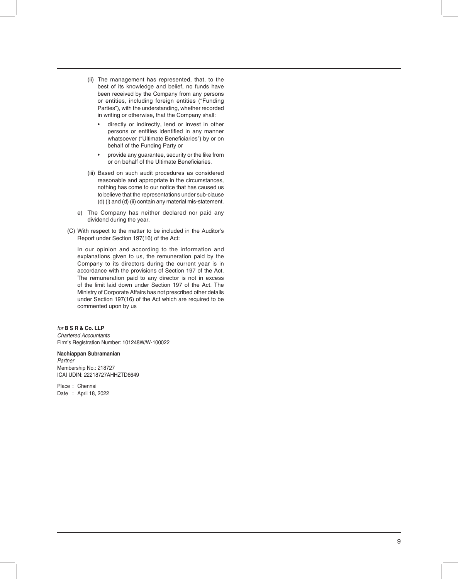- (ii) The management has represented, that, to the best of its knowledge and belief, no funds have been received by the Company from any persons or entities, including foreign entities ("Funding Parties"), with the understanding, whether recorded in writing or otherwise, that the Company shall:
	- directly or indirectly, lend or invest in other persons or entities identified in any manner whatsoever ("Ultimate Beneficiaries") by or on behalf of the Funding Party or
	- provide any guarantee, security or the like from or on behalf of the Ultimate Beneficiaries.
- (iii) Based on such audit procedures as considered reasonable and appropriate in the circumstances, nothing has come to our notice that has caused us to believe that the representations under sub-clause (d) (i) and (d) (ii) contain any material mis-statement.
- e) The Company has neither declared nor paid any dividend during the year.
- (C) With respect to the matter to be included in the Auditor's Report under Section 197(16) of the Act:

 In our opinion and according to the information and explanations given to us, the remuneration paid by the Company to its directors during the current year is in accordance with the provisions of Section 197 of the Act. The remuneration paid to any director is not in excess of the limit laid down under Section 197 of the Act. The Ministry of Corporate Affairs has not prescribed other details under Section 197(16) of the Act which are required to be commented upon by us

## *for* **B S R & Co. LLP**

*Chartered Accountants* Firm's Registration Number: 101248W/W-100022

#### **Nachiappan Subramanian** *Partner*

Membership No.: 218727 ICAI UDIN: 22218727AHHZTD6649

Place : Chennai Date : April 18, 2022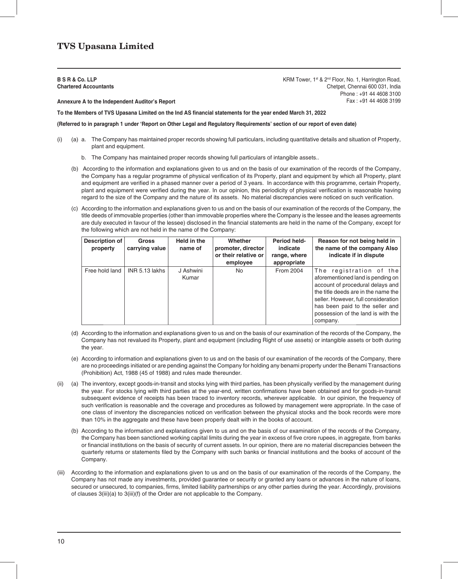**B S R & Co. LLP Chartered Accountants**

**Annexure A to the Independent Auditor's Report**

KRM Tower, 1<sup>st</sup> & 2<sup>nd</sup> Floor, No. 1, Harrington Road, Chetpet, Chennai 600 031, India Phone : +91 44 4608 3100 Fax : +91 44 4608 3199

To the Members of TVS Upasana Limited on the Ind AS financial statements for the year ended March 31, 2022

#### **(Referred to in paragraph 1 under 'Report on Other Legal and Regulatory Requirements' section of our report of even date)**

- (i) (a) a. The Company has maintained proper records showing full particulars, including quantitative details and situation of Property, plant and equipment.
	- b. The Company has maintained proper records showing full particulars of intangible assets..
	- (b) According to the information and explanations given to us and on the basis of our examination of the records of the Company, the Company has a regular programme of physical verification of its Property, plant and equipment by which all Property, plant and equipment are verified in a phased manner over a period of 3 years. In accordance with this programme, certain Property, plant and equipment were verified during the year. In our opinion, this periodicity of physical verification is reasonable having regard to the size of the Company and the nature of its assets. No material discrepancies were noticed on such verification.
	- (c) According to the information and explanations given to us and on the basis of our examination of the records of the Company, the title deeds of immovable properties (other than immovable properties where the Company is the lessee and the leases agreements are duly executed in favour of the lessee) disclosed in the financial statements are held in the name of the Company, except for the following which are not held in the name of the Company:

| Description of<br>property | <b>Gross</b><br>carrying value | Held in the<br>name of | Whether<br>promoter, director<br>or their relative or<br>employee | Period held-<br>indicate<br>range, where<br>appropriate | Reason for not being held in<br>the name of the company Also<br>indicate if in dispute                                                                                                                                                                              |
|----------------------------|--------------------------------|------------------------|-------------------------------------------------------------------|---------------------------------------------------------|---------------------------------------------------------------------------------------------------------------------------------------------------------------------------------------------------------------------------------------------------------------------|
| Free hold land             | INR 5.13 lakhs                 | J Ashwini<br>Kumar     | No.                                                               | From 2004                                               | The registration of the<br>aforementioned land is pending on<br>account of procedural delays and<br>the title deeds are in the name the<br>seller. However, full consideration<br>has been paid to the seller and<br>possession of the land is with the<br>company. |

- (d) According to the information and explanations given to us and on the basis of our examination of the records of the Company, the Company has not revalued its Property, plant and equipment (including Right of use assets) or intangible assets or both during the year.
- (e) According to information and explanations given to us and on the basis of our examination of the records of the Company, there are no proceedings initiated or are pending against the Company for holding any benami property under the Benami Transactions (Prohibition) Act, 1988 (45 of 1988) and rules made thereunder.
- (ii) (a) The inventory, except goods-in-transit and stocks lying with third parties, has been physically verified by the management during the year. For stocks lying with third parties at the year-end, written confirmations have been obtained and for goods-in-transit subsequent evidence of receipts has been traced to inventory records, wherever applicable. In our opinion, the frequency of such verification is reasonable and the coverage and procedures as followed by management were appropriate. In the case of one class of inventory the discrepancies noticed on verification between the physical stocks and the book records were more than 10% in the aggregate and these have been properly dealt with in the books of account.
	- (b) According to the information and explanations given to us and on the basis of our examination of the records of the Company, the Company has been sanctioned working capital limits during the year in excess of five crore rupees, in aggregate, from banks or financial institutions on the basis of security of current assets. In our opinion, there are no material discrepancies between the quarterly returns or statements filed by the Company with such banks or financial institutions and the books of account of the Company.
- (iii) According to the information and explanations given to us and on the basis of our examination of the records of the Company, the Company has not made any investments, provided guarantee or security or granted any loans or advances in the nature of loans, secured or unsecured, to companies, firms, limited liability partnerships or any other parties during the year. Accordingly, provisions of clauses 3(iii)(a) to 3(iii)(f) of the Order are not applicable to the Company.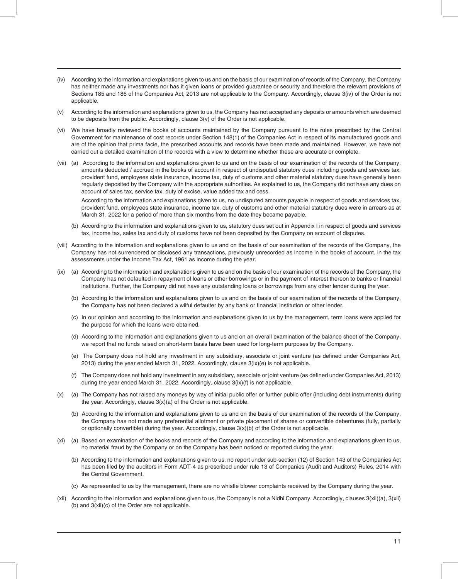- (iv) According to the information and explanations given to us and on the basis of our examination of records of the Company, the Company has neither made any investments nor has it given loans or provided guarantee or security and therefore the relevant provisions of Sections 185 and 186 of the Companies Act, 2013 are not applicable to the Company. Accordingly, clause 3(iv) of the Order is not applicable.
- (v) According to the information and explanations given to us, the Company has not accepted any deposits or amounts which are deemed to be deposits from the public. Accordingly, clause 3(v) of the Order is not applicable.
- (vi) We have broadly reviewed the books of accounts maintained by the Company pursuant to the rules prescribed by the Central Government for maintenance of cost records under Section 148(1) of the Companies Act in respect of its manufactured goods and are of the opinion that prima facie, the prescribed accounts and records have been made and maintained. However, we have not carried out a detailed examination of the records with a view to determine whether these are accurate or complete.
- (vii) (a) According to the information and explanations given to us and on the basis of our examination of the records of the Company, amounts deducted / accrued in the books of account in respect of undisputed statutory dues including goods and services tax, provident fund, employees state insurance, income tax, duty of customs and other material statutory dues have generally been regularly deposited by the Company with the appropriate authorities. As explained to us, the Company did not have any dues on account of sales tax, service tax, duty of excise, value added tax and cess.

 According to the information and explanations given to us, no undisputed amounts payable in respect of goods and services tax, provident fund, employees state insurance, income tax, duty of customs and other material statutory dues were in arrears as at March 31, 2022 for a period of more than six months from the date they became payable.

- (b) According to the information and explanations given to us, statutory dues set out in Appendix I in respect of goods and services tax, income tax, sales tax and duty of customs have not been deposited by the Company on account of disputes.
- (viii) According to the information and explanations given to us and on the basis of our examination of the records of the Company, the Company has not surrendered or disclosed any transactions, previously unrecorded as income in the books of account, in the tax assessments under the Income Tax Act, 1961 as income during the year.
- (ix) (a) According to the information and explanations given to us and on the basis of our examination of the records of the Company, the Company has not defaulted in repayment of loans or other borrowings or in the payment of interest thereon to banks or financial institutions. Further, the Company did not have any outstanding loans or borrowings from any other lender during the year.
	- (b) According to the information and explanations given to us and on the basis of our examination of the records of the Company, the Company has not been declared a wilful defaulter by any bank or financial institution or other lender.
	- (c) In our opinion and according to the information and explanations given to us by the management, term loans were applied for the purpose for which the loans were obtained.
	- (d) According to the information and explanations given to us and on an overall examination of the balance sheet of the Company, we report that no funds raised on short-term basis have been used for long-term purposes by the Company.
	- (e) The Company does not hold any investment in any subsidiary, associate or joint venture (as defined under Companies Act, 2013) during the year ended March 31, 2022. Accordingly, clause 3(ix)(e) is not applicable.
	- (f) The Company does not hold any investment in any subsidiary, associate or joint venture (as defi ned under Companies Act, 2013) during the year ended March 31, 2022. Accordingly, clause 3(ix)(f) is not applicable.
- (x) (a) The Company has not raised any moneys by way of initial public offer or further public offer (including debt instruments) during the year. Accordingly, clause  $3(x)(a)$  of the Order is not applicable.
	- (b) According to the information and explanations given to us and on the basis of our examination of the records of the Company, the Company has not made any preferential allotment or private placement of shares or convertible debentures (fully, partially or optionally convertible) during the year. Accordingly, clause 3(x)(b) of the Order is not applicable.
- (xi) (a) Based on examination of the books and records of the Company and according to the information and explanations given to us, no material fraud by the Company or on the Company has been noticed or reported during the year.
	- (b) According to the information and explanations given to us, no report under sub-section (12) of Section 143 of the Companies Act has been filed by the auditors in Form ADT-4 as prescribed under rule 13 of Companies (Audit and Auditors) Rules, 2014 with the Central Government.
	- (c) As represented to us by the management, there are no whistle blower complaints received by the Company during the year.
- (xii) According to the information and explanations given to us, the Company is not a Nidhi Company. Accordingly, clauses 3(xii)(a), 3(xii) (b) and 3(xii)(c) of the Order are not applicable.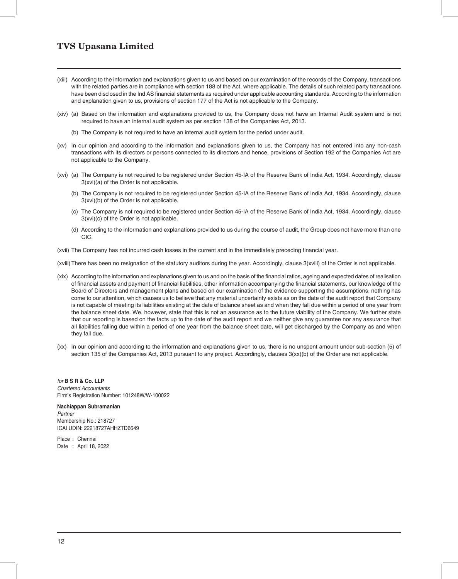- (xiii) According to the information and explanations given to us and based on our examination of the records of the Company, transactions with the related parties are in compliance with section 188 of the Act, where applicable. The details of such related party transactions have been disclosed in the Ind AS financial statements as required under applicable accounting standards. According to the information and explanation given to us, provisions of section 177 of the Act is not applicable to the Company.
- (xiv) (a) Based on the information and explanations provided to us, the Company does not have an Internal Audit system and is not required to have an internal audit system as per section 138 of the Companies Act, 2013.
	- (b) The Company is not required to have an internal audit system for the period under audit.
- (xv) In our opinion and according to the information and explanations given to us, the Company has not entered into any non-cash transactions with its directors or persons connected to its directors and hence, provisions of Section 192 of the Companies Act are not applicable to the Company.
- (xvi) (a) The Company is not required to be registered under Section 45-IA of the Reserve Bank of India Act, 1934. Accordingly, clause 3(xvi)(a) of the Order is not applicable.
	- (b) The Company is not required to be registered under Section 45-IA of the Reserve Bank of India Act, 1934. Accordingly, clause 3(xvi)(b) of the Order is not applicable.
	- (c) The Company is not required to be registered under Section 45-IA of the Reserve Bank of India Act, 1934. Accordingly, clause 3(xvi)(c) of the Order is not applicable.
	- (d) According to the information and explanations provided to us during the course of audit, the Group does not have more than one CIC.
- (xvii) The Company has not incurred cash losses in the current and in the immediately preceding financial year.
- (xviii) There has been no resignation of the statutory auditors during the year. Accordingly, clause 3(xviii) of the Order is not applicable.
- (xix) According to the information and explanations given to us and on the basis of the financial ratios, ageing and expected dates of realisation of financial assets and payment of financial liabilities, other information accompanying the financial statements, our knowledge of the Board of Directors and management plans and based on our examination of the evidence supporting the assumptions, nothing has come to our attention, which causes us to believe that any material uncertainty exists as on the date of the audit report that Company is not capable of meeting its liabilities existing at the date of balance sheet as and when they fall due within a period of one year from the balance sheet date. We, however, state that this is not an assurance as to the future viability of the Company. We further state that our reporting is based on the facts up to the date of the audit report and we neither give any guarantee nor any assurance that all liabilities falling due within a period of one year from the balance sheet date, will get discharged by the Company as and when they fall due.
- (xx) In our opinion and according to the information and explanations given to us, there is no unspent amount under sub-section (5) of section 135 of the Companies Act, 2013 pursuant to any project. Accordingly, clauses  $3(xx)(b)$  of the Order are not applicable.

*for* **B S R & Co. LLP** *Chartered Accountants* Firm's Registration Number: 101248W/W-100022

#### **Nachiappan Subramanian**

*Partner* Membership No.: 218727 ICAI UDIN: 22218727AHHZTD6649

Place : Chennai Date : April 18, 2022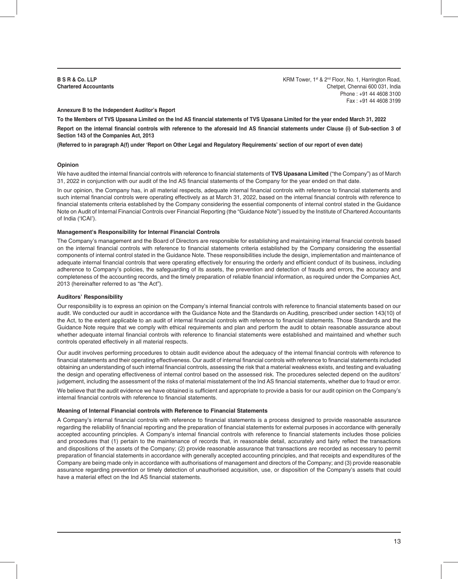**B S R & Co. LLP Chartered Accountants** KRM Tower, 1<sup>st</sup> & 2<sup>nd</sup> Floor, No. 1, Harrington Road, Chetpet, Chennai 600 031, India Phone : +91 44 4608 3100 Fax : +91 44 4608 3199

## **Annexure B to the Independent Auditor's Report**

To the Members of TVS Upasana Limited on the Ind AS financial statements of TVS Upasana Limited for the year ended March 31, 2022 Report on the internal financial controls with reference to the aforesaid Ind AS financial statements under Clause (i) of Sub-section 3 of **Section 143 of the Companies Act, 2013**

**(Referred to in paragraph A(f) under 'Report on Other Legal and Regulatory Requirements' section of our report of even date)**

## **Opinion**

We have audited the internal financial controls with reference to financial statements of **TVS Upasana Limited** ("the Company") as of March 31, 2022 in conjunction with our audit of the Ind AS financial statements of the Company for the year ended on that date.

In our opinion, the Company has, in all material respects, adequate internal financial controls with reference to financial statements and such internal financial controls were operating effectively as at March 31, 2022, based on the internal financial controls with reference to financial statements criteria established by the Company considering the essential components of internal control stated in the Guidance Note on Audit of Internal Financial Controls over Financial Reporting (the "Guidance Note") issued by the Institute of Chartered Accountants of India ('ICAI').

### **Management's Responsibility for Internal Financial Controls**

The Company's management and the Board of Directors are responsible for establishing and maintaining internal financial controls based on the internal financial controls with reference to financial statements criteria established by the Company considering the essential components of internal control stated in the Guidance Note. These responsibilities include the design, implementation and maintenance of adequate internal financial controls that were operating effectively for ensuring the orderly and efficient conduct of its business, including adherence to Company's policies, the safeguarding of its assets, the prevention and detection of frauds and errors, the accuracy and completeness of the accounting records, and the timely preparation of reliable financial information, as required under the Companies Act, 2013 (hereinafter referred to as "the Act").

### **Auditors' Responsibility**

Our responsibility is to express an opinion on the Company's internal financial controls with reference to financial statements based on our audit. We conducted our audit in accordance with the Guidance Note and the Standards on Auditing, prescribed under section 143(10) of the Act, to the extent applicable to an audit of internal financial controls with reference to financial statements. Those Standards and the Guidance Note require that we comply with ethical requirements and plan and perform the audit to obtain reasonable assurance about whether adequate internal financial controls with reference to financial statements were established and maintained and whether such controls operated effectively in all material respects.

Our audit involves performing procedures to obtain audit evidence about the adequacy of the internal financial controls with reference to financial statements and their operating effectiveness. Our audit of internal financial controls with reference to financial statements included obtaining an understanding of such internal financial controls, assessing the risk that a material weakness exists, and testing and evaluating the design and operating effectiveness of internal control based on the assessed risk. The procedures selected depend on the auditors' judgement, including the assessment of the risks of material misstatement of the Ind AS financial statements, whether due to fraud or error. We believe that the audit evidence we have obtained is sufficient and appropriate to provide a basis for our audit opinion on the Company's internal financial controls with reference to financial statements.

### **Meaning of Internal Financial controls with Reference to Financial Statements**

A Company's internal financial controls with reference to financial statements is a process designed to provide reasonable assurance regarding the reliability of financial reporting and the preparation of financial statements for external purposes in accordance with generally accepted accounting principles. A Company's internal financial controls with reference to financial statements includes those policies and procedures that (1) pertain to the maintenance of records that, in reasonable detail, accurately and fairly reflect the transactions and dispositions of the assets of the Company; (2) provide reasonable assurance that transactions are recorded as necessary to permit preparation of financial statements in accordance with generally accepted accounting principles, and that receipts and expenditures of the Company are being made only in accordance with authorisations of management and directors of the Company; and (3) provide reasonable assurance regarding prevention or timely detection of unauthorised acquisition, use, or disposition of the Company's assets that could have a material effect on the Ind AS financial statements.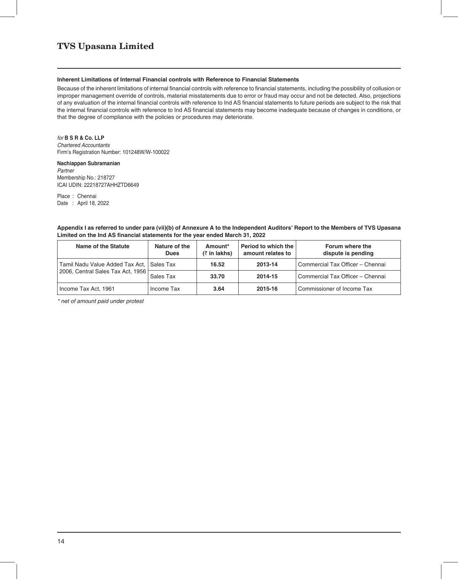## **Inherent Limitations of Internal Financial controls with Reference to Financial Statements**

Because of the inherent limitations of internal financial controls with reference to financial statements, including the possibility of collusion or improper management override of controls, material misstatements due to error or fraud may occur and not be detected. Also, projections of any evaluation of the internal financial controls with reference to Ind AS financial statements to future periods are subject to the risk that the internal financial controls with reference to Ind AS financial statements may become inadequate because of changes in conditions, or that the degree of compliance with the policies or procedures may deteriorate.

# *for* **B S R & Co. LLP**

*Chartered Accountants* Firm's Registration Number: 101248W/W-100022

#### **Nachiappan Subramanian**

*Partner* Membership No.: 218727 ICAI UDIN: 22218727AHHZTD6649

Place : Chennai Date : April 18, 2022

## **Appendix I as referred to under para (vii)(b) of Annexure A to the Independent Auditors' Report to the Members of TVS Upasana**  Limited on the Ind AS financial statements for the year ended March 31, 2022

| Name of the Statute                         | Nature of the<br><b>Dues</b> | Amount*<br>$(3 \in \mathsf{In} \mathsf{lakhs})$ | Period to which the<br>amount relates to | Forum where the<br>dispute is pending |
|---------------------------------------------|------------------------------|-------------------------------------------------|------------------------------------------|---------------------------------------|
| Tamil Nadu Value Added Tax Act,   Sales Tax |                              | 16.52                                           | 2013-14                                  | l Commercial Tax Officer – Chennai    |
| 2006, Central Sales Tax Act, 1956           | Sales Tax                    | 33.70                                           | 2014-15                                  | l Commercial Tax Officer – Chennai    |
| Income Tax Act, 1961                        | Income Tax                   | 3.64                                            | 2015-16                                  | Commissioner of Income Tax            |

*\* net of amount paid under protest*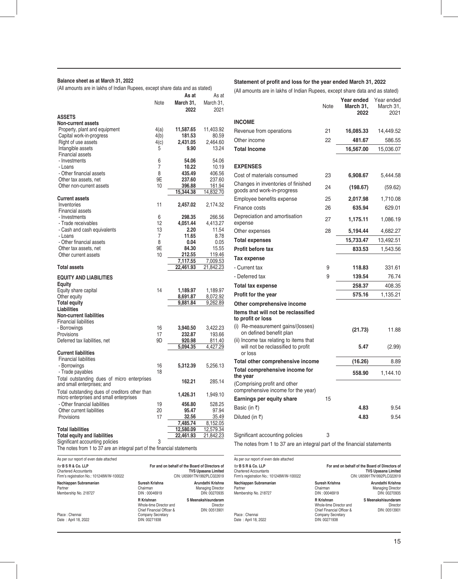# **Balance sheet as at March 31, 2022**

(All amounts are in lakhs of Indian Rupees, except share data and as stated)

# Statement of profit and loss for the year ended March 31, 2022

|                                                                                           | Note     | As at<br>March 31,<br>2022 | As at<br>March 31,<br>2021 |
|-------------------------------------------------------------------------------------------|----------|----------------------------|----------------------------|
| <b>ASSETS</b>                                                                             |          |                            |                            |
| Non-current assets                                                                        |          |                            |                            |
| Property, plant and equipment                                                             | 4(a)     | 11,587.65                  | 11,403.92                  |
| Capital work-in-progress                                                                  | 4(b)     | 181.53                     | 80.59                      |
| Right of use assets                                                                       | 4(c)     | 2.431.05                   | 2,464.60                   |
| Intangible assets                                                                         | 5        | 9.90                       | 13.24                      |
| <b>Financial assets</b>                                                                   |          |                            |                            |
| - Investments                                                                             | 6        | 54.06                      | 54.06                      |
| - Loans                                                                                   | 7        | 10.22                      | 10.19                      |
| - Other financial assets                                                                  | 8        | 435.49                     | 406.56                     |
| Other tax assets, net                                                                     | 9E       | 237.60                     | 237.60                     |
| Other non-current assets                                                                  | 10       | 396.88                     | 161.94                     |
|                                                                                           |          | 15,344.38                  | 14,832.70                  |
| <b>Current assets</b>                                                                     |          |                            |                            |
| Inventories                                                                               | 11       | 2,457.02                   | 2,174.32                   |
| <b>Financial assets</b>                                                                   |          |                            |                            |
| - Investments                                                                             | 6        | 298.35                     | 266.56                     |
| - Trade receivables                                                                       | 12<br>13 | 4,051.44                   | 4,413.27                   |
| - Cash and cash equivalents                                                               |          | 2.20                       | 11.54                      |
| - Loans<br>- Other financial assets                                                       | 7<br>8   | 11.65<br>0.04              | 8.78<br>0.05               |
| Other tax assets, net                                                                     | 9Ε       | 84.30                      | 15.55                      |
| Other current assets                                                                      | 10       | 212.55                     | 119.46                     |
|                                                                                           |          | 7,117.55                   | 7,009.53                   |
| <b>Total assets</b>                                                                       |          | 22,461.93                  | 21,842.23                  |
| <b>EQUITY AND LIABILITIES</b><br><b>Equity</b>                                            |          |                            |                            |
| Equity share capital                                                                      | 14       | 1,189.97                   | 1,189.97                   |
| Other equity                                                                              |          | 8,691.87                   | 8,072.92                   |
| <b>Total equity</b>                                                                       |          | 9,881.84                   | 9,262.89                   |
| Liabilities                                                                               |          |                            |                            |
| <b>Non-current liabilities</b>                                                            |          |                            |                            |
| <b>Financial liabilities</b>                                                              |          |                            |                            |
| - Borrowings                                                                              | 16       | 3,940.50                   | 3,422.23                   |
| Provisions                                                                                | 17       | 232.87                     | 193.66                     |
| Deferred tax liabilities, net                                                             | 9D       | 920.98                     | 811.40                     |
|                                                                                           |          | 5,094.35                   | 4,427.29                   |
| <b>Current liabilities</b>                                                                |          |                            |                            |
| <b>Financial liabilities</b>                                                              |          |                            |                            |
| - Borrowings                                                                              | 16       | 5,312.39                   | 5,256.13                   |
| - Trade payables                                                                          | 18       |                            |                            |
| Total outstanding dues of micro enterprises<br>and small enterprises; and                 |          | 162.21                     | 285.14                     |
| Total outstanding dues of creditors other than<br>micro enterprises and small enterprises |          | 1,426.31                   | 1,949.10                   |
| - Other financial liabilities                                                             | 19       | 456.80                     | 528.25                     |
| Other current liabilities                                                                 | 20       | 95.47                      | 97.94                      |
| Provisions                                                                                | 17       | 32.56                      | 35.49                      |
| <b>Total liabilities</b>                                                                  |          | 7,485.74                   | 8,152.05                   |
| <b>Total equity and liabilities</b>                                                       |          | 12,580.09<br>22,461.93     | 12,579.34<br>21,842.23     |
| Significant accounting policies                                                           | 3        |                            |                            |
| The notes from 1 to 37 are an integral part of the financial statements                   |          |                            |                            |

|                                                                                                          | For and on behalf of the Board of Directors of<br><b>TVS Upasana Limited</b><br>CIN: U65991TN1992PLC022619 |
|----------------------------------------------------------------------------------------------------------|------------------------------------------------------------------------------------------------------------|
| Suresh Krishna<br>Chairman<br>DIN: 00046919                                                              | Arundathi Krishna<br><b>Managing Director</b><br>DIN: 00270935                                             |
| R Krishnan<br>Whole-time Director and<br>Chief Financial Officer &<br>Company Secretary<br>DIN: 00271938 | S Meenakshisundaram<br>Director<br>DIN: 00513901                                                           |
|                                                                                                          |                                                                                                            |

| (All amounts are in lakhs of Indian Rupees, except share data and as stated)            |      |                                 |                                 |
|-----------------------------------------------------------------------------------------|------|---------------------------------|---------------------------------|
|                                                                                         | Note | Year ended<br>March 31,<br>2022 | Year ended<br>March 31,<br>2021 |
| <b>INCOME</b>                                                                           |      |                                 |                                 |
| Revenue from operations                                                                 | 21   | 16,085.33                       | 14,449.52                       |
| Other income                                                                            | 22   | 481.67                          | 586.55                          |
| <b>Total Income</b>                                                                     |      | 16,567.00                       | 15,036.07                       |
| <b>EXPENSES</b>                                                                         |      |                                 |                                 |
| Cost of materials consumed                                                              | 23   | 6,908.67                        | 5,444.58                        |
| Changes in inventories of finished<br>goods and work-in-progress                        | 24   | (198.67)                        | (59.62)                         |
| Employee benefits expense                                                               | 25   | 2,017.98                        | 1,710.08                        |
| Finance costs                                                                           | 26   | 635.94                          | 629.01                          |
| Depreciation and amortisation<br>expense                                                | 27   | 1,175.11                        | 1,086.19                        |
| Other expenses                                                                          | 28   | 5,194.44                        | 4,682.27                        |
| <b>Total expenses</b>                                                                   |      | 15,733.47                       | 13,492.51                       |
| Profit before tax                                                                       |      | 833.53                          | 1,543.56                        |
| Tax expense                                                                             |      |                                 |                                 |
| - Current tax                                                                           | 9    | 118.83                          | 331.61                          |
| - Deferred tax                                                                          | 9    | 139.54                          | 76.74                           |
| <b>Total tax expense</b>                                                                |      | 258.37                          | 408.35                          |
| Profit for the year                                                                     |      | 575.16                          | 1,135.21                        |
| Other comprehensive income                                                              |      |                                 |                                 |
| Items that will not be reclassified<br>to profit or loss                                |      |                                 |                                 |
| (i) Re-measurement gains/(losses)<br>on defined benefit plan                            |      | (21.73)                         | 11.88                           |
| (ii) Income tax relating to items that<br>will not be reclassified to profit<br>or loss |      | 5.47                            | (2.99)                          |
| Total other comprehensive income                                                        |      | (16.26)                         | 8.89                            |
| Total comprehensive income for<br>the year                                              |      | 558.90                          | 1,144.10                        |
| (Comprising profit and other<br>comprehensive income for the year)                      |      |                                 |                                 |
| Earnings per equity share                                                               | 15   |                                 |                                 |
| Basic (in ₹)                                                                            |      | 4.83                            | 9.54                            |
| Diluted (in ₹)                                                                          |      | 4.83                            | 9.54                            |
| Significant accounting policies                                                         | 3    |                                 |                                 |

The notes from 1 to 37 are an integral part of the financial statements

| As per our report of even date attached                                                                     |                                                                                                          |                                                                                                            |
|-------------------------------------------------------------------------------------------------------------|----------------------------------------------------------------------------------------------------------|------------------------------------------------------------------------------------------------------------|
| for <b>B S R &amp; Co. LLP</b><br><b>Chartered Accountants</b><br>Firm's registration No.: 101248W/W-100022 |                                                                                                          | For and on behalf of the Board of Directors of<br><b>TVS Upasana Limited</b><br>CIN: U65991TN1992PLC022619 |
| Nachiappan Subramanian<br>Partner<br>Membership No. 218727                                                  | Suresh Krishna<br>Chairman<br>DIN: 00046919                                                              | Arundathi Krishna<br><b>Managing Director</b><br>DIN: 00270935                                             |
| Place: Chennai<br>Date: April 18, 2022                                                                      | R Krishnan<br>Whole-time Director and<br>Chief Financial Officer &<br>Company Secretary<br>DIN: 00271938 | S Meenakshisundaram<br>Director<br>DIN: 00513901                                                           |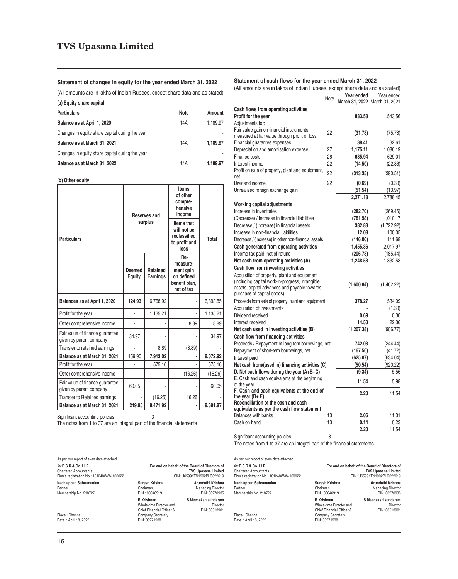# **Statement of changes in equity for the year ended March 31, 2022**

(All amounts are in lakhs of Indian Rupees, except share data and as stated) **(a) Equity share capital**

| $(u)$ Lyuny onare ouphor                        |             |               |
|-------------------------------------------------|-------------|---------------|
| <b>Particulars</b>                              | <b>Note</b> | <b>Amount</b> |
| Balance as at April 1, 2020                     | 14A         | 1.189.97      |
| Changes in equity share capital during the year |             |               |
| Balance as at March 31, 2021                    | 14A         | 1.189.97      |
| Changes in equity share capital during the year |             |               |
| Balance as at March 31, 2022                    | 14A         | 1.189.97      |
|                                                 |             |               |

# **(b) Other equity**

| <b>Particulars</b>                                         |                         | Reserves and<br>surplus     | <b>Items</b><br>of other<br>compre-<br>hensive<br>income<br>Items that<br>will not be<br>reclassified<br>to profit and<br>loss | Total    |  |
|------------------------------------------------------------|-------------------------|-----------------------------|--------------------------------------------------------------------------------------------------------------------------------|----------|--|
|                                                            | Deemed<br><b>Equity</b> | <b>Retained</b><br>Earnings | Re-<br>measure-<br>ment gain<br>on defined<br>benefit plan,<br>net of tax                                                      |          |  |
| Balances as at April 1, 2020                               | 124.93                  | 6,768.92                    |                                                                                                                                | 6,893.85 |  |
| Profit for the year                                        |                         | 1,135.21                    |                                                                                                                                | 1,135.21 |  |
| Other comprehensive income                                 |                         |                             | 8.89                                                                                                                           | 8.89     |  |
| Fair value of finance quarantee<br>given by parent company | 34.97                   |                             |                                                                                                                                | 34.97    |  |
| Transfer to retained earnings                              |                         | 8.89                        | (8.89)                                                                                                                         |          |  |
| Balance as at March 31, 2021                               | 159.90                  | 7,913.02                    |                                                                                                                                | 8,072.92 |  |
| Profit for the year                                        |                         | 575.16                      |                                                                                                                                | 575.16   |  |
| Other comprehensive income                                 |                         |                             | (16.26)                                                                                                                        | (16.26)  |  |
| Fair value of finance quarantee<br>given by parent company | 60.05                   |                             |                                                                                                                                | 60.05    |  |
| Transfer to Retained earnings                              |                         | (16.26)                     | 16.26                                                                                                                          |          |  |
| Balance as at March 31, 2021                               | 219.95                  | 8.471.92                    |                                                                                                                                | 8,691.87 |  |

Significant accounting policies 3 The notes from 1 to 37 are an integral part of the financial statements

| As per our report of even date attached                                                                     |
|-------------------------------------------------------------------------------------------------------------|
| for <b>B S R &amp; Co. LLP</b><br><b>Chartered Accountants</b><br>Firm's registration No.: 101248W/W-100022 |
| Nachiappan Subramanian<br>Partner                                                                           |
| Mambarahin Na 010707                                                                                        |

Place : Chennai Company Secretary Date : April 18, 2022 DIN: 00271938

For and on behalf of the Board of Directors of Chartered Accountants **TVS Upasana Limited** Firm's registration No.: 101248W/W-100022 CIN: U65991TN1992PLC022619 **Nachiappan Suresh Krishna**<br>
Chairmanne Managing Director<br>
DIN: 00046919<br>
DIN: 00270935 Partner Chairman Managing Director Membership No. 218727 DIN : 00046919 DIN: 00270935 **R Krishnan S Meenakshisundaram**<br>Whole-time Director and Director Chief Financial Officer & DIN: 00513901 Whole-time Director and **Director and Director**<br>Chief Financial Officer & **DIN: 00513901** 

# Statement of cash flows for the year ended March 31, 2022

| (All amounts are in lakhs of Indian Rupees, except share data and as stated)                                                                                                  |      |             |                                             |  |  |
|-------------------------------------------------------------------------------------------------------------------------------------------------------------------------------|------|-------------|---------------------------------------------|--|--|
|                                                                                                                                                                               | Note | Year ended  | Year ended<br>March 31, 2022 March 31, 2021 |  |  |
| Cash flows from operating activities                                                                                                                                          |      |             |                                             |  |  |
| Profit for the year<br>Adjustments for:                                                                                                                                       |      | 833.53      | 1,543.56                                    |  |  |
| Fair value gain on financial instruments<br>measured at fair value through profit or loss                                                                                     | 22   | (31.78)     | (75.78)                                     |  |  |
| Financial guarantee expenses                                                                                                                                                  |      | 38.41       | 32.61                                       |  |  |
| Depreciation and amortisation expense                                                                                                                                         | 27   | 1,175.11    | 1,086.19                                    |  |  |
| Finance costs                                                                                                                                                                 | 26   | 635.94      | 629.01                                      |  |  |
| Interest income                                                                                                                                                               | 22   | (14.50)     | (22.36)                                     |  |  |
| Profit on sale of property, plant and equipment,<br>net                                                                                                                       | 22   | (313.35)    | (390.51)                                    |  |  |
| Dividend income                                                                                                                                                               | 22   | (0.69)      | (0.30)                                      |  |  |
| Unrealised foreign exchange gain                                                                                                                                              |      | (51.54)     | (13.97)                                     |  |  |
| Working capital adjustments                                                                                                                                                   |      | 2,271.13    | 2,788.45                                    |  |  |
| Increase in inventories                                                                                                                                                       |      | (282.70)    | (269.46)                                    |  |  |
| (Decrease) / Increase in financial liabilities                                                                                                                                |      | (781.98)    | 1,010.17                                    |  |  |
| Decrease / (Increase) in financial assets                                                                                                                                     |      | 382.83      | (1,722.92)                                  |  |  |
| Increase in non-financial liabilities                                                                                                                                         |      | 12.08       | 100.05                                      |  |  |
| Decrease / (increase) in other non-financial assets                                                                                                                           |      | (146.00)    | 111.68                                      |  |  |
| Cash generated from operating activities                                                                                                                                      |      | 1,455.36    | 2,017.97                                    |  |  |
| Income tax paid, net of refund                                                                                                                                                |      | (206.78)    | (185.44)                                    |  |  |
| Net cash from operating activities (A)                                                                                                                                        |      | 1,248.58    | 1,832.53                                    |  |  |
| Cash flow from investing activities                                                                                                                                           |      |             |                                             |  |  |
| Acquisition of property, plant and equipment<br>(including capital work-in-progress, intangible<br>assets, capital advances and payable towards<br>purchase of capital goods) |      | (1,600.84)  | (1,462.22)                                  |  |  |
| Proceeds from sale of property, plant and equipment                                                                                                                           |      | 378.27      | 534.09                                      |  |  |
| Acquisition of investments                                                                                                                                                    |      |             | (1.30)                                      |  |  |
| Dividend received                                                                                                                                                             |      | 0.69        | 0.30                                        |  |  |
| Interest received                                                                                                                                                             |      | 14.50       | 22.36                                       |  |  |
| Net cash used in investing activities (B)                                                                                                                                     |      | (1, 207.38) | (906.77)                                    |  |  |
| Cash flow from financing activities                                                                                                                                           |      |             |                                             |  |  |
| Proceeds / Repayment of long-tem borrowings, net                                                                                                                              |      | 742.03      | (244.44)                                    |  |  |
| Repayment of short-tem borrowings, net                                                                                                                                        |      | (167.50)    | (41.72)                                     |  |  |
| Interest paid                                                                                                                                                                 |      | (625.07)    | (634.04)                                    |  |  |
| Net cash from/(used in) financing activities (C)                                                                                                                              |      | (50.54)     | (920.22)                                    |  |  |
| D. Net cash flows during the year (A+B+C)                                                                                                                                     |      | (9.34)      | 5.56                                        |  |  |
| E. Cash and cash equivalents at the beginning<br>of the year                                                                                                                  |      | 11.54       | 5.98                                        |  |  |
| F. Cash and cash equivalents at the end of<br>the year $(D + E)$                                                                                                              |      | 2.20        | 11.54                                       |  |  |
| Reconciliation of the cash and cash<br>equivalents as per the cash flow statement                                                                                             |      |             |                                             |  |  |
| <b>Balances with banks</b>                                                                                                                                                    | 13   | 2.06        | 11.31                                       |  |  |
| Cash on hand                                                                                                                                                                  | 13   | 0.14        | 0.23                                        |  |  |
|                                                                                                                                                                               |      | 2.20        | 11.54                                       |  |  |
| Significant accounting policies                                                                                                                                               | 3    |             |                                             |  |  |

The notes from 1 to 37 are an integral part of the financial statements

| As per our report of even date attached                                                          |                                                                                                          |                                                                                                            |
|--------------------------------------------------------------------------------------------------|----------------------------------------------------------------------------------------------------------|------------------------------------------------------------------------------------------------------------|
| for B S R & Co. LLP<br><b>Chartered Accountants</b><br>Firm's registration No.: 101248W/W-100022 |                                                                                                          | For and on behalf of the Board of Directors of<br><b>TVS Upasana Limited</b><br>CIN: U65991TN1992PLC022619 |
| Nachiappan Subramanian<br>Partner<br>Membership No. 218727                                       | Suresh Krishna<br>Chairman<br>DIN: 00046919                                                              | Arundathi Krishna<br><b>Managing Director</b><br>DIN: 00270935                                             |
| Place: Chennai<br>Date: April 18, 2022                                                           | R Krishnan<br>Whole-time Director and<br>Chief Financial Officer &<br>Company Secretary<br>DIN: 00271938 | S Meenakshisundaram<br>Director<br>DIN: 00513901                                                           |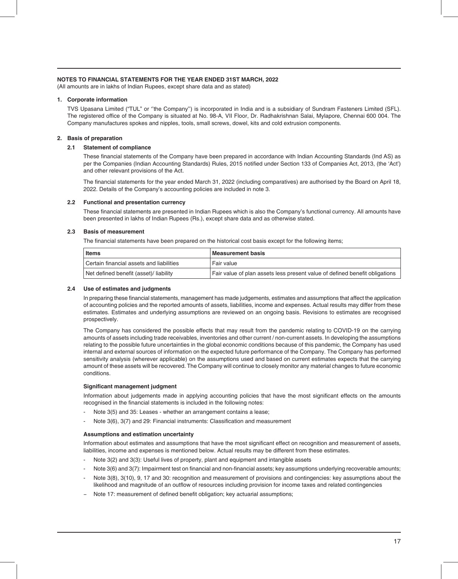## **NOTES TO FINANCIAL STATEMENTS FOR THE YEAR ENDED 31ST MARCH, 2022**

(All amounts are in lakhs of Indian Rupees, except share data and as stated)

### **1. Corporate information**

 TVS Upasana Limited ("TUL" or ''the Company'') is incorporated in India and is a subsidiary of Sundram Fasteners Limited (SFL). The registered office of the Company is situated at No. 98-A, VII Floor, Dr. Radhakrishnan Salai, Mylapore, Chennai 600 004. The Company manufactures spokes and nipples, tools, small screws, dowel, kits and cold extrusion components.

## **2. Basis of preparation**

# **2.1 Statement of compliance**

These financial statements of the Company have been prepared in accordance with Indian Accounting Standards (Ind AS) as per the Companies (Indian Accounting Standards) Rules, 2015 notified under Section 133 of Companies Act, 2013, (the 'Act') and other relevant provisions of the Act.

The financial statements for the year ended March 31, 2022 (including comparatives) are authorised by the Board on April 18, 2022. Details of the Company's accounting policies are included in note 3.

## **2.2 Functional and presentation currency**

These financial statements are presented in Indian Rupees which is also the Company's functional currency. All amounts have been presented in lakhs of Indian Rupees (Rs.), except share data and as otherwise stated.

## **2.3 Basis of measurement**

The financial statements have been prepared on the historical cost basis except for the following items;

| ∣ Items                                  | Measurement basis                                                           |
|------------------------------------------|-----------------------------------------------------------------------------|
| Certain financial assets and liabilities | Fair value                                                                  |
| Net defined benefit (asset)/ liability   | Fair value of plan assets less present value of defined benefit obligations |

## **2.4 Use of estimates and judgments**

In preparing these financial statements, management has made judgements, estimates and assumptions that affect the application of accounting policies and the reported amounts of assets, liabilities, income and expenses. Actual results may differ from these estimates. Estimates and underlying assumptions are reviewed on an ongoing basis. Revisions to estimates are recognised prospectively.

 The Company has considered the possible effects that may result from the pandemic relating to COVID-19 on the carrying amounts of assets including trade receivables, inventories and other current / non-current assets. In developing the assumptions relating to the possible future uncertainties in the global economic conditions because of this pandemic, the Company has used internal and external sources of information on the expected future performance of the Company. The Company has performed sensitivity analysis (wherever applicable) on the assumptions used and based on current estimates expects that the carrying amount of these assets will be recovered. The Company will continue to closely monitor any material changes to future economic conditions.

### **Significant management judgment**

Information about judgements made in applying accounting policies that have the most significant effects on the amounts recognised in the financial statements is included in the following notes:

- Note 3(5) and 35: Leases whether an arrangement contains a lease;
- Note 3(6), 3(7) and 29: Financial instruments: Classification and measurement

## **Assumptions and estimation uncertainty**

Information about estimates and assumptions that have the most significant effect on recognition and measurement of assets, liabilities, income and expenses is mentioned below. Actual results may be different from these estimates.

- Note 3(2) and 3(3): Useful lives of property, plant and equipment and intangible assets
- Note 3(6) and 3(7): Impairment test on financial and non-financial assets; key assumptions underlying recoverable amounts;
- Note 3(8), 3(10), 9, 17 and 30: recognition and measurement of provisions and contingencies: key assumptions about the likelihood and magnitude of an outflow of resources including provision for income taxes and related contingencies
- Note 17: measurement of defined benefit obligation; key actuarial assumptions;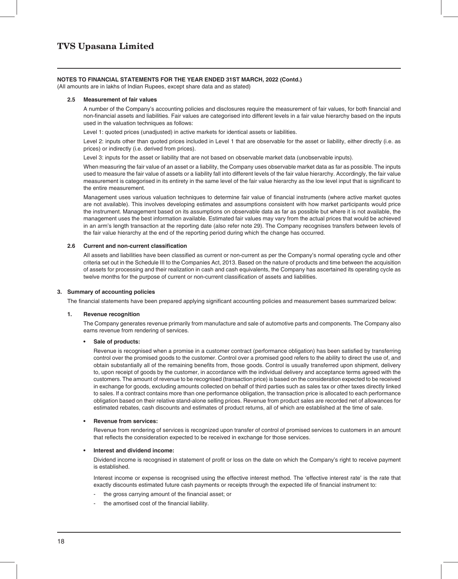(All amounts are in lakhs of Indian Rupees, except share data and as stated)

#### **2.5 Measurement of fair values**

A number of the Company's accounting policies and disclosures require the measurement of fair values, for both financial and non-financial assets and liabilities. Fair values are categorised into different levels in a fair value hierarchy based on the inputs used in the valuation techniques as follows:

Level 1: quoted prices (unadjusted) in active markets for identical assets or liabilities.

 Level 2: inputs other than quoted prices included in Level 1 that are observable for the asset or liability, either directly (i.e. as prices) or indirectly (i.e. derived from prices).

Level 3: inputs for the asset or liability that are not based on observable market data (unobservable inputs).

 When measuring the fair value of an asset or a liability, the Company uses observable market data as far as possible. The inputs used to measure the fair value of assets or a liability fall into different levels of the fair value hierarchy. Accordingly, the fair value measurement is categorised in its entirety in the same level of the fair value hierarchy as the low level input that is significant to the entire measurement.

Management uses various valuation techniques to determine fair value of financial instruments (where active market quotes are not available). This involves developing estimates and assumptions consistent with how market participants would price the instrument. Management based on its assumptions on observable data as far as possible but where it is not available, the management uses the best information available. Estimated fair values may vary from the actual prices that would be achieved in an arm's length transaction at the reporting date (also refer note 29). The Company recognises transfers between levels of the fair value hierarchy at the end of the reporting period during which the change has occurred.

#### **2.6 Current and non-current classification**

All assets and liabilities have been classified as current or non-current as per the Company's normal operating cycle and other criteria set out in the Schedule III to the Companies Act, 2013. Based on the nature of products and time between the acquisition of assets for processing and their realization in cash and cash equivalents, the Company has ascertained its operating cycle as twelve months for the purpose of current or non-current classification of assets and liabilities.

### **3. Summary of accounting policies**

The financial statements have been prepared applying significant accounting policies and measurement bases summarized below:

#### **1. Revenue recognition**

 The Company generates revenue primarily from manufacture and sale of automotive parts and components. The Company also earns revenue from rendering of services.

#### **• Sale of products:**

Revenue is recognised when a promise in a customer contract (performance obligation) has been satisfied by transferring control over the promised goods to the customer. Control over a promised good refers to the ability to direct the use of, and obtain substantially all of the remaining benefits from, those goods. Control is usually transferred upon shipment, delivery to, upon receipt of goods by the customer, in accordance with the individual delivery and acceptance terms agreed with the customers. The amount of revenue to be recognised (transaction price) is based on the consideration expected to be received in exchange for goods, excluding amounts collected on behalf of third parties such as sales tax or other taxes directly linked to sales. If a contract contains more than one performance obligation, the transaction price is allocated to each performance obligation based on their relative stand-alone selling prices. Revenue from product sales are recorded net of allowances for estimated rebates, cash discounts and estimates of product returns, all of which are established at the time of sale.

#### **• Revenue from services:**

 Revenue from rendering of services is recognized upon transfer of control of promised services to customers in an amount that reflects the consideration expected to be received in exchange for those services.

#### **• Interest and dividend income:**

Dividend income is recognised in statement of profit or loss on the date on which the Company's right to receive payment is established.

 Interest income or expense is recognised using the effective interest method. The 'effective interest rate' is the rate that exactly discounts estimated future cash payments or receipts through the expected life of financial instrument to:

- the gross carrying amount of the financial asset; or
- the amortised cost of the financial liability.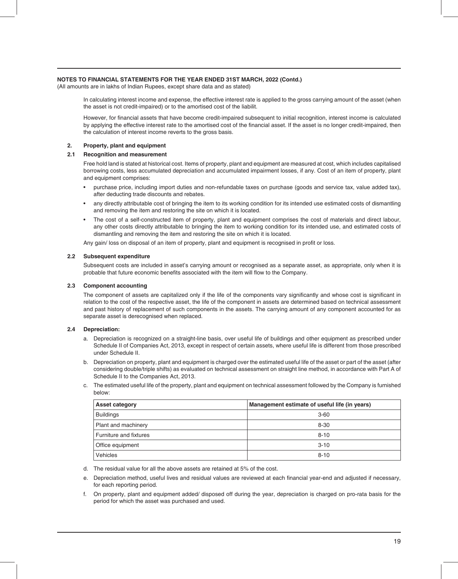(All amounts are in lakhs of Indian Rupees, except share data and as stated)

 In calculating interest income and expense, the effective interest rate is applied to the gross carrying amount of the asset (when the asset is not credit-impaired) or to the amortised cost of the liabilit.

However, for financial assets that have become credit-impaired subsequent to initial recognition, interest income is calculated by applying the effective interest rate to the amortised cost of the financial asset. If the asset is no longer credit-impaired, then the calculation of interest income reverts to the gross basis.

## **2. Property, plant and equipment**

## **2.1 Recognition and measurement**

 Free hold land is stated at historical cost. Items of property, plant and equipment are measured at cost, which includes capitalised borrowing costs, less accumulated depreciation and accumulated impairment losses, if any. Cost of an item of property, plant and equipment comprises:

- purchase price, including import duties and non-refundable taxes on purchase (goods and service tax, value added tax), after deducting trade discounts and rebates.
- any directly attributable cost of bringing the item to its working condition for its intended use estimated costs of dismantling and removing the item and restoring the site on which it is located.
- The cost of a self-constructed item of property, plant and equipment comprises the cost of materials and direct labour, any other costs directly attributable to bringing the item to working condition for its intended use, and estimated costs of dismantling and removing the item and restoring the site on which it is located.

Any gain/ loss on disposal of an item of property, plant and equipment is recognised in profit or loss.

### **2.2 Subsequent expenditure**

 Subsequent costs are included in asset's carrying amount or recognised as a separate asset, as appropriate, only when it is probable that future economic benefits associated with the item will flow to the Company.

## **2.3 Component accounting**

The component of assets are capitalized only if the life of the components vary significantly and whose cost is significant in relation to the cost of the respective asset, the life of the component in assets are determined based on technical assessment and past history of replacement of such components in the assets. The carrying amount of any component accounted for as separate asset is derecognised when replaced.

## **2.4 Depreciation:**

- a. Depreciation is recognized on a straight-line basis, over useful life of buildings and other equipment as prescribed under Schedule II of Companies Act, 2013, except in respect of certain assets, where useful life is different from those prescribed under Schedule II.
- b. Depreciation on property, plant and equipment is charged over the estimated useful life of the asset or part of the asset (after considering double/triple shifts) as evaluated on technical assessment on straight line method, in accordance with Part A of Schedule II to the Companies Act, 2013.
- c. The estimated useful life of the property, plant and equipment on technical assessment followed by the Company is furnished below:

| Asset category         | Management estimate of useful life (in years) |
|------------------------|-----------------------------------------------|
| <b>Buildings</b>       | $3 - 60$                                      |
| Plant and machinery    | $8 - 30$                                      |
| Furniture and fixtures | $8 - 10$                                      |
| Office equipment       | $3 - 10$                                      |
| Vehicles               | $8 - 10$                                      |

- d. The residual value for all the above assets are retained at 5% of the cost.
- e. Depreciation method, useful lives and residual values are reviewed at each financial year-end and adjusted if necessary, for each reporting period.
- f. On property, plant and equipment added/ disposed off during the year, depreciation is charged on pro-rata basis for the period for which the asset was purchased and used.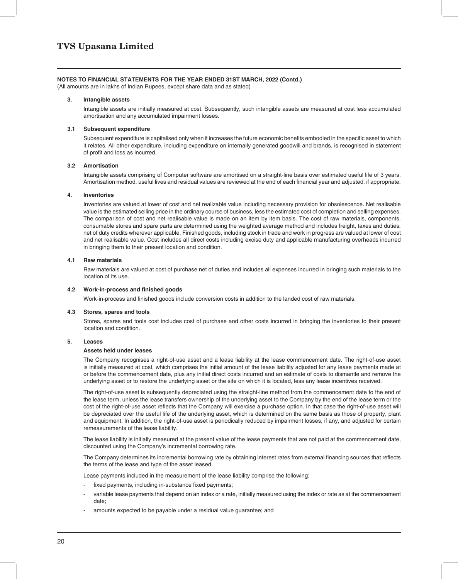(All amounts are in lakhs of Indian Rupees, except share data and as stated)

## **3. Intangible assets**

 Intangible assets are initially measured at cost. Subsequently, such intangible assets are measured at cost less accumulated amortisation and any accumulated impairment losses.

#### **3.1 Subsequent expenditure**

Subsequent expenditure is capitalised only when it increases the future economic benefits embodied in the specific asset to which it relates. All other expenditure, including expenditure on internally generated goodwill and brands, is recognised in statement of profit and loss as incurred.

#### **3.2 Amortisation**

 Intangible assets comprising of Computer software are amortised on a straight-line basis over estimated useful life of 3 years. Amortisation method, useful lives and residual values are reviewed at the end of each financial year and adjusted, if appropriate.

#### **4. Inventories**

 Inventories are valued at lower of cost and net realizable value including necessary provision for obsolescence. Net realisable value is the estimated selling price in the ordinary course of business, less the estimated cost of completion and selling expenses. The comparison of cost and net realisable value is made on an item by item basis. The cost of raw materials, components, consumable stores and spare parts are determined using the weighted average method and includes freight, taxes and duties, net of duty credits wherever applicable. Finished goods, including stock in trade and work in progress are valued at lower of cost and net realisable value. Cost includes all direct costs including excise duty and applicable manufacturing overheads incurred in bringing them to their present location and condition.

#### **4.1 Raw materials**

 Raw materials are valued at cost of purchase net of duties and includes all expenses incurred in bringing such materials to the location of its use.

## **4.2 Work-in-process and finished goods**

Work-in-process and finished goods include conversion costs in addition to the landed cost of raw materials.

#### **4.3 Stores, spares and tools**

 Stores, spares and tools cost includes cost of purchase and other costs incurred in bringing the inventories to their present location and condition.

## **5. Leases**

#### **Assets held under leases**

 The Company recognises a right-of-use asset and a lease liability at the lease commencement date. The right-of-use asset is initially measured at cost, which comprises the initial amount of the lease liability adjusted for any lease payments made at or before the commencement date, plus any initial direct costs incurred and an estimate of costs to dismantle and remove the underlying asset or to restore the underlying asset or the site on which it is located, less any lease incentives received.

 The right-of-use asset is subsequently depreciated using the straight-line method from the commencement date to the end of the lease term, unless the lease transfers ownership of the underlying asset to the Company by the end of the lease term or the cost of the right-of-use asset reflects that the Company will exercise a purchase option. In that case the right-of-use asset will be depreciated over the useful life of the underlying asset, which is determined on the same basis as those of property, plant and equipment. In addition, the right-of-use asset is periodically reduced by impairment losses, if any, and adjusted for certain remeasurements of the lease liability.

 The lease liability is initially measured at the present value of the lease payments that are not paid at the commencement date, discounted using the Company's incremental borrowing rate.

The Company determines its incremental borrowing rate by obtaining interest rates from external financing sources that reflects the terms of the lease and type of the asset leased.

Lease payments included in the measurement of the lease liability comprise the following:

- fixed payments, including in-substance fixed payments;
- variable lease payments that depend on an index or a rate, initially measured using the index or rate as at the commencement date;
- amounts expected to be payable under a residual value guarantee; and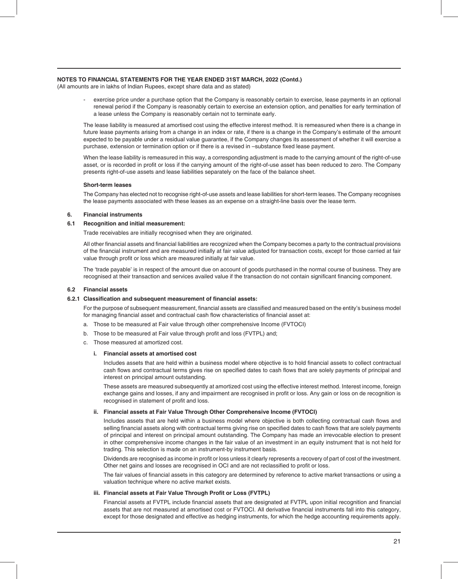(All amounts are in lakhs of Indian Rupees, except share data and as stated)

exercise price under a purchase option that the Company is reasonably certain to exercise, lease payments in an optional renewal period if the Company is reasonably certain to exercise an extension option, and penalties for early termination of a lease unless the Company is reasonably certain not to terminate early.

 The lease liability is measured at amortised cost using the effective interest method. It is remeasured when there is a change in future lease payments arising from a change in an index or rate, if there is a change in the Company's estimate of the amount expected to be payable under a residual value guarantee, if the Company changes its assessment of whether it will exercise a purchase, extension or termination option or if there is a revised in –substance fixed lease payment.

 When the lease liability is remeasured in this way, a corresponding adjustment is made to the carrying amount of the right-of-use asset, or is recorded in profit or loss if the carrying amount of the right-of-use asset has been reduced to zero. The Company presents right-of-use assets and lease liabilities separately on the face of the balance sheet.

#### **Short-term leases**

 The Company has elected not to recognise right-of-use assets and lease liabilities for short-term leases. The Company recognises the lease payments associated with these leases as an expense on a straight-line basis over the lease term.

### **6. Financial instruments**

## **6.1 Recognition and initial measurement:**

Trade receivables are initially recognised when they are originated.

All other financial assets and financial liabilities are recognized when the Company becomes a party to the contractual provisions of the financial instrument and are measured initially at fair value adjusted for transaction costs, except for those carried at fair value through profit or loss which are measured initially at fair value.

 The 'trade payable' is in respect of the amount due on account of goods purchased in the normal course of business. They are recognised at their transaction and services availed value if the transaction do not contain significant financing component.

## **6.2 Financial assets**

#### **6.2.1 Classification and subsequent measurement of financial assets:**

For the purpose of subsequent measurement, financial assets are classified and measured based on the entity's business model for managing financial asset and contractual cash flow characteristics of financial asset at:

- a. Those to be measured at Fair value through other comprehensive Income (FVTOCI)
- b. Those to be measured at Fair value through profit and loss (FVTPL) and;
- c. Those measured at amortized cost.

## **i. Financial assets at amortised cost**

Includes assets that are held within a business model where objective is to hold financial assets to collect contractual cash flows and contractual terms gives rise on specified dates to cash flows that are solely payments of principal and interest on principal amount outstanding.

 These assets are measured subsequently at amortized cost using the effective interest method. Interest income, foreign exchange gains and losses, if any and impairment are recognised in profit or loss. Any gain or loss on de recognition is recognised in statement of profit and loss.

## **ii. Financial assets at Fair Value Through Other Comprehensive Income (FVTOCI)**

Includes assets that are held within a business model where objective is both collecting contractual cash flows and selling financial assets along with contractual terms giving rise on specified dates to cash flows that are solely payments of principal and interest on principal amount outstanding. The Company has made an irrevocable election to present in other comprehensive income changes in the fair value of an investment in an equity instrument that is not held for trading. This selection is made on an instrument-by instrument basis.

Dividends are recognised as income in profit or loss unless it clearly represents a recovery of part of cost of the investment. Other net gains and losses are recognised in OCI and are not reclassified to profit or loss.

The fair values of financial assets in this category are determined by reference to active market transactions or using a valuation technique where no active market exists.

#### **iii.** Financial assets at Fair Value Through Profit or Loss (FVTPL)

Financial assets at FVTPL include financial assets that are designated at FVTPL upon initial recognition and financial assets that are not measured at amortised cost or FVTOCI. All derivative financial instruments fall into this category, except for those designated and effective as hedging instruments, for which the hedge accounting requirements apply.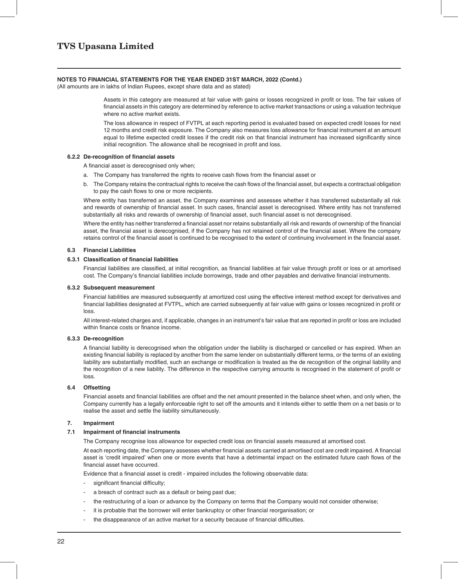## **NOTES TO FINANCIAL STATEMENTS FOR THE YEAR ENDED 31ST MARCH, 2022 (Contd.)**

(All amounts are in lakhs of Indian Rupees, except share data and as stated)

Assets in this category are measured at fair value with gains or losses recognized in profit or loss. The fair values of financial assets in this category are determined by reference to active market transactions or using a valuation technique where no active market exists.

 The loss allowance in respect of FVTPL at each reporting period is evaluated based on expected credit losses for next 12 months and credit risk exposure. The Company also measures loss allowance for financial instrument at an amount equal to lifetime expected credit losses if the credit risk on that financial instrument has increased significantly since initial recognition. The allowance shall be recognised in profit and loss.

### **6.2.2 De-recognition of fi nancial assets**

A financial asset is derecognised only when;

- a. The Company has transferred the rights to receive cash flows from the financial asset or
- b. The Company retains the contractual rights to receive the cash flows of the financial asset, but expects a contractual obligation to pay the cash flows to one or more recipients.

 Where entity has transferred an asset, the Company examines and assesses whether it has transferred substantially all risk and rewards of ownership of financial asset. In such cases, financial asset is derecognised. Where entity has not transferred substantially all risks and rewards of ownership of financial asset, such financial asset is not derecognised.

Where the entity has neither transferred a financial asset nor retains substantially all risk and rewards of ownership of the financial asset, the financial asset is derecognised, if the Company has not retained control of the financial asset. Where the company retains control of the financial asset is continued to be recognised to the extent of continuing involvement in the financial asset.

### **6.3 Financial Liabilities**

## **6.3.1 Classification of financial liabilities**

Financial liabilities are classified, at initial recognition, as financial liabilities at fair value through profit or loss or at amortised cost. The Company's financial liabilities include borrowings, trade and other payables and derivative financial instruments.

### **6.3.2 Subsequent measurement**

 Financial liabilities are measured subsequently at amortized cost using the effective interest method except for derivatives and financial liabilities designated at FVTPL, which are carried subsequently at fair value with gains or losses recognized in profit or loss.

All interest-related charges and, if applicable, changes in an instrument's fair value that are reported in profit or loss are included within finance costs or finance income.

## **6.3.3 De-recognition**

A financial liability is derecognised when the obligation under the liability is discharged or cancelled or has expired. When an existing financial liability is replaced by another from the same lender on substantially different terms, or the terms of an existing liability are substantially modified, such an exchange or modification is treated as the de recognition of the original liability and the recognition of a new liability. The difference in the respective carrying amounts is recognised in the statement of profit or loss.

## **6.4 Offsetting**

Financial assets and financial liabilities are offset and the net amount presented in the balance sheet when, and only when, the Company currently has a legally enforceable right to set off the amounts and it intends either to settle them on a net basis or to realise the asset and settle the liability simultaneously.

## **7. Impairment**

## **7.1 Impairment of financial instruments**

The Company recognise loss allowance for expected credit loss on financial assets measured at amortised cost.

At each reporting date, the Company assesses whether financial assets carried at amortised cost are credit impaired. A financial asset is 'credit impaired' when one or more events that have a detrimental impact on the estimated future cash flows of the financial asset have occurred.

Evidence that a financial asset is credit - impaired includes the following observable data:

- significant financial difficulty;
- a breach of contract such as a default or being past due;
- the restructuring of a loan or advance by the Company on terms that the Company would not consider otherwise;
- it is probable that the borrower will enter bankruptcy or other financial reorganisation; or
- the disappearance of an active market for a security because of financial difficulties.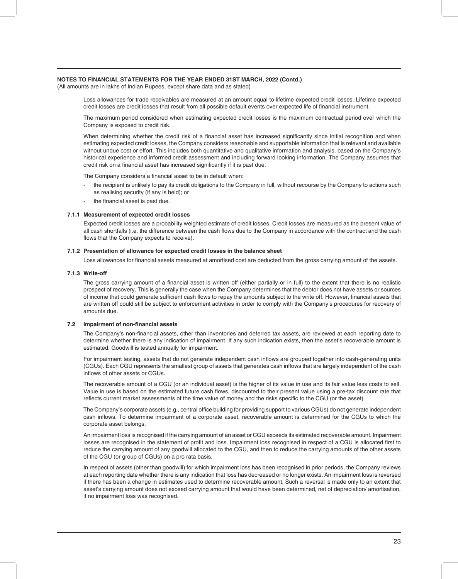(All amounts are in lakhs of Indian Rupees, except share data and as stated)

 Loss allowances for trade receivables are measured at an amount equal to lifetime expected credit losses. Lifetime expected credit losses are credit losses that result from all possible default events over expected life of financial instrument.

 The maximum period considered when estimating expected credit losses is the maximum contractual period over which the Company is exposed to credit risk.

When determining whether the credit risk of a financial asset has increased significantly since initial recognition and when estimating expected credit losses, the Company considers reasonable and supportable information that is relevant and available without undue cost or effort. This includes both quantitative and qualitative information and analysis, based on the Company's historical experience and informed credit assessment and including forward looking information. The Company assumes that credit risk on a financial asset has increased significantly if it is past due.

The Company considers a financial asset to be in default when:

- the recipient is unlikely to pay its credit obligations to the Company in full, without recourse by the Company to actions such as realising security (if any is held); or
- the financial asset is past due.

#### **7.1.1 Measurement of expected credit losses**

 Expected credit losses are a probability weighted estimate of credit losses. Credit losses are measured as the present value of all cash shortfalls (i.e. the difference between the cash flows due to the Company in accordance with the contract and the cash flows that the Company expects to receive).

## **7.1.2 Presentation of allowance for expected credit losses in the balance sheet**

Loss allowances for financial assets measured at amortised cost are deducted from the gross carrying amount of the assets.

#### **7.1.3 Write-off**

The gross carrying amount of a financial asset is written off (either partially or in full) to the extent that there is no realistic prospect of recovery. This is generally the case when the Company determines that the debtor does not have assets or sources of income that could generate sufficient cash flows to repay the amounts subject to the write off. However, financial assets that are written off could still be subject to enforcement activities in order to comply with the Company's procedures for recovery of amounts due.

#### **7.2** Impairment of non-financial assets

The Company's non-financial assets, other than inventories and deferred tax assets, are reviewed at each reporting date to determine whether there is any indication of impairment. If any such indication exists, then the asset's recoverable amount is estimated. Goodwill is tested annually for impairment.

For impairment testing, assets that do not generate independent cash inflows are grouped together into cash-generating units (CGUs). Each CGU represents the smallest group of assets that generates cash inflows that are largely independent of the cash inflows of other assets or CGUs.

 The recoverable amount of a CGU (or an individual asset) is the higher of its value in use and its fair value less costs to sell. Value in use is based on the estimated future cash flows, discounted to their present value using a pre-tax discount rate that reflects current market assessments of the time value of money and the risks specific to the CGU (or the asset).

The Company's corporate assets (e.g., central office building for providing support to various CGUs) do not generate independent cash inflows. To determine impairment of a corporate asset, recoverable amount is determined for the CGUs to which the corporate asset belongs.

 An impairment loss is recognised if the carrying amount of an asset or CGU exceeds its estimated recoverable amount. Impairment losses are recognised in the statement of profit and loss. Impairment loss recognised in respect of a CGU is allocated first to reduce the carrying amount of any goodwill allocated to the CGU, and then to reduce the carrying amounts of the other assets of the CGU (or group of CGUs) on a pro rata basis.

 In respect of assets (other than goodwill) for which impairment loss has been recognised in prior periods, the Company reviews at each reporting date whether there is any indication that loss has decreased or no longer exists. An impairment loss is reversed if there has been a change in estimates used to determine recoverable amount. Such a reversal is made only to an extent that asset's carrying amount does not exceed carrying amount that would have been determined, net of depreciation/ amortisation, if no impairment loss was recognised.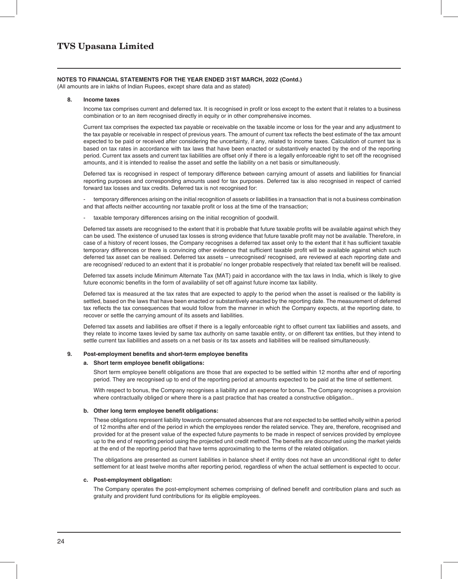(All amounts are in lakhs of Indian Rupees, except share data and as stated)

#### **8. Income taxes**

Income tax comprises current and deferred tax. It is recognised in profit or loss except to the extent that it relates to a business combination or to an item recognised directly in equity or in other comprehensive incomes.

 Current tax comprises the expected tax payable or receivable on the taxable income or loss for the year and any adjustment to the tax payable or receivable in respect of previous years. The amount of current tax reflects the best estimate of the tax amount expected to be paid or received after considering the uncertainty, if any, related to income taxes. Calculation of current tax is based on tax rates in accordance with tax laws that have been enacted or substantively enacted by the end of the reporting period. Current tax assets and current tax liabilities are offset only if there is a legally enforceable right to set off the recognised amounts, and it is intended to realise the asset and settle the liability on a net basis or simultaneously.

Deferred tax is recognised in respect of temporary difference between carrying amount of assets and liabilities for financial reporting purposes and corresponding amounts used for tax purposes. Deferred tax is also recognised in respect of carried forward tax losses and tax credits. Deferred tax is not recognised for:

temporary differences arising on the initial recognition of assets or liabilities in a transaction that is not a business combination and that affects neither accounting nor taxable profit or loss at the time of the transaction;

taxable temporary differences arising on the initial recognition of goodwill.

Deferred tax assets are recognised to the extent that it is probable that future taxable profits will be available against which they can be used. The existence of unused tax losses is strong evidence that future taxable profit may not be available. Therefore, in case of a history of recent losses, the Company recognises a deferred tax asset only to the extent that it has sufficient taxable temporary differences or there is convincing other evidence that sufficient taxable profit will be available against which such deferred tax asset can be realised. Deferred tax assets – unrecognised/ recognised, are reviewed at each reporting date and are recognised/ reduced to an extent that it is probable/ no longer probable respectively that related tax benefit will be realised.

 Deferred tax assets include Minimum Alternate Tax (MAT) paid in accordance with the tax laws in India, which is likely to give future economic benefits in the form of availability of set off against future income tax liability.

Deferred tax is measured at the tax rates that are expected to apply to the period when the asset is realised or the liability is settled, based on the laws that have been enacted or substantively enacted by the reporting date. The measurement of deferred tax reflects the tax consequences that would follow from the manner in which the Company expects, at the reporting date, to recover or settle the carrying amount of its assets and liabilities.

 Deferred tax assets and liabilities are offset if there is a legally enforceable right to offset current tax liabilities and assets, and they relate to income taxes levied by same tax authority on same taxable entity, or on different tax entities, but they intend to settle current tax liabilities and assets on a net basis or its tax assets and liabilities will be realised simultaneously.

## 9. Post-employment benefits and short-term employee benefits

### a. Short term employee benefit obligations:

Short term employee benefit obligations are those that are expected to be settled within 12 months after end of reporting period. They are recognised up to end of the reporting period at amounts expected to be paid at the time of settlement.

 With respect to bonus, the Company recognises a liability and an expense for bonus. The Company recognises a provision where contractually obliged or where there is a past practice that has created a constructive obligation..

#### **b.** Other long term employee benefit obligations:

 These obligations represent liability towards compensated absences that are not expected to be settled wholly within a period of 12 months after end of the period in which the employees render the related service. They are, therefore, recognised and provided for at the present value of the expected future payments to be made in respect of services provided by employee up to the end of reporting period using the projected unit credit method. The benefits are discounted using the market yields at the end of the reporting period that have terms approximating to the terms of the related obligation.

 The obligations are presented as current liabilities in balance sheet if entity does not have an unconditional right to defer settlement for at least twelve months after reporting period, regardless of when the actual settlement is expected to occur.

#### **c. Post-employment obligation:**

The Company operates the post-employment schemes comprising of defined benefit and contribution plans and such as gratuity and provident fund contributions for its eligible employees.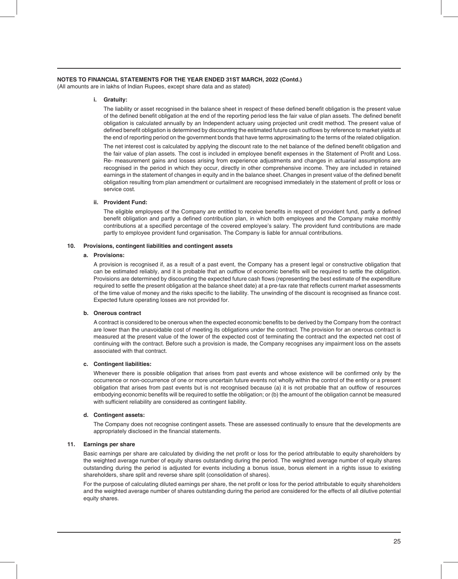(All amounts are in lakhs of Indian Rupees, except share data and as stated)

## **i. Gratuity:**

The liability or asset recognised in the balance sheet in respect of these defined benefit obligation is the present value of the defined benefit obligation at the end of the reporting period less the fair value of plan assets. The defined benefit obligation is calculated annually by an Independent actuary using projected unit credit method. The present value of defined benefit obligation is determined by discounting the estimated future cash outflows by reference to market yields at the end of reporting period on the government bonds that have terms approximating to the terms of the related obligation.

The net interest cost is calculated by applying the discount rate to the net balance of the defined benefit obligation and the fair value of plan assets. The cost is included in employee benefit expenses in the Statement of Profit and Loss. Re- measurement gains and losses arising from experience adjustments and changes in actuarial assumptions are recognised in the period in which they occur, directly in other comprehensive income. They are included in retained earnings in the statement of changes in equity and in the balance sheet. Changes in present value of the defined benefit obligation resulting from plan amendment or curtailment are recognised immediately in the statement of profit or loss or service cost.

## **ii. Provident Fund:**

The eligible employees of the Company are entitled to receive benefits in respect of provident fund, partly a defined benefit obligation and partly a defined contribution plan, in which both employees and the Company make monthly contributions at a specified percentage of the covered employee's salary. The provident fund contributions are made partly to employee provident fund organisation. The Company is liable for annual contributions.

### **10. Provisions, contingent liabilities and contingent assets**

## **a. Provisions:**

 A provision is recognised if, as a result of a past event, the Company has a present legal or constructive obligation that can be estimated reliably, and it is probable that an outflow of economic benefits will be required to settle the obligation. Provisions are determined by discounting the expected future cash flows (representing the best estimate of the expenditure required to settle the present obligation at the balance sheet date) at a pre-tax rate that reflects current market assessments of the time value of money and the risks specific to the liability. The unwinding of the discount is recognised as finance cost. Expected future operating losses are not provided for.

## **b. Onerous contract**

A contract is considered to be onerous when the expected economic benefits to be derived by the Company from the contract are lower than the unavoidable cost of meeting its obligations under the contract. The provision for an onerous contract is measured at the present value of the lower of the expected cost of terminating the contract and the expected net cost of continuing with the contract. Before such a provision is made, the Company recognises any impairment loss on the assets associated with that contract.

## **c. Contingent liabilities:**

Whenever there is possible obligation that arises from past events and whose existence will be confirmed only by the occurrence or non-occurrence of one or more uncertain future events not wholly within the control of the entity or a present obligation that arises from past events but is not recognised because (a) it is not probable that an outflow of resources embodying economic benefits will be required to settle the obligation; or (b) the amount of the obligation cannot be measured with sufficient reliability are considered as contingent liability.

## **d. Contingent assets:**

 The Company does not recognise contingent assets. These are assessed continually to ensure that the developments are appropriately disclosed in the financial statements.

## **11. Earnings per share**

Basic earnings per share are calculated by dividing the net profit or loss for the period attributable to equity shareholders by the weighted average number of equity shares outstanding during the period. The weighted average number of equity shares outstanding during the period is adjusted for events including a bonus issue, bonus element in a rights issue to existing shareholders, share split and reverse share split (consolidation of shares).

For the purpose of calculating diluted earnings per share, the net profit or loss for the period attributable to equity shareholders and the weighted average number of shares outstanding during the period are considered for the effects of all dilutive potential equity shares.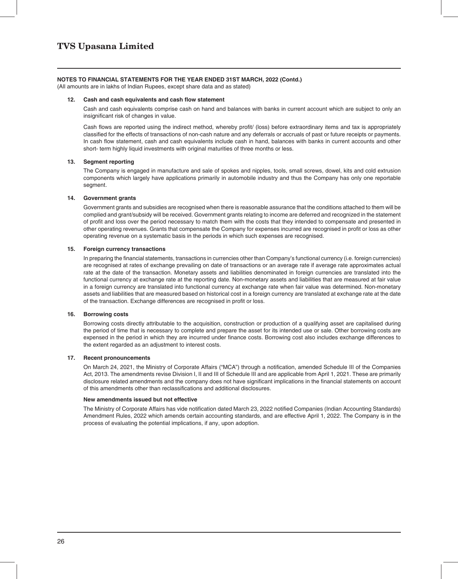(All amounts are in lakhs of Indian Rupees, except share data and as stated)

### 12. Cash and cash equivalents and cash flow statement

 Cash and cash equivalents comprise cash on hand and balances with banks in current account which are subject to only an insignificant risk of changes in value.

Cash flows are reported using the indirect method, whereby profit/ (loss) before extraordinary items and tax is appropriately classified for the effects of transactions of non-cash nature and any deferrals or accruals of past or future receipts or payments. In cash flow statement, cash and cash equivalents include cash in hand, balances with banks in current accounts and other short- term highly liquid investments with original maturities of three months or less.

### **13. Segment reporting**

 The Company is engaged in manufacture and sale of spokes and nipples, tools, small screws, dowel, kits and cold extrusion components which largely have applications primarily in automobile industry and thus the Company has only one reportable segment.

### **14. Government grants**

 Government grants and subsidies are recognised when there is reasonable assurance that the conditions attached to them will be complied and grant/subsidy will be received. Government grants relating to income are deferred and recognized in the statement of profit and loss over the period necessary to match them with the costs that they intended to compensate and presented in other operating revenues. Grants that compensate the Company for expenses incurred are recognised in profit or loss as other operating revenue on a systematic basis in the periods in which such expenses are recognised.

### **15. Foreign currency transactions**

In preparing the financial statements, transactions in currencies other than Company's functional currency (i.e. foreign currencies) are recognised at rates of exchange prevailing on date of transactions or an average rate if average rate approximates actual rate at the date of the transaction. Monetary assets and liabilities denominated in foreign currencies are translated into the functional currency at exchange rate at the reporting date. Non-monetary assets and liabilities that are measured at fair value in a foreign currency are translated into functional currency at exchange rate when fair value was determined. Non-monetary assets and liabilities that are measured based on historical cost in a foreign currency are translated at exchange rate at the date of the transaction. Exchange differences are recognised in profit or loss.

## **16. Borrowing costs**

 Borrowing costs directly attributable to the acquisition, construction or production of a qualifying asset are capitalised during the period of time that is necessary to complete and prepare the asset for its intended use or sale. Other borrowing costs are expensed in the period in which they are incurred under finance costs. Borrowing cost also includes exchange differences to the extent regarded as an adjustment to interest costs.

## **17. Recent pronouncements**

On March 24, 2021, the Ministry of Corporate Affairs ("MCA") through a notification, amended Schedule III of the Companies Act, 2013. The amendments revise Division I, II and III of Schedule III and are applicable from April 1, 2021. These are primarily disclosure related amendments and the company does not have significant implications in the financial statements on account of this amendments other than reclassifications and additional disclosures.

## **New amendments issued but not effective**

The Ministry of Corporate Affairs has vide notification dated March 23, 2022 notified Companies (Indian Accounting Standards) Amendment Rules, 2022 which amends certain accounting standards, and are effective April 1, 2022. The Company is in the process of evaluating the potential implications, if any, upon adoption.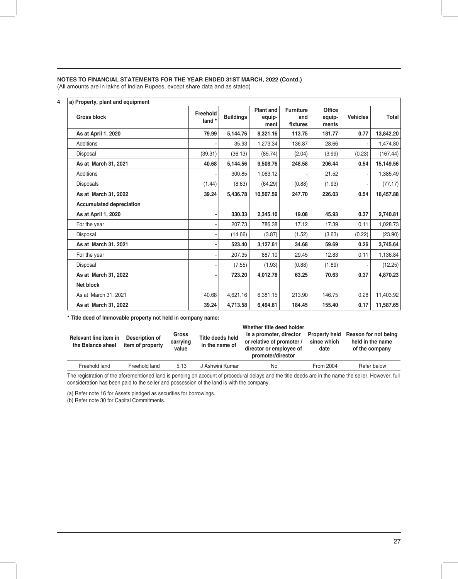(All amounts are in lakhs of Indian Rupees, except share data and as stated)

| a) Property, plant and equipment<br><b>Gross block</b> | Freehold<br>land *       | <b>Buildings</b> | <b>Plant and</b><br>equip-<br>ment | <b>Furniture</b><br>and<br>fixtures | Office<br>equip-<br>ments | <b>Vehicles</b> | Total     |
|--------------------------------------------------------|--------------------------|------------------|------------------------------------|-------------------------------------|---------------------------|-----------------|-----------|
| As at April 1, 2020                                    | 79.99                    | 5,144.76         | 8,321.16                           | 113.75                              | 181.77                    | 0.77            | 13,842.20 |
| Additions                                              |                          | 35.93            | 1.273.34                           | 136.87                              | 28.66                     |                 | 1.474.80  |
| Disposal                                               | (39.31)                  | (36.13)          | (85.74)                            | (2.04)                              | (3.99)                    | (0.23)          | (167.44)  |
| As at March 31, 2021                                   | 40.68                    | 5,144.56         | 9.508.76                           | 248.58                              | 206.44                    | 0.54            | 15,149.56 |
| Additions                                              |                          | 300.85           | 1.063.12                           |                                     | 21.52                     |                 | 1,385.49  |
| <b>Disposals</b>                                       | (1.44)                   | (8.63)           | (64.29)                            | (0.88)                              | (1.93)                    | -               | (77.17)   |
| As at March 31, 2022                                   | 39.24                    | 5.436.78         | 10.507.59                          | 247.70                              | 226.03                    | 0.54            | 16,457.88 |
| <b>Accumulated depreciation</b>                        |                          |                  |                                    |                                     |                           |                 |           |
| As at April 1, 2020                                    | $\overline{\phantom{a}}$ | 330.33           | 2.345.10                           | 19.08                               | 45.93                     | 0.37            | 2,740.81  |
| For the year                                           | -                        | 207.73           | 786.38                             | 17.12                               | 17.39                     | 0.11            | 1,028.73  |
| Disposal                                               |                          | (14.66)          | (3.87)                             | (1.52)                              | (3.63)                    | (0.22)          | (23.90)   |
| As at March 31, 2021                                   | $\overline{\phantom{a}}$ | 523.40           | 3,127.61                           | 34.68                               | 59.69                     | 0.26            | 3,745.64  |
| For the year                                           | $\overline{\phantom{a}}$ | 207.35           | 887.10                             | 29.45                               | 12.83                     | 0.11            | 1,136.84  |
| Disposal                                               | -                        | (7.55)           | (1.93)                             | (0.88)                              | (1.89)                    |                 | (12.25)   |
| As at March 31, 2022                                   | $\overline{\phantom{a}}$ | 723.20           | 4.012.78                           | 63.25                               | 70.63                     | 0.37            | 4,870.23  |
| Net block                                              |                          |                  |                                    |                                     |                           |                 |           |
| As at March 31, 2021                                   | 40.68                    | 4.621.16         | 6.381.15                           | 213.90                              | 146.75                    | 0.28            | 11,403.92 |
| As at March 31, 2022                                   | 39.24                    | 4,713.58         | 6.494.81                           | 184.45                              | 155.40                    | 0.17            | 11,587.65 |

**\* Title deed of Immovable property not held in company name:**

| Relevant line item in<br>the Balance sheet | Description of<br>item of property | Gross<br>carrying<br>value | Title deeds held<br>in the name of | Whether title deed holder<br>is a promoter, director<br>or relative of promoter /<br>director or employee of<br>promoter/director | <b>Property held</b><br>since which<br>date | Reason for not being<br>held in the name<br>of the company |
|--------------------------------------------|------------------------------------|----------------------------|------------------------------------|-----------------------------------------------------------------------------------------------------------------------------------|---------------------------------------------|------------------------------------------------------------|
| Freehold land                              | Freehold land                      | 5.13                       | J Ashwini Kumar                    | No                                                                                                                                | From 2004                                   | Refer below                                                |

The registration of the aforementioned land is pending on account of procedural delays and the title deeds are in the name the seller. However, full consideration has been paid to the seller and possession of the land is with the company.

(a) Refer note 16 for Assets pledged as securities for borrowings.

(b) Refer note 30 for Capital Commitments.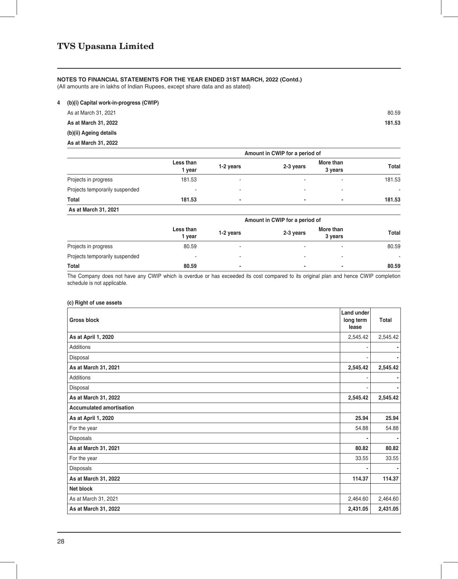(All amounts are in lakhs of Indian Rupees, except share data and as stated)

## **4 (b)(i) Capital work-in-progress (CWIP)**

| .                      |        |
|------------------------|--------|
| As at March 31, 2021   | 80.59  |
| As at March 31, 2022   | 181.53 |
| (b)(ii) Ageing details |        |

**As at March 31, 2022**

|                                | Amount in CWIP for a period of |                          |                |                      |        |  |
|--------------------------------|--------------------------------|--------------------------|----------------|----------------------|--------|--|
|                                | Less than<br>l vear            | 1-2 years                | 2-3 years      | More than<br>3 years | Total  |  |
| Projects in progress           | 181.53                         | $\overline{\phantom{0}}$ | -              | ٠                    | 181.53 |  |
| Projects temporarily suspended |                                |                          | <b>.</b>       | -                    |        |  |
| <b>Total</b>                   | 181.53                         | $\blacksquare$           | $\blacksquare$ | $\blacksquare$       | 181.53 |  |
| As at March 31, 2021           |                                |                          |                |                      |        |  |

|                                | Amount in CWIP for a period of |                |                |                          |              |  |  |
|--------------------------------|--------------------------------|----------------|----------------|--------------------------|--------------|--|--|
|                                | Less than<br>vear              | 1-2 years      | 2-3 years      | More than<br>3 years     | <b>Total</b> |  |  |
| Projects in progress           | 80.59                          | $\sim$         |                | $\overline{\phantom{a}}$ | 80.59        |  |  |
| Projects temporarily suspended |                                | ۰              | ٠              | $\overline{\phantom{a}}$ | ٠            |  |  |
| Total                          | 80.59                          | $\blacksquare$ | $\blacksquare$ |                          | 80.59        |  |  |

The Company does not have any CWIP which is overdue or has exceeded its cost compared to its original plan and hence CWIP completion schedule is not applicable.

## **(c) Right of use assets**

| <b>Gross block</b>              | <b>Land under</b><br>long term<br>lease | <b>Total</b>   |
|---------------------------------|-----------------------------------------|----------------|
| As at April 1, 2020             | 2,545.42                                | 2,545.42       |
| <b>Additions</b>                |                                         |                |
| Disposal                        |                                         | -              |
| As at March 31, 2021            | 2,545.42                                | 2,545.42       |
| Additions                       |                                         |                |
| Disposal                        |                                         | -              |
| As at March 31, 2022            | 2,545.42                                | 2,545.42       |
| <b>Accumulated amortisation</b> |                                         |                |
| As at April 1, 2020             | 25.94                                   | 25.94          |
| For the year                    | 54.88                                   | 54.88          |
| Disposals                       |                                         | $\blacksquare$ |
| As at March 31, 2021            | 80.82                                   | 80.82          |
| For the year                    | 33.55                                   | 33.55          |
| <b>Disposals</b>                |                                         | $\blacksquare$ |
| As at March 31, 2022            | 114.37                                  | 114.37         |
| <b>Net block</b>                |                                         |                |
| As at March 31, 2021            | 2,464.60                                | 2,464.60       |
| As at March 31, 2022            | 2,431.05                                | 2,431.05       |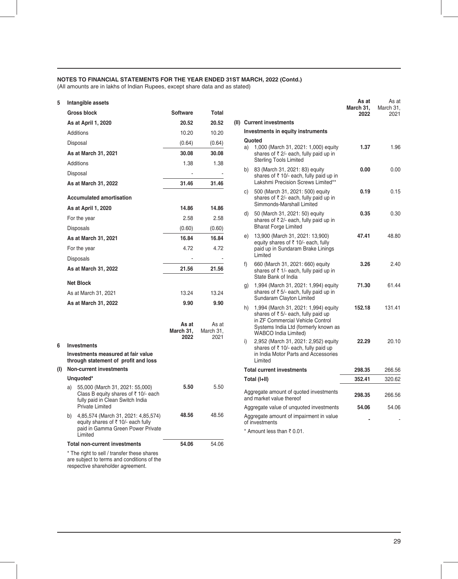(All amounts are in lakhs of Indian Rupees, except share data and as stated)

| 5   |    | Intangible assets                                                                                                                             |                            |                            |
|-----|----|-----------------------------------------------------------------------------------------------------------------------------------------------|----------------------------|----------------------------|
|     |    | <b>Gross block</b>                                                                                                                            | <b>Software</b>            | Total                      |
|     |    | As at April 1, 2020                                                                                                                           | 20.52                      | 20.52                      |
|     |    | Additions                                                                                                                                     | 10.20                      | 10.20                      |
|     |    | Disposal                                                                                                                                      | (0.64)                     | (0.64)                     |
|     |    | As at March 31, 2021                                                                                                                          | 30.08                      | 30.08                      |
|     |    | Additions                                                                                                                                     | 1.38                       | 1.38                       |
|     |    | Disposal                                                                                                                                      | L.                         |                            |
|     |    | As at March 31, 2022                                                                                                                          | 31.46                      | 31.46                      |
|     |    | <b>Accumulated amortisation</b>                                                                                                               |                            |                            |
|     |    | As at April 1, 2020                                                                                                                           | 14.86                      | 14.86                      |
|     |    | For the year                                                                                                                                  | 2.58                       | 2.58                       |
|     |    | <b>Disposals</b>                                                                                                                              | (0.60)                     | (0.60)                     |
|     |    | As at March 31, 2021                                                                                                                          | 16.84                      | 16.84                      |
|     |    | For the year                                                                                                                                  | 4.72                       | 4.72                       |
|     |    | <b>Disposals</b>                                                                                                                              |                            |                            |
|     |    | As at March 31, 2022                                                                                                                          | 21.56                      | 21.56                      |
|     |    | <b>Net Block</b>                                                                                                                              |                            |                            |
|     |    | As at March 31, 2021                                                                                                                          | 13.24                      | 13.24                      |
|     |    | As at March 31, 2022                                                                                                                          | 9.90                       | 9.90                       |
|     |    |                                                                                                                                               |                            |                            |
|     |    |                                                                                                                                               | As at<br>March 31,<br>2022 | As at<br>March 31,<br>2021 |
| 6   |    | <b>Investments</b>                                                                                                                            |                            |                            |
|     |    | Investments measured at fair value<br>through statement of profit and loss                                                                    |                            |                            |
| (I) |    | <b>Non-current investments</b>                                                                                                                |                            |                            |
|     |    | Unquoted*                                                                                                                                     |                            |                            |
|     | a) | 55,000 (March 31, 2021: 55,000)<br>Class B equity shares of $\bar{z}$ 10/- each<br>fully paid in Clean Switch India<br><b>Private Limited</b> | 5.50                       | 5.50                       |
|     | b) | 4,85,574 (March 31, 2021: 4,85,574)<br>equity shares of ₹10/- each fully<br>paid in Gamma Green Power Private<br>I imited                     | 48.56                      | 48.56                      |
|     |    | <b>Total non-current investments</b>                                                                                                          | 54.06                      | 54.06                      |
|     |    | * The right to sell / transfer these shares<br>are subject to terms and conditions of the                                                     |                            |                            |

respective shareholder agreement.

|    |                                                                                                                                                                                 | As at<br>March 31,<br>2022 | As at<br>March 31,<br>2021 |
|----|---------------------------------------------------------------------------------------------------------------------------------------------------------------------------------|----------------------------|----------------------------|
|    | (II) Current investments                                                                                                                                                        |                            |                            |
|    | Investments in equity instruments                                                                                                                                               |                            |                            |
|    | Quoted                                                                                                                                                                          |                            |                            |
| a) | 1,000 (March 31, 2021: 1,000) equity<br>shares of ₹ 2/- each, fully paid up in<br><b>Sterling Tools Limited</b>                                                                 | 1.37                       | 1.96                       |
| b) | 83 (March 31, 2021: 83) equity<br>shares of ₹10/- each, fully paid up in<br>Lakshmi Precision Screws Limited**                                                                  | 0.00                       | 0.00                       |
| c) | 500 (March 31, 2021: 500) equity<br>shares of ₹ 2/- each, fully paid up in<br>Simmonds-Marshall Limited                                                                         | 0.19                       | 0.15                       |
| d) | 50 (March 31, 2021: 50) equity<br>shares of $\bar{z}$ 2/- each, fully paid up in<br><b>Bharat Forge Limited</b>                                                                 | 0.35                       | 0.30                       |
| e) | 13,900 (March 31, 2021: 13,900)<br>equity shares of ₹ 10/- each, fully<br>paid up in Sundaram Brake Linings<br>Limited                                                          | 47.41                      | 48.80                      |
| f) | 660 (March 31, 2021: 660) equity<br>shares of ₹ 1/- each, fully paid up in<br>State Bank of India                                                                               | 3.26                       | 2.40                       |
| g) | 1,994 (March 31, 2021: 1,994) equity<br>shares of ₹ 5/- each, fully paid up in<br>Sundaram Clayton Limited                                                                      | 71.30                      | 61.44                      |
| h) | 1,994 (March 31, 2021: 1,994) equity<br>shares of ₹ 5/- each, fully paid up<br>in ZF Commercial Vehicle Control<br>Systems India Ltd (formerly known as<br>WABCO India Limited) | 152.18                     | 131.41                     |
| i) | 2,952 (March 31, 2021: 2,952) equity<br>shares of ₹ 10/- each, fully paid up<br>in India Motor Parts and Accessories<br>I imited                                                | 22.29                      | 20.10                      |
|    | <b>Total current investments</b>                                                                                                                                                | 298.35                     | 266.56                     |
|    | Total (I+II)                                                                                                                                                                    | 352.41                     | 320.62                     |
|    | Aggregate amount of guoted investments<br>and market value thereof                                                                                                              | 298.35                     | 266.56                     |
|    | Aggregate value of unquoted investments                                                                                                                                         | 54.06                      | 54.06                      |
|    | Aggregate amount of impairment in value<br>of investments                                                                                                                       |                            |                            |
|    | * Amount less than ₹ 0.01.                                                                                                                                                      |                            |                            |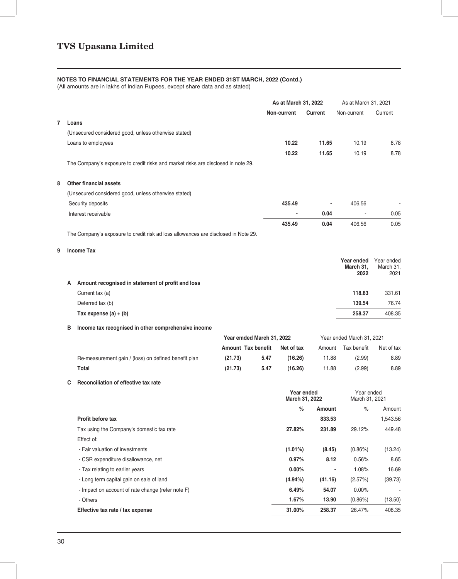(All amounts are in lakhs of Indian Rupees, except share data and as stated)

|   |                                                                                    |                           |      | As at March 31, 2022 |                              | As at March 31, 2021              |                                 |
|---|------------------------------------------------------------------------------------|---------------------------|------|----------------------|------------------------------|-----------------------------------|---------------------------------|
|   |                                                                                    |                           |      | Non-current          | Current                      | Non-current                       | Current                         |
| 7 | Loans                                                                              |                           |      |                      |                              |                                   |                                 |
|   | (Unsecured considered good, unless otherwise stated)                               |                           |      |                      |                              |                                   |                                 |
|   | Loans to employees                                                                 |                           |      | 10.22                | 11.65                        | 10.19                             | 8.78                            |
|   |                                                                                    |                           |      | 10.22                | 11.65                        | 10.19                             | 8.78                            |
|   | The Company's exposure to credit risks and market risks are disclosed in note 29.  |                           |      |                      |                              |                                   |                                 |
| 8 | <b>Other financial assets</b>                                                      |                           |      |                      |                              |                                   |                                 |
|   | (Unsecured considered good, unless otherwise stated)                               |                           |      |                      |                              |                                   |                                 |
|   | Security deposits                                                                  |                           |      | 435.49               |                              | 406.56                            |                                 |
|   | Interest receivable                                                                |                           |      |                      | 0.04                         |                                   | 0.05                            |
|   |                                                                                    |                           |      | 435.49               | 0.04                         | 406.56                            | 0.05                            |
|   | The Company's exposure to credit risk ad loss allowances are disclosed in Note 29. |                           |      |                      |                              |                                   |                                 |
| 9 | <b>Income Tax</b>                                                                  |                           |      |                      |                              |                                   |                                 |
|   |                                                                                    |                           |      |                      |                              | Year ended<br>March 31,<br>2022   | Year ended<br>March 31,<br>2021 |
| А | Amount recognised in statement of profit and loss                                  |                           |      |                      |                              |                                   |                                 |
|   | Current tax (a)                                                                    |                           |      |                      |                              | 118.83                            | 331.61                          |
|   | Deferred tax (b)                                                                   |                           |      |                      |                              | 139.54                            | 76.74                           |
|   | Tax expense $(a) + (b)$                                                            |                           |      |                      |                              | 258.37                            | 408.35                          |
| в | Income tax recognised in other comprehensive income                                |                           |      |                      |                              |                                   |                                 |
|   |                                                                                    | Year emded March 31, 2022 |      |                      |                              | Year ended March 31, 2021         |                                 |
|   |                                                                                    | Amount Tax benefit        |      | Net of tax           | Amount                       | Tax benefit                       | Net of tax                      |
|   | Re-measurement gain / (loss) on defined benefit plan                               | (21.73)                   | 5.47 | (16.26)              | 11.88                        | (2.99)                            | 8.89                            |
|   | Total                                                                              | (21.73)                   | 5.47 | (16.26)              | 11.88                        | (2.99)                            | 8.89                            |
| C | Reconciliation of effective tax rate                                               |                           |      |                      |                              |                                   |                                 |
|   |                                                                                    |                           |      |                      | Year ended<br>March 31, 2022 | Year ended<br>March 31, 2021      |                                 |
|   |                                                                                    |                           |      | %                    | Amount                       | $\%$                              | Amount                          |
|   | Profit before tax                                                                  |                           |      |                      | 833.53                       |                                   | 1,543.56                        |
|   | Tax using the Company's domestic tax rate                                          |                           |      | 27.82%               | 231.89                       | 29.12%                            | 449.48                          |
|   | Effect of:                                                                         |                           |      |                      |                              |                                   |                                 |
|   | - Fair valuation of investments                                                    |                           |      | (1.01%)              | (8.45)                       | (0.86%)                           | (13.24)                         |
|   | - CSR expenditure disallowance, net                                                |                           |      | 0.97%                | 8.12                         | 0.56%                             | 8.65                            |
|   | - Tax relating to earlier years                                                    |                           |      | 0.00%                |                              | 1.08%<br>$\overline{\phantom{a}}$ | 16.69                           |
|   | - Long term capital gain on sale of land                                           |                           |      | $(4.94\%)$           | (41.16)                      | (2.57%)                           | (39.73)                         |
|   | - Impact on account of rate change (refer note F)                                  |                           |      | 6.49%                | 54.07                        | 0.00%                             |                                 |
|   | - Others                                                                           |                           |      | 1.67%                | 13.90                        | (0.86%)                           | (13.50)                         |
|   | Effective tax rate / tax expense                                                   |                           |      | 31.00%               | 258.37                       | 26.47%                            | 408.35                          |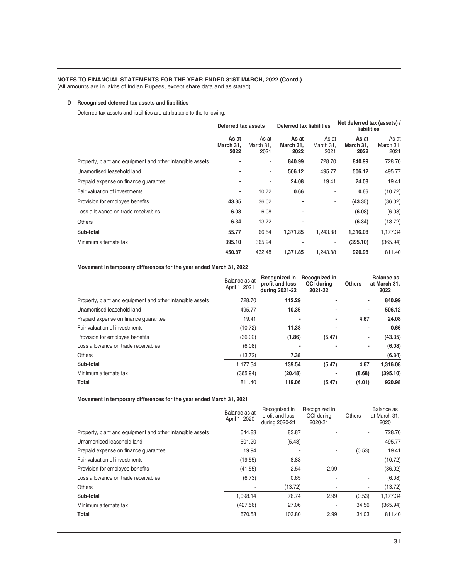(All amounts are in lakhs of Indian Rupees, except share data and as stated)

## **D Recognised deferred tax assets and liabilities**

Deferred tax assets and liabilities are attributable to the following:

|                                                           | Deferred tax assets        |                            | <b>Deferred tax liabilities</b> |                            | Net deferred tax (assets) /<br>liabilities |                            |
|-----------------------------------------------------------|----------------------------|----------------------------|---------------------------------|----------------------------|--------------------------------------------|----------------------------|
|                                                           | As at<br>March 31.<br>2022 | As at<br>March 31,<br>2021 | As at<br>March 31,<br>2022      | As at<br>March 31,<br>2021 | As at<br>March 31,<br>2022                 | As at<br>March 31,<br>2021 |
| Property, plant and equipment and other intangible assets |                            | $\overline{\phantom{a}}$   | 840.99                          | 728.70                     | 840.99                                     | 728.70                     |
| Unamortised leasehold land                                |                            | $\overline{\phantom{a}}$   | 506.12                          | 495.77                     | 506.12                                     | 495.77                     |
| Prepaid expense on finance quarantee                      |                            | $\overline{a}$             | 24.08                           | 19.41                      | 24.08                                      | 19.41                      |
| Fair valuation of investments                             | $\blacksquare$             | 10.72                      | 0.66                            | -                          | 0.66                                       | (10.72)                    |
| Provision for employee benefits                           | 43.35                      | 36.02                      |                                 | -                          | (43.35)                                    | (36.02)                    |
| Loss allowance on trade receivables                       | 6.08                       | 6.08                       |                                 | $\overline{\phantom{a}}$   | (6.08)                                     | (6.08)                     |
| <b>Others</b>                                             | 6.34                       | 13.72                      |                                 | ۰                          | (6.34)                                     | (13.72)                    |
| Sub-total                                                 | 55.77                      | 66.54                      | 1,371.85                        | 1,243.88                   | 1,316.08                                   | 1,177.34                   |
| Minimum alternate tax                                     | 395.10                     | 365.94                     |                                 | $\blacksquare$             | (395.10)                                   | (365.94)                   |
|                                                           | 450.87                     | 432.48                     | 1.371.85                        | 1.243.88                   | 920.98                                     | 811.40                     |

# **Movement in temporary differences for the year ended March 31, 2022**

|                                                           | Balance as at<br>April 1, 2021 | Recognized in<br>profit and loss<br>during 2021-22 | Recognized in<br><b>OCI</b> during<br>2021-22 | <b>Others</b>            | <b>Balance as</b><br>at March 31,<br>2022 |
|-----------------------------------------------------------|--------------------------------|----------------------------------------------------|-----------------------------------------------|--------------------------|-------------------------------------------|
| Property, plant and equipment and other intangible assets | 728.70                         | 112.29                                             |                                               | $\blacksquare$           | 840.99                                    |
| Unamortised leasehold land                                | 495.77                         | 10.35                                              |                                               | $\overline{\phantom{a}}$ | 506.12                                    |
| Prepaid expense on finance quarantee                      | 19.41                          | $\blacksquare$                                     | $\blacksquare$                                | 4.67                     | 24.08                                     |
| Fair valuation of investments                             | (10.72)                        | 11.38                                              |                                               | -                        | 0.66                                      |
| Provision for employee benefits                           | (36.02)                        | (1.86)                                             | (5.47)                                        | $\blacksquare$           | (43.35)                                   |
| Loss allowance on trade receivables                       | (6.08)                         |                                                    |                                               | $\blacksquare$           | (6.08)                                    |
| <b>Others</b>                                             | (13.72)                        | 7.38                                               |                                               |                          | (6.34)                                    |
| Sub-total                                                 | 1.177.34                       | 139.54                                             | (5.47)                                        | 4.67                     | 1,316.08                                  |
| Minimum alternate tax                                     | (365.94)                       | (20.48)                                            |                                               | (8.68)                   | (395.10)                                  |
| <b>Total</b>                                              | 811.40                         | 119.06                                             | (5.47)                                        | (4.01)                   | 920.98                                    |

# **Movement in temporary differences for the year ended March 31, 2021**

|                                                           | Balance as at<br>April 1, 2020 | Recognized in<br>profit and loss<br>during 2020-21 | Recognized in<br>OCI during<br>2020-21 | <b>Others</b>            | Balance as<br>at March 31.<br>2020 |
|-----------------------------------------------------------|--------------------------------|----------------------------------------------------|----------------------------------------|--------------------------|------------------------------------|
| Property, plant and equipment and other intangible assets | 644.83                         | 83.87                                              |                                        | $\overline{\phantom{a}}$ | 728.70                             |
| Umamortised leasehold land                                | 501.20                         | (5.43)                                             |                                        | ٠                        | 495.77                             |
| Prepaid expense on finance quarantee                      | 19.94                          |                                                    | ٠                                      | (0.53)                   | 19.41                              |
| Fair valuation of investments                             | (19.55)                        | 8.83                                               |                                        | ٠                        | (10.72)                            |
| Provision for employee benefits                           | (41.55)                        | 2.54                                               | 2.99                                   | $\overline{\phantom{0}}$ | (36.02)                            |
| Loss allowance on trade receivables                       | (6.73)                         | 0.65                                               |                                        | $\overline{\phantom{a}}$ | (6.08)                             |
| <b>Others</b>                                             |                                | (13.72)                                            |                                        | ٠                        | (13.72)                            |
| Sub-total                                                 | 1.098.14                       | 76.74                                              | 2.99                                   | (0.53)                   | 1,177.34                           |
| Minimum alternate tax                                     | (427.56)                       | 27.06                                              |                                        | 34.56                    | (365.94)                           |
| <b>Total</b>                                              | 670.58                         | 103.80                                             | 2.99                                   | 34.03                    | 811.40                             |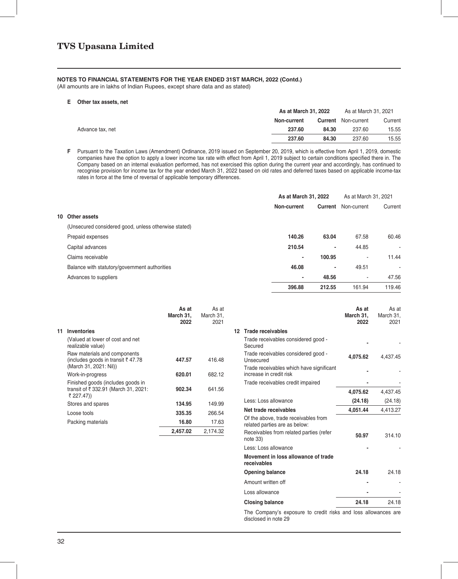(All amounts are in lakhs of Indian Rupees, except share data and as stated)

# **E Other tax assets, net**

|                  | As at March 31, 2022 |         | As at March 31, 2021 |         |
|------------------|----------------------|---------|----------------------|---------|
|                  | Non-current          | Current | Non-current          | Current |
| Advance tax, net | 237.60               | 84.30   | 237.60               | 15.55   |
|                  | 237.60               | 84.30   | 237.60               | 15.55   |
|                  |                      |         |                      |         |

**F** Pursuant to the Taxation Laws (Amendment) Ordinance, 2019 issued on September 20, 2019, which is effective from April 1, 2019, domestic companies have the option to apply a lower income tax rate with effect from April 1, 2019 subject to certain conditions specified there in. The Company based on an internal evaluation performed, has not exercised this option during the current year and accordingly, has continued to recognise provision for income tax for the year ended March 31, 2022 based on old rates and deferred taxes based on applicable income-tax rates in force at the time of reversal of applicable temporary differences.

|                                                      | As at March 31, 2022 |        | As at March 31, 2021       |                          |
|------------------------------------------------------|----------------------|--------|----------------------------|--------------------------|
|                                                      | Non-current          |        | <b>Current</b> Non-current | Current                  |
| 10 Other assets                                      |                      |        |                            |                          |
| (Unsecured considered good, unless otherwise stated) |                      |        |                            |                          |
| Prepaid expenses                                     | 140.26               | 63.04  | 67.58                      | 60.46                    |
| Capital advances                                     | 210.54               | ۰      | 44.85                      | $\overline{\phantom{a}}$ |
| Claims receivable                                    | ٠                    | 100.95 | ۰                          | 11.44                    |
| Balance with statutory/government authorities        | 46.08                | ٠      | 49.51                      | $\overline{\phantom{a}}$ |
| Advances to suppliers                                | ٠                    | 48.56  | ٠                          | 47.56                    |
|                                                      | 396.88               | 212.55 | 161.94                     | 119.46                   |

|    |                                                                                               | As at<br>March 31,<br>2022 | As at<br>March 31,<br>2021 |
|----|-----------------------------------------------------------------------------------------------|----------------------------|----------------------------|
| 11 | <b>Inventories</b>                                                                            |                            |                            |
|    | (Valued at lower of cost and net<br>realizable value)                                         |                            |                            |
|    | Raw materials and components<br>(includes goods in transit ₹ 47.78)<br>(March 31, 2021: Nil)) | 447.57                     | 416.48                     |
|    | Work-in-progress                                                                              | 620.01                     | 682.12                     |
|    | Finished goods (includes goods in<br>transit of ₹332.91 (March 31, 2021:<br>₹ 227.47))        | 902.34                     | 641.56                     |
|    | Stores and spares                                                                             | 134.95                     | 149.99                     |
|    | Loose tools                                                                                   | 335.35                     | 266.54                     |
|    | Packing materials                                                                             | 16.80                      | 17.63                      |
|    |                                                                                               | 2.457.02                   | 2.174.32                   |

|    |                                                                       | March 31,<br>2022 | March 31,<br>2021 |
|----|-----------------------------------------------------------------------|-------------------|-------------------|
| 12 | <b>Trade receivables</b>                                              |                   |                   |
|    | Trade receivables considered good -<br>Secured                        |                   |                   |
|    | Trade receivables considered good -<br>Unsecured                      | 4,075.62          | 4,437.45          |
|    | Trade receivables which have significant<br>increase in credit risk   |                   |                   |
|    | Trade receivables credit impaired                                     |                   |                   |
|    |                                                                       | 4,075.62          | 4,437.45          |
|    | Less: Loss allowance                                                  | (24.18)           | (24.18)           |
|    | Net trade receivables                                                 | 4,051.44          | 4,413.27          |
|    | Of the above, trade receivables from<br>related parties are as below: |                   |                   |
|    | Receivables from related parties (refer<br>note 33)                   | 50.97             | 314.10            |
|    | Less: Loss allowance                                                  |                   |                   |
|    | Movement in loss allowance of trade<br>receivables                    |                   |                   |
|    | Opening balance                                                       | 24.18             | 24.18             |
|    | Amount written off                                                    |                   |                   |
|    | Loss allowance                                                        |                   |                   |
|    | <b>Closing balance</b>                                                | 24.18             | 24.18             |
|    | The Company's exposure to credit risks and loss allowances are        |                   |                   |

 **As at**

As at

The Company's exposure to credit risks and loss allowances are disclosed in note 29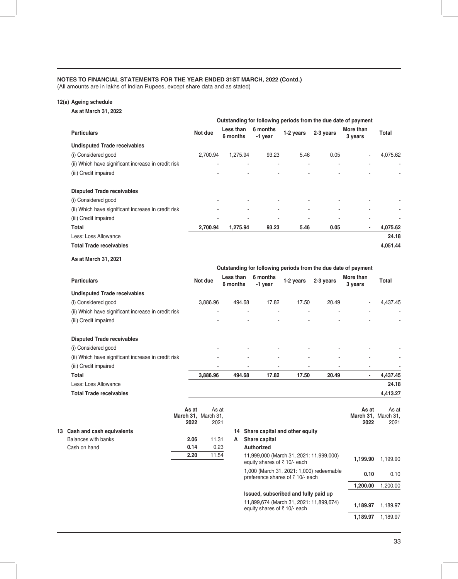(All amounts are in lakhs of Indian Rupees, except share data and as stated)

## **12(a) Ageing schedule**

**As at March 31, 2022**

|                                                     | Outstanding for following periods from the due date of payment |                       |                          |                          |                          |                          |          |
|-----------------------------------------------------|----------------------------------------------------------------|-----------------------|--------------------------|--------------------------|--------------------------|--------------------------|----------|
| <b>Particulars</b>                                  | Not due                                                        | Less than<br>6 months | 6 months<br>-1 year      | 1-2 years                | 2-3 years                | More than<br>3 years     | Total    |
| <b>Undisputed Trade receivables</b>                 |                                                                |                       |                          |                          |                          |                          |          |
| (i) Considered good                                 | 2.700.94                                                       | 1,275.94              | 93.23                    | 5.46                     | 0.05                     | $\blacksquare$           | 4,075.62 |
| (ii) Which have significant increase in credit risk | $\overline{\phantom{0}}$                                       | ٠                     | $\overline{\phantom{0}}$ | $\overline{\phantom{a}}$ | $\blacksquare$           | $\overline{\phantom{a}}$ |          |
| (iii) Credit impaired                               |                                                                |                       |                          |                          | ٠                        |                          |          |
| <b>Disputed Trade receivables</b>                   |                                                                |                       |                          |                          |                          |                          |          |
| (i) Considered good                                 |                                                                |                       |                          | $\tilde{\phantom{a}}$    | $\blacksquare$           |                          |          |
| (ii) Which have significant increase in credit risk |                                                                |                       |                          | ۰                        | $\blacksquare$           |                          |          |
| (iii) Credit impaired                               | -                                                              |                       | -                        | $\overline{\phantom{a}}$ | $\overline{\phantom{a}}$ | ٠                        |          |
| <b>Total</b>                                        | 2,700.94                                                       | 1,275.94              | 93.23                    | 5.46                     | 0.05                     | $\blacksquare$           | 4,075.62 |
| Less: Loss Allowance                                |                                                                |                       |                          |                          |                          |                          | 24.18    |
| <b>Total Trade receivables</b>                      |                                                                |                       |                          |                          |                          |                          | 4,051.44 |

## **As at March 31, 2021**

|                    |                                                     |               | Outstanding for following periods from the due date of payment |                     |                                                                             |           |                      |                |                                      |
|--------------------|-----------------------------------------------------|---------------|----------------------------------------------------------------|---------------------|-----------------------------------------------------------------------------|-----------|----------------------|----------------|--------------------------------------|
| <b>Particulars</b> |                                                     | Not due       | Less than<br>6 months                                          | 6 months<br>-1 year | 1-2 years                                                                   | 2-3 years | More than<br>3 years | <b>Total</b>   |                                      |
|                    | <b>Undisputed Trade receivables</b>                 |               |                                                                |                     |                                                                             |           |                      |                |                                      |
|                    | (i) Considered good                                 |               | 3,886.96                                                       | 494.68              | 17.82                                                                       | 17.50     | 20.49                |                | 4,437.45                             |
|                    | (ii) Which have significant increase in credit risk |               |                                                                |                     | ä,                                                                          |           |                      |                |                                      |
|                    | (iii) Credit impaired                               |               |                                                                |                     |                                                                             |           |                      |                |                                      |
|                    | <b>Disputed Trade receivables</b>                   |               |                                                                |                     |                                                                             |           |                      |                |                                      |
|                    | (i) Considered good                                 |               |                                                                |                     |                                                                             |           |                      |                |                                      |
|                    | (ii) Which have significant increase in credit risk |               |                                                                |                     |                                                                             |           |                      |                |                                      |
|                    | (iii) Credit impaired                               |               |                                                                |                     |                                                                             |           |                      |                |                                      |
|                    | <b>Total</b>                                        |               | 3,886.96                                                       | 494.68              | 17.82                                                                       | 17.50     | 20.49                | $\blacksquare$ | 4,437.45                             |
|                    | Less: Loss Allowance                                |               |                                                                |                     |                                                                             |           |                      |                | 24.18                                |
|                    | <b>Total Trade receivables</b>                      |               |                                                                |                     |                                                                             |           |                      |                | 4,413.27                             |
|                    |                                                     | As at<br>2022 | As at<br>March 31, March 31,<br>2021                           |                     |                                                                             |           |                      | As at<br>2022  | As at<br>March 31, March 31,<br>2021 |
|                    | 13 Cash and cash equivalents                        |               |                                                                | 14                  | Share capital and other equity                                              |           |                      |                |                                      |
|                    | Balances with banks                                 | 2.06          | 11.31                                                          | А                   | Share capital                                                               |           |                      |                |                                      |
|                    | Cash on hand                                        | 0.14          | 0.23                                                           |                     | Authorized                                                                  |           |                      |                |                                      |
|                    |                                                     | 2.20          | 11.54                                                          |                     | 11,999,000 (March 31, 2021: 11,999,000)<br>equity shares of ₹10/- each      |           |                      | 1.199.90       | 1.199.90                             |
|                    |                                                     |               |                                                                |                     | 1,000 (March 31, 2021: 1,000) redeemable<br>preference shares of ₹10/- each |           |                      | 0.10           | 0.10                                 |
|                    |                                                     |               |                                                                |                     |                                                                             |           |                      | 1.200.00       | 1.200.00                             |
|                    |                                                     |               |                                                                |                     | Issued, subscribed and fully paid up                                        |           |                      |                |                                      |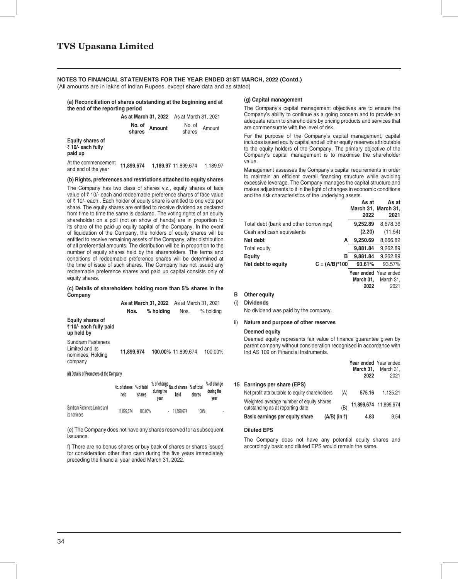## **NOTES TO FINANCIAL STATEMENTS FOR THE YEAR ENDED 31ST MARCH, 2022 (Contd.)**

(All amounts are in lakhs of Indian Rupees, except share data and as stated)

#### **(a) Reconciliation of shares outstanding at the beginning and at the end of the reporting period**

|                                                  | As at March 31, 2022 As at March 31, 2021 |        |                  |        |
|--------------------------------------------------|-------------------------------------------|--------|------------------|--------|
|                                                  | No. of<br>shares                          | Amount | No. of<br>shares | Amount |
| Equity shares of<br>₹ 10/- each fully<br>paid up |                                           |        |                  |        |

At the commencement and end of the year **11,899,674 1,189.97** 11,899,674 1,189.97

#### **(b) Rights, preferences and restrictions attached to equity shares**

The Company has two class of shares viz., equity shares of face value of  $\bar{z}$  10/- each and redeemable preference shares of face value of  $\bar{\tau}$  10/- each . Each holder of equity share is entitled to one vote per share. The equity shares are entitled to receive dividend as declared from time to time the same is declared. The voting rights of an equity shareholder on a poll (not on show of hands) are in proportion to its share of the paid-up equity capital of the Company. In the event of liquidation of the Company, the holders of equity shares will be entitled to receive remaining assets of the Company, after distribution of all preferential amounts. The distribution will be in proportion to the number of equity shares held by the shareholders. The terms and conditions of redeemable preference shares will be determined at the time of issue of such shares. The Company has not issued any redeemable preference shares and paid up capital consists only of equity shares.

#### **(c) Details of shareholders holding more than 5% shares in the Company**

|                                                                      | <b>As at March 31, 2022</b> As at March 31, 2021 |             |                    |           |  |
|----------------------------------------------------------------------|--------------------------------------------------|-------------|--------------------|-----------|--|
|                                                                      | Nos.                                             | $%$ holding | Nos.               | % holding |  |
| Equity shares of<br>₹10/- each fully paid<br>up held by              |                                                  |             |                    |           |  |
| Sundram Fasteners<br>Limited and its<br>nominees, Holding<br>company | 11.899.674                                       |             | 100.00% 11.899.674 | 100.00%   |  |

#### **(d) Details of Promoters of the Company**

|                                               | No. of shares % of total<br>held | shares  | during the<br>vear | % of change No. of shares % of total<br>held | shares | % of change<br>during the<br>vear |
|-----------------------------------------------|----------------------------------|---------|--------------------|----------------------------------------------|--------|-----------------------------------|
| Sundram Fasteners Limited and<br>its nominees | 11.899.674                       | 100.00% |                    | $-11.899.674$                                | 100%   |                                   |

(e) The Company does not have any shares reserved for a subsequent issuance.

f) There are no bonus shares or buy back of shares or shares issued for consideration other than cash during the five years immediately preceding the financial year ended March 31, 2022.

## **(g) Capital management**

The Company's capital management objectives are to ensure the Company's ability to continue as a going concern and to provide an adequate return to shareholders by pricing products and services that are commensurate with the level of risk.

For the purpose of the Company's capital management, capital includes issued equity capital and all other equity reserves attributable to the equity holders of the Company. The primary objective of the Company's capital management is to maximise the shareholder value.

Management assesses the Company's capital requirements in order to maintain an efficient overall financing structure while avoiding excessive leverage. The Company manages the capital structure and makes adjustments to it in the light of changes in economic conditions and the risk characteristics of the underlying assets.

|                                        |                 | As at                                      | As at                       |
|----------------------------------------|-----------------|--------------------------------------------|-----------------------------|
|                                        |                 | 2022                                       | March 31, March 31,<br>2021 |
| Total debt (bank and other borrowings) |                 | 9,252.89                                   | 8,678.36                    |
| Cash and cash equivalents              |                 | (2.20)                                     | (11.54)                     |
| Net debt                               | А               | 9,250.69                                   | 8,666.82                    |
| Total equity                           |                 | 9.881.84                                   | 9,262.89                    |
| Equity                                 | в               | 9,881.84                                   | 9,262.89                    |
| Net debt to equity                     | $C = (A/B)*100$ | 93.61%                                     | 93.57%                      |
|                                        |                 | Year ended Year ended<br>March 31.<br>2022 | March 31.<br>2021           |
| $A + b - c - c - c$                    |                 |                                            |                             |

#### **B Other equity** (i) **Dividends**

No dividend was paid by the company.

## ii) **Nature and purpose of other reserves**

## **Deemed equity**

Deemed equity represents fair value of finance guarantee given by parent company without consideration recognised in accordance with Ind AS 109 on Financial Instruments.

|                                                                              |                         | <b>Year ended</b> Year ended<br>March 31.<br>2022 | March 31.<br>2021     |
|------------------------------------------------------------------------------|-------------------------|---------------------------------------------------|-----------------------|
| 15 Earnings per share (EPS)                                                  |                         |                                                   |                       |
| Net profit attributable to equity shareholders                               | (A)                     | 575.16                                            | 1.135.21              |
| Weighted average number of equity shares<br>outstanding as at reporting date | (B)                     |                                                   | 11,899,674 11,899,674 |
| Basic earnings per equity share                                              | $(A/B)$ (in $\bar{z}$ ) | 4.83                                              | 9.54                  |

#### **Diluted EPS**

The Company does not have any potential equity shares and accordingly basic and diluted EPS would remain the same.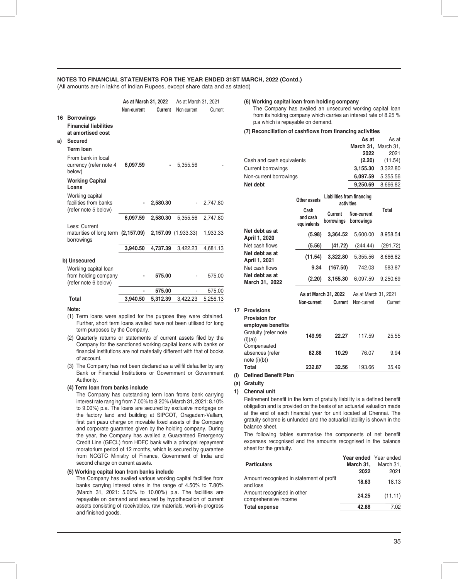(All amounts are in lakhs of Indian Rupees, except share data and as stated)

|    |                                                                      | As at March 31, 2022 |          | As at March 31, 2021 |          |
|----|----------------------------------------------------------------------|----------------------|----------|----------------------|----------|
|    |                                                                      | Non-current          | Current  | Non-current          | Current  |
| 16 | <b>Borrowings</b>                                                    |                      |          |                      |          |
|    | <b>Financial liabilities</b><br>at amortised cost                    |                      |          |                      |          |
| a) | <b>Secured</b>                                                       |                      |          |                      |          |
|    | <b>Term loan</b>                                                     |                      |          |                      |          |
|    | From bank in local<br>currency (refer note 4<br>below)               | 6,097.59             |          | 5,355.56             |          |
|    | <b>Working Capital</b><br>Loans                                      |                      |          |                      |          |
|    | Working capital<br>facilities from banks<br>(refer note 5 below)     |                      | 2,580.30 |                      | 2,747.80 |
|    |                                                                      | 6,097.59             | 2.580.30 | 5,355.56             | 2,747.80 |
|    | Less: Current<br>maturities of long term (2,157.09)<br>borrowings    |                      |          | 2,157.09 (1,933.33)  | 1,933.33 |
|    |                                                                      | 3.940.50             | 4,737.39 | 3,422.23             | 4,681.13 |
|    | b) Unsecured                                                         |                      |          |                      |          |
|    | Working capital loan<br>from holding company<br>(refer note 6 below) |                      | 575.00   |                      | 575.00   |
|    |                                                                      | $\overline{a}$       | 575.00   |                      | 575.00   |
|    | <b>Total</b>                                                         | 3,940.50             | 5,312.39 | 3,422.23             | 5,256.13 |

#### **Note:**

- (1) Term loans were applied for the purpose they were obtained. Further, short term loans availed have not been utilised for long term purposes by the Company.
- (2) Quarterly returns or statements of current assets filed by the Company for the sanctioned working capital loans with banks or financial institutions are not materially different with that of books of account.
- (3) The Company has not been declared as a willfil defaulter by any Bank or Financial Institutions or Government or Government Authority.

## **(4) Term loan from banks include**

The Company has outstanding term loan froms bank carrying interest rate ranging from 7.00% to 8.20% (March 31, 2021: 8.10% to 9.00%) p.a. The loans are secured by exclusive mortgage on the factory land and building at SIPCOT, Oragadam-Vallam, first pari pasu charge on movable fixed assets of the Company and corporate guarantee given by the holding company. During the year, the Company has availed a Guaranteed Emergency Credit Line (GECL) from HDFC bank with a principal repayment moratorium period of 12 months, which is secured by guarantee from NCGTC Ministry of Finance, Government of India and second charge on current assets.

## **(5) Working capital loan from banks include**

The Company has availed various working capital facilities from banks carrying interest rates in the range of 4.50% to 7.80% (March 31, 2021: 5.00% to 10.00%) p.a. The facilities are repayable on demand and secured by hypothecation of current assets consisting of receivables, raw materials, work-in-progress and finished goods.

#### **(6) Working capital loan from holding company**

The Company has availed an unsecured working capital loan from its holding company which carries an interest rate of 8.25 % p.a which is repayable on demand.

#### (7) Reconciliation of cashflows from financing activities

|                           | As at               |          |
|---------------------------|---------------------|----------|
|                           | March 31, March 31, |          |
|                           | 2022                | 2021     |
| Cash and cash equivalents | (2.20)              | (11.54)  |
| Current borrowings        | 3.155.30            | 3.322.80 |
| Non-current borrowings    | 6,097.59            | 5.355.56 |
| Net debt                  | 9,250.69            | 8.666.82 |

|                                                                | Other assets                    | Liabilities from financing<br>activities |                           |          |  |
|----------------------------------------------------------------|---------------------------------|------------------------------------------|---------------------------|----------|--|
|                                                                | Cash<br>and cash<br>equivalents | Current<br>borrowings                    | Non-current<br>borrowings | Total    |  |
| Net debt as at<br>April 1, 2020                                | (5.98)                          | 3,364.52                                 | 5,600.00                  | 8,958.54 |  |
| Net cash flows                                                 | (5.56)                          | (41.72)                                  | (244.44)                  | (291.72) |  |
| Net debt as at<br>April 1, 2021                                | (11.54)                         | 3,322.80                                 | 5,355.56                  | 8,666.82 |  |
| Net cash flows                                                 | 9.34                            | (167.50)                                 | 742.03                    | 583.87   |  |
| Net debt as at<br>March 31, 2022                               | (2.20)                          | 3,155.30                                 | 6,097.59                  | 9,250.69 |  |
|                                                                |                                 | As at March 31, 2022                     | As at March 31, 2021      |          |  |
|                                                                | Non-current                     | Current                                  | Non-current               | Current  |  |
| <b>Provisions</b><br><b>Provision for</b><br>employee benefits |                                 |                                          |                           |          |  |
| Gratuity (refer note<br>(i)(a))                                | 149.99                          | 22.27                                    | 117.59                    | 25.55    |  |
| Compensated<br>absences (refer                                 | 82.88                           | 10.29                                    | 76.07                     | 9.94     |  |

#### **Total 232.87 32.56** 193.66 35.49 **(i) Defi ned Benefi t Plan**

note (i)(b))

**17 Provisions**

**1) Chennai unit**

Retirement benefit in the form of gratuity liability is a defined benefit obligation and is provided on the basis of an actuarial valuation made at the end of each financial year for unit located at Chennai. The gratuity scheme is unfunded and the actuarial liability is shown in the balance sheet.

The following tables summarise the components of net benefit expenses recognised and the amounts recognised in the balance sheet for the gratuity.

|                                                      |           | <b>Year ended</b> Year ended |
|------------------------------------------------------|-----------|------------------------------|
| <b>Particulars</b>                                   | March 31, | March 31,                    |
|                                                      | 2022      | 2021                         |
| Amount recognised in statement of profit<br>and loss | 18.63     | 18.13                        |
| Amount recognised in other<br>comprehensive income   | 24.25     | (11.11)                      |
| <b>Total expense</b>                                 | 42.88     | 7.02                         |

**<sup>(</sup>a) Gratuity**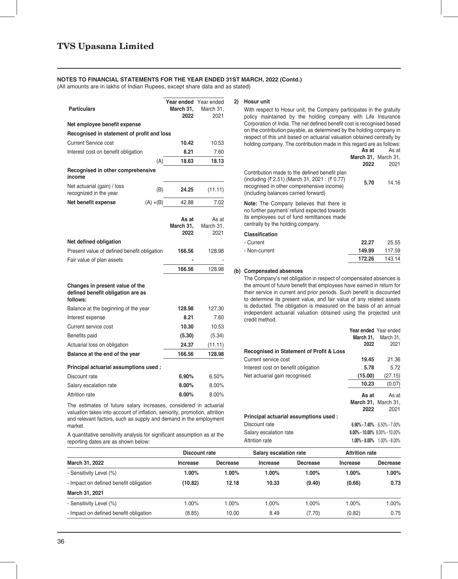(All amounts are in lakhs of Indian Rupees, except share data and as stated)

| <b>Particulars</b>                                                                                                                              |             | Year ended<br>March 31,<br>2022 | Year ended<br>March 31,<br>2021 |
|-------------------------------------------------------------------------------------------------------------------------------------------------|-------------|---------------------------------|---------------------------------|
| Net employee benefit expense                                                                                                                    |             |                                 |                                 |
| Recognised in statement of profit and loss                                                                                                      |             |                                 |                                 |
| <b>Current Service cost</b>                                                                                                                     |             | 10.42                           | 10.53                           |
| Interest cost on benefit obligation                                                                                                             |             | 8.21                            | 7.60                            |
|                                                                                                                                                 | (A)         | 18.63                           | 18.13                           |
| Recognised in other comprehensive<br>income                                                                                                     |             |                                 |                                 |
| Net actuarial (gain) / loss<br>recognized in the year                                                                                           | (B)         | 24.25                           | (11.11)                         |
| Net benefit expense                                                                                                                             | $(A) + (B)$ | 42.88                           | 7.02                            |
|                                                                                                                                                 |             | As at<br>March 31,<br>2022      | As at<br>March 31,<br>2021      |
| Net defined obligation                                                                                                                          |             |                                 |                                 |
| Present value of defined benefit obligation                                                                                                     |             | 166.56                          | 128.98                          |
| Fair value of plan assets                                                                                                                       |             |                                 |                                 |
|                                                                                                                                                 |             | 166.56                          | 128.98                          |
| Changes in present value of the<br>defined benefit obligation are as<br>follows:                                                                |             |                                 |                                 |
| Balance at the beginning of the year                                                                                                            |             | 128.98                          | 127.30                          |
| Interest expense                                                                                                                                |             | 8.21                            | 7.60                            |
| Current service cost                                                                                                                            |             | 10.30                           | 10.53                           |
| Benefits paid                                                                                                                                   |             | (5.30)                          | (5.34)                          |
| Actuarial loss on obligation                                                                                                                    |             | 24.37                           | (11.11)                         |
| Balance at the end of the year                                                                                                                  |             | 166.56                          | 128.98                          |
| Principal actuarial assumptions used :                                                                                                          |             |                                 |                                 |
| Discount rate                                                                                                                                   |             | 6.90%                           | $6.50\%$                        |
| Salary escalation rate                                                                                                                          |             | $8.00\%$                        | $8.00\%$                        |
| Attrition rate                                                                                                                                  |             | 8.00%                           | $8.00\%$                        |
| The estimates of future salary increases, considered in actuarial<br>valuation takes into account of inflation, seniority, promotion, attrition |             |                                 |                                 |

and relevant factors, such as supply and demand in the employment market.

A quantitative sensitivity analysis for significant assumption as at the reporting dates are as shown below:

## **2) Hosur unit**

With respect to Hosur unit, the Company participates in the gratuity policy maintained by the holding company with Life Insurance Corporation of India. The net defined benefit cost is recognised based on the contribution payable, as determined by the holding company in respect of this unit based on actuarial valuation obtained centrally by holding company. The contribution made in this regard are as follows:  **As at** As at

|                                                                                                                                                                                      | March 31, March 31,<br>2022 | 2021  |
|--------------------------------------------------------------------------------------------------------------------------------------------------------------------------------------|-----------------------------|-------|
| Contribution made to the defined benefit plan<br>(including (₹ 2.51) (March 31, 2021 : (₹ 0.77)<br>recognised in other comprehensive income)<br>(including balances carried forward) | 5.70                        | 14.16 |
| Nata: The Compony holiouse that those is                                                                                                                                             |                             |       |

**Note:** The Company believes that there is no further payment/ refund expected towards its employees out of fund remittances made centrally by the holding company.

## **Classifi cation**

| - Current     | 22.27  | 25.55  |
|---------------|--------|--------|
| - Non-current | 149.99 | 117.59 |
|               | 172.26 | 143.14 |

## **(b) Compensated absences**

The Company's net obligation in respect of compensated absences is the amount of future benefit that employees have earned in return for their service in current and prior periods. Such benefit is discounted to determine its present value, and fair value of any related assets is deducted. The obligation is measured on the basis of an annual independent actuarial valuation obtained using the projected unit credit method.

|                                          |         | Year ended Year ended               |
|------------------------------------------|---------|-------------------------------------|
|                                          |         | March 31, March 31,                 |
|                                          | 2022    | 2021                                |
| Recognised in Statement of Profit & Loss |         |                                     |
| Current service cost                     | 19.45   | 21.36                               |
| Interest cost on benefit obligation      | 5.78    | 5.72                                |
| Net actuarial gain recognised            | (15.00) | (27.15)                             |
|                                          | 10.23   | (0.07)                              |
|                                          | As at   | As at                               |
|                                          |         | March 31, March 31,                 |
|                                          | 2022    | 2021                                |
| Principal actuarial assumptions used:    |         |                                     |
| Discount rate                            |         | $6.90\% - 7.40\%$ 6.50% - 7.00%     |
| Salary escalation rate                   |         | 8.00% - 10.00% 8.00% - 10.00%       |
| Attrition rate                           |         | $1.00\% - 8.00\% - 1.00\% - 8.00\%$ |

|                                        |          | Discount rate |          | Salary escalation rate |          | <b>Attrition rate</b> |  |
|----------------------------------------|----------|---------------|----------|------------------------|----------|-----------------------|--|
| March 31, 2022                         | Increase | Decrease      | Increase | Decrease               | Increase | <b>Decrease</b>       |  |
| - Sensitivity Level (%)                | $1.00\%$ | $1.00\%$      | $1.00\%$ | $1.00\%$               | $1.00\%$ | 1.00%                 |  |
| - Impact on defined benefit obligation | (10.82)  | 12.18         | 10.33    | (9.40)                 | (0.66)   | 0.73                  |  |
| March 31, 2021                         |          |               |          |                        |          |                       |  |
| - Sensitivity Level (%)                | $0.00\%$ | $1.00\%$      | $0.00\%$ | $1.00\%$               | $1.00\%$ | $1.00\%$              |  |
| - Impact on defined benefit obligation | (8.85)   | 10.00         | 8.49     | (7.70)                 | (0.82)   | 0.75                  |  |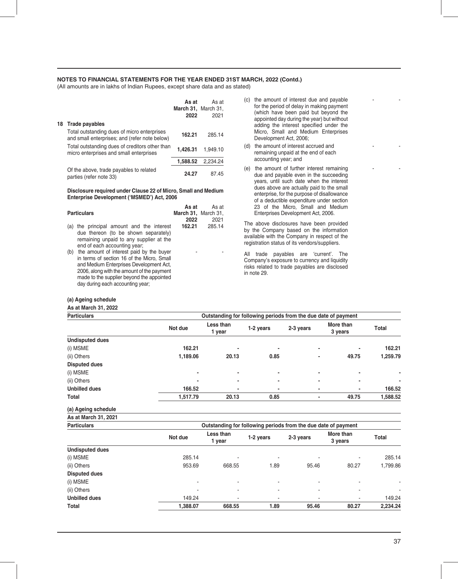(All amounts are in lakhs of Indian Rupees, except share data and as stated)

| 18 | Trade payables                                                                               | As at<br>March 31, March 31,<br>2022 | As at<br>2021 |
|----|----------------------------------------------------------------------------------------------|--------------------------------------|---------------|
|    | Total outstanding dues of micro enterprises<br>and small enterprises; and (refer note below) | 162.21                               | 285.14        |
|    | Total outstanding dues of creditors other than<br>micro enterprises and small enterprises    | 1.426.31                             | 1.949.10      |
|    |                                                                                              | 1.588.52                             | 2.234.24      |
|    | Of the above, trade payables to related<br>parties (refer note 33)                           | 24.27                                | 87.45         |

#### **Disclosure required under Clause 22 of Micro, Small and Medium Enterprise Development ('MSMED') Act, 2006**

| <b>Particulars</b>                                                                                                                                                                                                                                                      | As at<br>March 31, March 31, | As at          | 23 of the Micro, Small and Medium<br>Enterprises Development Act, 2006.                                                                                                              |
|-------------------------------------------------------------------------------------------------------------------------------------------------------------------------------------------------------------------------------------------------------------------------|------------------------------|----------------|--------------------------------------------------------------------------------------------------------------------------------------------------------------------------------------|
| the principal amount and the interest<br>(a)<br>due thereon (to be shown separately)<br>remaining unpaid to any supplier at the<br>end of each accounting year;                                                                                                         | 2022<br>162.21               | 2021<br>285.14 | The above disclosures have been provided<br>by the Company based on the information<br>available with the Company in respect of the<br>registration status of its vendors/suppliers. |
| the amount of interest paid by the buyer<br>(b)<br>in terms of section 16 of the Micro, Small<br>and Medium Enterprises Development Act,<br>2006, along with the amount of the payment<br>made to the supplier beyond the appointed<br>day during each accounting year; |                              |                | payables are 'current'.<br>The<br>All trade<br>Company's exposure to currency and liquidity<br>risks related to trade payables are disclosed<br>in note 29.                          |

# **(a) Ageing schedule**

## **As at March 31, 2022**

| <b>Particulars</b><br>Outstanding for following periods from the due date of payment |          |                     |                          |                          |                          |              |
|--------------------------------------------------------------------------------------|----------|---------------------|--------------------------|--------------------------|--------------------------|--------------|
|                                                                                      | Not due  | Less than<br>1 year | 1-2 years                | 2-3 years                | More than<br>3 years     | <b>Total</b> |
| <b>Undisputed dues</b>                                                               |          |                     |                          |                          |                          |              |
| (i) MSME                                                                             | 162.21   | -                   | $\overline{\phantom{a}}$ | ٠                        | $\blacksquare$           | 162.21       |
| (ii) Others                                                                          | 1.189.06 | 20.13               | 0.85                     | $\overline{\phantom{a}}$ | 49.75                    | 1,259.79     |
| <b>Disputed dues</b>                                                                 |          |                     |                          |                          |                          |              |
| (i) MSME                                                                             | ٠        | ٠                   | ٠                        | ٠                        | $\overline{\phantom{a}}$ | -            |
| (ii) Others                                                                          | ۰        | ٠                   |                          | $\blacksquare$           | $\overline{\phantom{a}}$ | -            |
| <b>Unbilled dues</b>                                                                 | 166.52   | ٠                   | $\overline{\phantom{0}}$ | ٠                        | $\blacksquare$           | 166.52       |
| <b>Total</b>                                                                         | 1.517.79 | 20.13               | 0.85                     | ٠                        | 49.75                    | 1.588.52     |

(c) the amount of interest due and payable for the period of delay in making payment (which have been paid but beyond the appointed day during the year) but without adding the interest specified under the Micro, Small and Medium Enterprises

- -

- -

- -

Development Act, 2006;

accounting year; and

(d) the amount of interest accrued and remaining unpaid at the end of each

(e) the amount of further interest remaining due and payable even in the succeeding years, until such date when the interest dues above are actually paid to the small enterprise, for the purpose of disallowance of a deductible expenditure under section 23 of the Micro, Small and Medium Enterprises Development Act, 2006.

#### **(a) Ageing schedule As at March 31, 2021**

| AS AL MARCII 31, 2021  |                                                                |                   |                          |       |                      |              |  |
|------------------------|----------------------------------------------------------------|-------------------|--------------------------|-------|----------------------|--------------|--|
| <b>Particulars</b>     | Outstanding for following periods from the due date of payment |                   |                          |       |                      |              |  |
|                        | Not due                                                        | Less than<br>vear | 1-2 years                |       | More than<br>3 years | <b>Total</b> |  |
| <b>Undisputed dues</b> |                                                                |                   |                          |       |                      |              |  |
| (i) MSME               | 285.14                                                         |                   | $\overline{\phantom{a}}$ |       | ٠                    | 285.14       |  |
| (ii) Others            | 953.69                                                         | 668.55            | 1.89                     | 95.46 | 80.27                | 1,799.86     |  |
| <b>Disputed dues</b>   |                                                                |                   |                          |       |                      |              |  |
| (i) MSME               | -                                                              | $\blacksquare$    | $\overline{\phantom{a}}$ |       | ۰                    |              |  |
| (ii) Others            |                                                                |                   | $\overline{\phantom{a}}$ |       | ۰                    |              |  |
| <b>Unbilled dues</b>   | 149.24                                                         | -                 | $\overline{\phantom{0}}$ | ۰     | ٠                    | 149.24       |  |
| <b>Total</b>           | 1.388.07                                                       | 668.55            | 1.89                     | 95.46 | 80.27                | 2,234.24     |  |
|                        |                                                                |                   |                          |       |                      |              |  |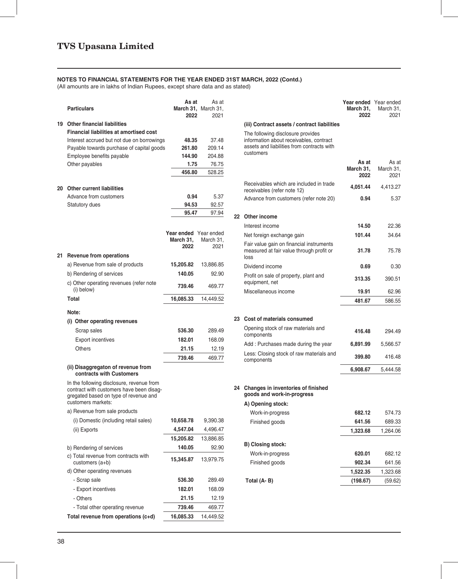(All amounts are in lakhs of Indian Rupees, except share data and as stated)

|    | <b>Particulars</b>                                                                                                             | As at<br>2022         | As at<br>March 31, March 31,<br>2021 |                                                                        | March 31,<br>2022 | Year ended Year ended<br>March 31.<br>2021 |
|----|--------------------------------------------------------------------------------------------------------------------------------|-----------------------|--------------------------------------|------------------------------------------------------------------------|-------------------|--------------------------------------------|
|    | 19 Other financial liabilities                                                                                                 |                       |                                      | (iii) Contract assets / contract liabilities                           |                   |                                            |
|    | <b>Financial liabilities at amortised cost</b>                                                                                 |                       |                                      | The following disclosure provides                                      |                   |                                            |
|    | Interest accrued but not due on borrowings                                                                                     | 48.35                 | 37.48                                | information about receivables, contract                                |                   |                                            |
|    | Payable towards purchase of capital goods                                                                                      | 261.80                | 209.14                               | assets and liabilities from contracts with<br>customers                |                   |                                            |
|    | Employee benefits payable                                                                                                      | 144.90                | 204.88                               |                                                                        | As at             | As at                                      |
|    | Other payables                                                                                                                 | 1.75                  | 76.75                                |                                                                        | March 31.         | March 31.                                  |
|    |                                                                                                                                | 456.80                | 528.25                               |                                                                        | 2022              | 2021                                       |
| 20 | Other current liabilities                                                                                                      |                       |                                      | Receivables which are included in trade<br>receivables (refer note 12) | 4,051.44          | 4,413.27                                   |
|    | Advance from customers                                                                                                         | 0.94                  | 5.37                                 | Advance from customers (refer note 20)                                 | 0.94              | 5.37                                       |
|    | Statutory dues                                                                                                                 | 94.53                 | 92.57                                |                                                                        |                   |                                            |
|    |                                                                                                                                | 95.47                 | 97.94                                | 22 Other income                                                        |                   |                                            |
|    |                                                                                                                                |                       |                                      | Interest income                                                        | 14.50             | 22.36                                      |
|    |                                                                                                                                | Year ended Year ended |                                      | Net foreign exchange gain                                              | 101.44            | 34.64                                      |
|    |                                                                                                                                | March 31,<br>2022     | March 31,<br>2021                    | Fair value gain on financial instruments                               |                   |                                            |
|    | 21 Revenue from operations                                                                                                     |                       |                                      | measured at fair value through profit or<br>loss                       | 31.78             | 75.78                                      |
|    | a) Revenue from sale of products                                                                                               | 15,205.82             | 13,886.85                            | Dividend income                                                        | 0.69              | 0.30                                       |
|    | b) Rendering of services                                                                                                       | 140.05                | 92.90                                | Profit on sale of property, plant and                                  |                   |                                            |
|    | c) Other operating revenues (refer note<br>(i) below)                                                                          | 739.46                | 469.77                               | equipment, net<br>Miscellaneous income                                 | 313.35<br>19.91   | 390.51<br>62.96                            |
|    | <b>Total</b>                                                                                                                   | 16.085.33             | 14,449.52                            |                                                                        | 481.67            | 586.55                                     |
|    |                                                                                                                                |                       |                                      |                                                                        |                   |                                            |
|    | Note:                                                                                                                          |                       |                                      | 23 Cost of materials consumed                                          |                   |                                            |
|    | (i) Other operating revenues                                                                                                   |                       |                                      | Opening stock of raw materials and                                     |                   |                                            |
|    | Scrap sales                                                                                                                    | 536.30                | 289.49                               | components                                                             | 416.48            | 294.49                                     |
|    | Export incentives                                                                                                              | 182.01                | 168.09                               | Add: Purchases made during the year                                    | 6,891.99          | 5,566.57                                   |
|    | <b>Others</b>                                                                                                                  | 21.15                 | 12.19                                | Less: Closing stock of raw materials and                               |                   |                                            |
|    |                                                                                                                                | 739.46                | 469.77                               | components                                                             | 399.80            | 416.48                                     |
|    | (ii) Disaggregaton of revenue from<br>contracts with Customers                                                                 |                       |                                      |                                                                        | 6,908.67          | 5,444.58                                   |
|    | In the following disclosure, revenue from<br>contract with customers have been disag-<br>gregated based on type of revenue and |                       |                                      | 24 Changes in inventories of finished<br>goods and work-in-progress    |                   |                                            |
|    | customers markets:                                                                                                             |                       |                                      | A) Opening stock:                                                      |                   |                                            |
|    | a) Revenue from sale products                                                                                                  |                       |                                      | Work-in-progress                                                       | 682.12            | 574.73                                     |
|    | (i) Domestic (including retail sales)                                                                                          | 10,658.78             | 9,390.38                             | Finished goods                                                         | 641.56            | 689.33                                     |
|    | (ii) Exports                                                                                                                   | 4,547.04              | 4,496.47                             |                                                                        | 1,323.68          | 1,264.06                                   |
|    |                                                                                                                                | 15,205.82             | 13,886.85                            |                                                                        |                   |                                            |
|    | b) Rendering of services                                                                                                       | 140.05                | 92.90                                | B) Closing stock:                                                      |                   |                                            |
|    | c) Total revenue from contracts with<br>customers (a+b)                                                                        | 15,345.87             | 13,979.75                            | Work-in-progress<br>Finished goods                                     | 620.01<br>902.34  | 682.12<br>641.56                           |
|    | d) Other operating revenues                                                                                                    |                       |                                      |                                                                        | 1,522.35          | 1,323.68                                   |
|    | - Scrap sale                                                                                                                   | 536.30                | 289.49                               | Total (A-B)                                                            | (198.67)          | (59.62)                                    |
|    | - Export incentives                                                                                                            | 182.01                | 168.09                               |                                                                        |                   |                                            |
|    | - Others                                                                                                                       | 21.15                 | 12.19                                |                                                                        |                   |                                            |
|    | - Total other operating revenue                                                                                                | 739.46                | 469.77                               |                                                                        |                   |                                            |
|    | Total revenue from operations (c+d)                                                                                            | 16,085.33             | 14,449.52                            |                                                                        |                   |                                            |
|    |                                                                                                                                |                       |                                      |                                                                        |                   |                                            |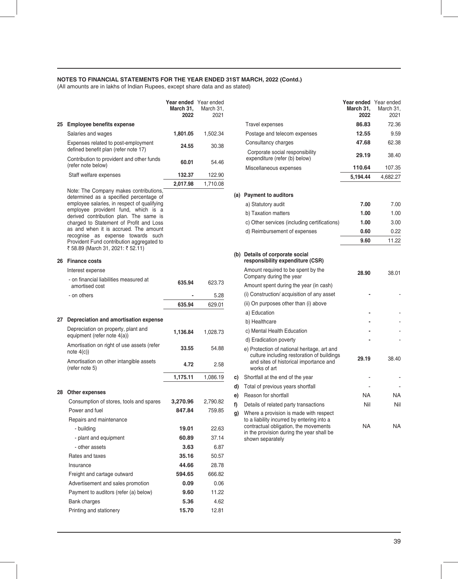(All amounts are in lakhs of Indian Rupees, except share data and as stated)

|    |                                                                                                                                                                                                                                                                                                                                                                                                                                 | Year ended Year ended<br>March 31.<br>2022 | March 31,<br>2021 |
|----|---------------------------------------------------------------------------------------------------------------------------------------------------------------------------------------------------------------------------------------------------------------------------------------------------------------------------------------------------------------------------------------------------------------------------------|--------------------------------------------|-------------------|
| 25 | <b>Employee benefits expense</b>                                                                                                                                                                                                                                                                                                                                                                                                |                                            |                   |
|    | Salaries and wages                                                                                                                                                                                                                                                                                                                                                                                                              | 1,801.05                                   | 1,502.34          |
|    | Expenses related to post-employment<br>defined benefit plan (refer note 17)                                                                                                                                                                                                                                                                                                                                                     | 24.55                                      | 30.38             |
|    | Contribution to provident and other funds<br>(refer note below)                                                                                                                                                                                                                                                                                                                                                                 | 60.01                                      | 54.46             |
|    | Staff welfare expenses                                                                                                                                                                                                                                                                                                                                                                                                          | 132.37                                     | 122.90            |
|    | Note: The Company makes contributions,<br>determined as a specified percentage of<br>employee salaries, in respect of qualifying<br>employee provident fund, which is a<br>derived contribution plan. The same is<br>charged to Statement of Profit and Loss<br>as and when it is accrued. The amount<br>recognise as expense towards<br>such<br>Provident Fund contribution aggregated to<br>₹ 58.89 (March 31, 2021: ₹ 52.11) | 2,017.98                                   | 1,710.08          |
| 26 | <b>Finance costs</b>                                                                                                                                                                                                                                                                                                                                                                                                            |                                            |                   |
|    | Interest expense                                                                                                                                                                                                                                                                                                                                                                                                                |                                            |                   |
|    | - on financial liabilities measured at<br>amortised cost                                                                                                                                                                                                                                                                                                                                                                        | 635.94                                     | 623.73            |
|    | - on others                                                                                                                                                                                                                                                                                                                                                                                                                     |                                            | 5.28              |
|    |                                                                                                                                                                                                                                                                                                                                                                                                                                 | 635.94                                     | 629.01            |
|    |                                                                                                                                                                                                                                                                                                                                                                                                                                 |                                            |                   |
| 27 | Depreciation and amortisation expense<br>Depreciation on property, plant and<br>equipment (refer note 4(a))                                                                                                                                                                                                                                                                                                                     | 1,136.84                                   | 1,028.73          |
|    | Amortisation on right of use assets (refer<br>note $4(c)$                                                                                                                                                                                                                                                                                                                                                                       | 33.55                                      | 54.88             |
|    | Amortisation on other intangible assets<br>(refer note 5)                                                                                                                                                                                                                                                                                                                                                                       | 4.72                                       | 2.58              |
|    |                                                                                                                                                                                                                                                                                                                                                                                                                                 | 1,175.11                                   | 1,086.19          |
|    |                                                                                                                                                                                                                                                                                                                                                                                                                                 |                                            |                   |
| 28 | Other expenses                                                                                                                                                                                                                                                                                                                                                                                                                  |                                            |                   |
|    | Consumption of stores, tools and spares                                                                                                                                                                                                                                                                                                                                                                                         | 3,270.96<br>847.84                         | 2,790.82          |
|    | Power and fuel                                                                                                                                                                                                                                                                                                                                                                                                                  |                                            | 759.85            |
|    | Repairs and maintenance<br>- building                                                                                                                                                                                                                                                                                                                                                                                           | 19.01                                      | 22.63             |
|    | - plant and equipment                                                                                                                                                                                                                                                                                                                                                                                                           | 60.89                                      | 37.14             |
|    | - other assets                                                                                                                                                                                                                                                                                                                                                                                                                  | 3.63                                       | 6.87              |
|    | Rates and taxes                                                                                                                                                                                                                                                                                                                                                                                                                 | 35.16                                      | 50.57             |
|    | Insurance                                                                                                                                                                                                                                                                                                                                                                                                                       | 44.66                                      | 28.78             |
|    | Freight and cartage outward                                                                                                                                                                                                                                                                                                                                                                                                     | 594.65                                     | 666.82            |
|    | Advertisement and sales promotion                                                                                                                                                                                                                                                                                                                                                                                               | 0.09                                       | 0.06              |
|    | Payment to auditors (refer (a) below)                                                                                                                                                                                                                                                                                                                                                                                           | 9.60                                       | 11.22             |
|    | Bank charges                                                                                                                                                                                                                                                                                                                                                                                                                    | 5.36                                       | 4.62              |
|    | Printing and stationery                                                                                                                                                                                                                                                                                                                                                                                                         | 15.70                                      | 12.81             |
|    |                                                                                                                                                                                                                                                                                                                                                                                                                                 |                                            |                   |

|     |                                                                                                                                                                                                | <b>Year ended</b> Year ended<br>March 31,<br>2022 | March 31,<br>2021 |
|-----|------------------------------------------------------------------------------------------------------------------------------------------------------------------------------------------------|---------------------------------------------------|-------------------|
|     | Travel expenses                                                                                                                                                                                | 86.83                                             | 72.36             |
|     | Postage and telecom expenses                                                                                                                                                                   | 12.55                                             | 9.59              |
|     | Consultancy charges                                                                                                                                                                            | 47.68                                             | 62.38             |
|     | Corporate social responsibility<br>expenditure (refer (b) below)                                                                                                                               | 29.19                                             | 38.40             |
|     | Miscellaneous expenses                                                                                                                                                                         | 110.64                                            | 107.35            |
|     |                                                                                                                                                                                                | 5,194.44                                          | 4,682.27          |
|     |                                                                                                                                                                                                |                                                   |                   |
| (a) | <b>Payment to auditors</b>                                                                                                                                                                     |                                                   |                   |
|     | a) Statutory audit                                                                                                                                                                             | 7.00                                              | 7.00              |
|     | b) Taxation matters                                                                                                                                                                            | 1.00                                              | 1.00              |
|     | c) Other services (including certifications)                                                                                                                                                   | 1.00                                              | 3.00              |
|     | d) Reimbursement of expenses                                                                                                                                                                   | 0.60                                              | 0.22              |
|     |                                                                                                                                                                                                | 9.60                                              | 11.22             |
| (b) | Details of corporate social<br>responsibility expenditure (CSR)                                                                                                                                |                                                   |                   |
|     | Amount required to be spent by the<br>Company during the year                                                                                                                                  | 28.90                                             | 38.01             |
|     | Amount spent during the year (in cash)                                                                                                                                                         |                                                   |                   |
|     | (i) Construction/acquisition of any asset                                                                                                                                                      |                                                   |                   |
|     | (ii) On purposes other than (i) above                                                                                                                                                          |                                                   |                   |
|     | a) Education                                                                                                                                                                                   |                                                   |                   |
|     | b) Healthcare                                                                                                                                                                                  |                                                   |                   |
|     | c) Mental Health Education                                                                                                                                                                     |                                                   |                   |
|     | d) Eradication poverty                                                                                                                                                                         |                                                   |                   |
|     | e) Protection of national heritage, art and<br>culture including restoration of buildings<br>and sites of historical importance and<br>works of art                                            | 29.19                                             | 38.40             |
| c)  | Shortfall at the end of the year                                                                                                                                                               |                                                   |                   |
| d)  | Total of previous years shortfall                                                                                                                                                              |                                                   |                   |
| e)  | Reason for shortfall                                                                                                                                                                           | NA                                                | NA.               |
| f)  | Details of related party transactions                                                                                                                                                          | Nil                                               | Nil               |
| g)  | Where a provision is made with respect<br>to a liability incurred by entering into a<br>contractual obligation, the movements<br>in the provision during the year shall be<br>shown separately | <b>NA</b>                                         | <b>NA</b>         |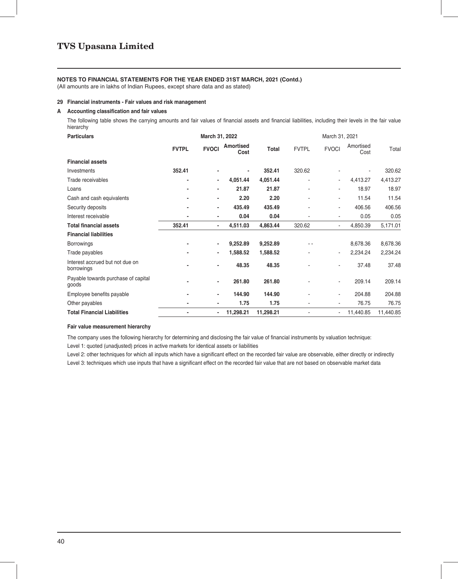(All amounts are in lakhs of Indian Rupees, except share data and as stated)

### **29 Financial instruments - Fair values and risk management**

## A Accounting classification and fair values

The following table shows the carrying amounts and fair values of financial assets and financial liabilities, including their levels in the fair value hierarchy

| <b>Particulars</b>                            | March 31, 2022 |                |                          | March 31, 2021 |                          |                          |                   |           |
|-----------------------------------------------|----------------|----------------|--------------------------|----------------|--------------------------|--------------------------|-------------------|-----------|
|                                               | <b>FVTPL</b>   | <b>FVOCI</b>   | <b>Amortised</b><br>Cost | Total          | <b>FVTPL</b>             | <b>FVOCI</b>             | Amortised<br>Cost | Total     |
| <b>Financial assets</b>                       |                |                |                          |                |                          |                          |                   |           |
| Investments                                   | 352.41         |                | ٠                        | 352.41         | 320.62                   |                          |                   | 320.62    |
| Trade receivables                             | ٠              | $\blacksquare$ | 4,051.44                 | 4,051.44       | $\overline{\phantom{a}}$ | $\sim$                   | 4,413.27          | 4,413.27  |
| Loans                                         |                |                | 21.87                    | 21.87          |                          |                          | 18.97             | 18.97     |
| Cash and cash equivalents                     |                |                | 2.20                     | 2.20           |                          | $\sim$                   | 11.54             | 11.54     |
| Security deposits                             | $\blacksquare$ | -              | 435.49                   | 435.49         |                          | $\overline{\phantom{a}}$ | 406.56            | 406.56    |
| Interest receivable                           | $\blacksquare$ | $\blacksquare$ | 0.04                     | 0.04           |                          |                          | 0.05              | 0.05      |
| <b>Total financial assets</b>                 | 352.41         |                | 4,511.03                 | 4,863.44       | 320.62                   |                          | 4,850.39          | 5,171.01  |
| <b>Financial liabilities</b>                  |                |                |                          |                |                          |                          |                   |           |
| <b>Borrowings</b>                             |                |                | 9,252.89                 | 9,252.89       | - -                      |                          | 8,678.36          | 8,678.36  |
| Trade payables                                |                |                | 1,588.52                 | 1,588.52       |                          |                          | 2,234.24          | 2,234.24  |
| Interest accrued but not due on<br>borrowings |                |                | 48.35                    | 48.35          |                          |                          | 37.48             | 37.48     |
| Payable towards purchase of capital<br>goods  |                |                | 261.80                   | 261.80         |                          |                          | 209.14            | 209.14    |
| Employee benefits payable                     |                |                | 144.90                   | 144.90         |                          |                          | 204.88            | 204.88    |
| Other payables                                |                |                | 1.75                     | 1.75           |                          |                          | 76.75             | 76.75     |
| <b>Total Financial Liabilities</b>            |                |                | 11,298.21                | 11,298.21      |                          |                          | 11,440.85         | 11,440.85 |

## **Fair value measurement hierarchy**

The company uses the following hierarchy for determining and disclosing the fair value of financial instruments by valuation technique:

Level 1: quoted (unadjusted) prices in active markets for identical assets or liabilities

Level 2: other techniques for which all inputs which have a significant effect on the recorded fair value are observable, either directly or indirectly Level 3: techniques which use inputs that have a significant effect on the recorded fair value that are not based on observable market data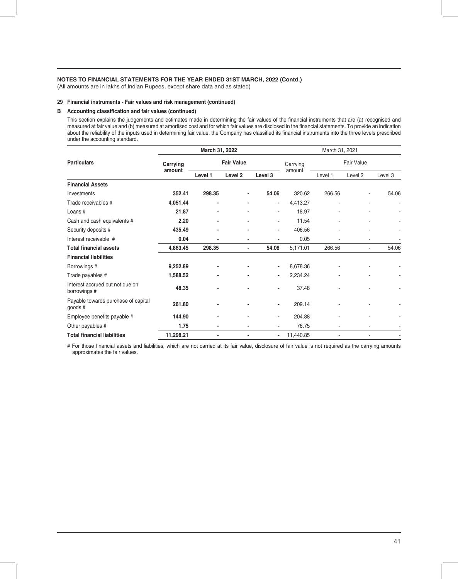(All amounts are in lakhs of Indian Rupees, except share data and as stated)

#### **29 Financial instruments - Fair values and risk management (continued)**

## **B** Accounting classification and fair values (continued)

This section explains the judgements and estimates made in determining the fair values of the financial instruments that are (a) recognised and measured at fair value and (b) measured at amortised cost and for which fair values are disclosed in the financial statements. To provide an indication about the reliability of the inputs used in determining fair value, the Company has classified its financial instruments into the three levels prescribed under the accounting standard.

|                                                 | March 31, 2022 |                   |                          | March 31, 2021           |                   |         |         |                |
|-------------------------------------------------|----------------|-------------------|--------------------------|--------------------------|-------------------|---------|---------|----------------|
| <b>Particulars</b>                              | Carrying       | <b>Fair Value</b> |                          | Carrying                 | <b>Fair Value</b> |         |         |                |
|                                                 | amount         | Level 1           | Level 2                  | Level 3                  | amount            | Level 1 | Level 2 | Level 3        |
| <b>Financial Assets</b>                         |                |                   |                          |                          |                   |         |         |                |
| Investments                                     | 352.41         | 298.35            | $\blacksquare$           | 54.06                    | 320.62            | 266.56  | ٠       | 54.06          |
| Trade receivables #                             | 4,051.44       |                   |                          | ٠                        | 4,413.27          |         |         |                |
| Loans#                                          | 21.87          |                   |                          | $\overline{\phantom{a}}$ | 18.97             |         |         |                |
| Cash and cash equivalents #                     | 2.20           |                   |                          | ٠                        | 11.54             |         |         |                |
| Security deposits #                             | 435.49         | ٠                 |                          | ٠                        | 406.56            |         |         | $\overline{a}$ |
| Interest receivable #                           | 0.04           |                   |                          |                          | 0.05              |         |         |                |
| <b>Total financial assets</b>                   | 4,863.45       | 298.35            | $\overline{\phantom{a}}$ | 54.06                    | 5,171.01          | 266.56  | ٠       | 54.06          |
| <b>Financial liabilities</b>                    |                |                   |                          |                          |                   |         |         |                |
| Borrowings #                                    | 9,252.89       |                   |                          | $\overline{\phantom{a}}$ | 8,678.36          |         |         |                |
| Trade payables #                                | 1,588.52       |                   |                          | ٠                        | 2,234.24          |         |         |                |
| Interest accrued but not due on<br>borrowings # | 48.35          |                   |                          | $\overline{\phantom{0}}$ | 37.48             |         |         |                |
| Payable towards purchase of capital<br>goods #  | 261.80         |                   |                          | ٠                        | 209.14            |         |         |                |
| Employee benefits payable #                     | 144.90         |                   |                          | $\blacksquare$           | 204.88            |         |         |                |
| Other payables #                                | 1.75           |                   | $\blacksquare$           | ٠                        | 76.75             |         |         |                |
| <b>Total financial liabilities</b>              | 11,298.21      |                   |                          | $\overline{\phantom{a}}$ | 11,440.85         |         |         |                |

# For those financial assets and liabilities, which are not carried at its fair value, disclosure of fair value is not required as the carrying amounts approximates the fair values.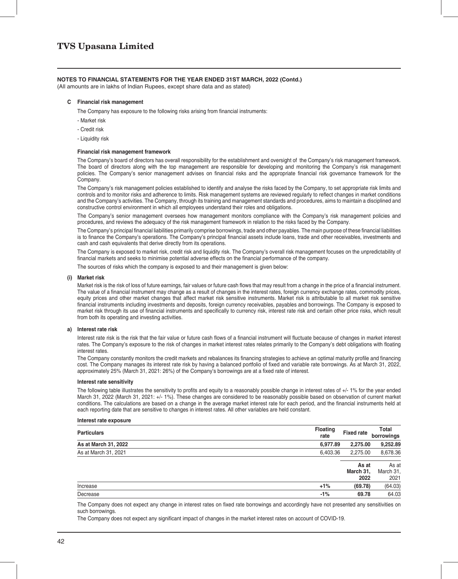## **NOTES TO FINANCIAL STATEMENTS FOR THE YEAR ENDED 31ST MARCH, 2022 (Contd.)**

(All amounts are in lakhs of Indian Rupees, except share data and as stated)

#### **C Financial risk management**

The Company has exposure to the following risks arising from financial instruments:

- Market risk
- Credit risk
- Liquidity risk

#### **Financial risk management framework**

The Company's board of directors has overall responsibility for the establishment and oversight of the Company's risk management framework. The board of directors along with the top management are responsible for developing and monitoring the Company's risk management policies. The Company's senior management advises on financial risks and the appropriate financial risk governance framework for the Company.

The Company's risk management policies established to identify and analyse the risks faced by the Company, to set appropriate risk limits and controls and to monitor risks and adherence to limits. Risk management systems are reviewed regularly to reflect changes in market conditions and the Company's activities. The Company, through its training and management standards and procedures, aims to maintain a disciplined and constructive control environment in which all employees understand their roles and obligations.

The Company's senior management oversees how management monitors compliance with the Company's risk management policies and procedures, and reviews the adequacy of the risk management framework in relation to the risks faced by the Company.

The Company's principal financial liabilities primarily comprise borrowings, trade and other payables. The main purpose of these financial liabilities is to finance the Company's operations. The Company's principal financial assets include loans, trade and other receivables, investments and cash and cash equivalents that derive directly from its operations.

The Company is exposed to market risk, credit risk and liquidity risk. The Company's overall risk management focuses on the unpredictability of financial markets and seeks to minimise potential adverse effects on the financial performance of the company.

The sources of risks which the company is exposed to and their management is given below:

### **(i) Market risk**

Market risk is the risk of loss of future earnings, fair values or future cash flows that may result from a change in the price of a financial instrument. The value of a financial instrument may change as a result of changes in the interest rates, foreign currency exchange rates, commodity prices, equity prices and other market changes that affect market risk sensitive instruments. Market risk is attributable to all market risk sensitive financial instruments including investments and deposits, foreign currency receivables, payables and borrowings. The Company is exposed to market risk through its use of financial instruments and specifically to currency risk, interest rate risk and certain other price risks, which result from both its operating and investing activities.

#### **a) Interest rate risk**

Interest rate risk is the risk that the fair value or future cash flows of a financial instrument will fluctuate because of changes in market interest rates. The Company's exposure to the risk of changes in market interest rates relates primarily to the Company's debt obligations with floating interest rates

The Company constantly monitors the credit markets and rebalances its financing strategies to achieve an optimal maturity profile and financing cost. The Company manages its interest rate risk by having a balanced portfolio of fixed and variable rate borrowings. As at March 31, 2022, approximately 25% (March 31, 2021: 26%) of the Company's borrowings are at a fixed rate of interest.

#### **Interest rate sensitivity**

The following table illustrates the sensitivity to profits and equity to a reasonably possible change in interest rates of +/- 1% for the year ended March 31, 2022 (March 31, 2021: +/- 1%). These changes are considered to be reasonably possible based on observation of current market conditions. The calculations are based on a change in the average market interest rate for each period, and the financial instruments held at each reporting date that are sensitive to changes in interest rates. All other variables are held constant.

#### **Interest rate exposure**

| <b>Particulars</b>   | <b>Floating</b><br>rate | <b>Fixed rate</b>          | Total<br>borrowings        |
|----------------------|-------------------------|----------------------------|----------------------------|
| As at March 31, 2022 | 6,977.89                | 2,275.00                   | 9,252.89                   |
| As at March 31, 2021 | 6,403.36                | 2.275.00                   | 8,678.36                   |
|                      |                         | As at<br>March 31,<br>2022 | As at<br>March 31,<br>2021 |
| Increase             | $+1%$                   | (69.78)                    | (64.03)                    |
| Decrease             | $-1%$                   | 69.78                      | 64.03                      |

The Company does not expect any change in interest rates on fixed rate borrowings and accordingly have not presented any sensitivities on such borrowings.

The Company does not expect any significant impact of changes in the market interest rates on account of COVID-19.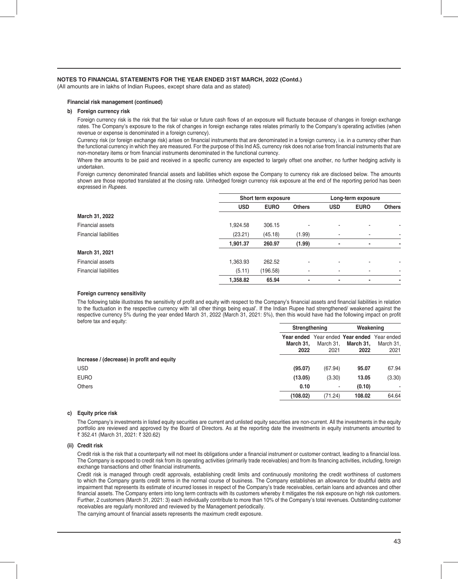(All amounts are in lakhs of Indian Rupees, except share data and as stated)

#### **Financial risk management (continued)**

#### **b) Foreign currency risk**

Foreign currency risk is the risk that the fair value or future cash flows of an exposure will fluctuate because of changes in foreign exchange rates. The Company's exposure to the risk of changes in foreign exchange rates relates primarily to the Company's operating activities (when revenue or expense is denominated in a foreign currency).

Currency risk (or foreign exchange risk) arises on financial instruments that are denominated in a foreign currency, i.e. in a currency other than the functional currency in which they are measured. For the purpose of this Ind AS, currency risk does not arise from financial instruments that are non-monetary items or from financial instruments denominated in the functional currency.

Where the amounts to be paid and received in a specific currency are expected to largely offset one another, no further hedging activity is undertaken.

Foreign currency denominated financial assets and liabilities which expose the Company to currency risk are disclosed below. The amounts shown are those reported translated at the closing rate. Unhedged foreign currency risk exposure at the end of the reporting period has been expressed in *Rupees.*

|                              |            | Short term exposure |                          | Long-term exposure       |             |               |
|------------------------------|------------|---------------------|--------------------------|--------------------------|-------------|---------------|
|                              | <b>USD</b> | <b>EURO</b>         | <b>Others</b>            | <b>USD</b>               | <b>EURO</b> | <b>Others</b> |
| March 31, 2022               |            |                     |                          |                          |             |               |
| Financial assets             | 1,924.58   | 306.15              | $\overline{\phantom{0}}$ | -                        |             |               |
| <b>Financial liabilities</b> | (23.21)    | (45.18)             | (1.99)                   | $\overline{\phantom{a}}$ | ۰           |               |
|                              | 1,901.37   | 260.97              | (1.99)                   | ۰                        | -           |               |
| March 31, 2021               |            |                     |                          |                          |             |               |
| Financial assets             | 1,363.93   | 262.52              | ٠                        | -                        |             |               |
| <b>Financial liabilities</b> | (5.11)     | (196.58)            | $\overline{\phantom{a}}$ | $\overline{\phantom{a}}$ | ۰           |               |
|                              | 1.358.82   | 65.94               | $\overline{\phantom{a}}$ | ٠                        | ٠           | ٠             |

## **Foreign currency sensitivity**

The following table illustrates the sensitivity of profit and equity with respect to the Company's financial assets and financial liabilities in relation to the fluctuation in the respective currency with 'all other things being equal'. If the Indian Rupee had strengthened/ weakened against the respective currency 5% during the year ended March 31, 2022 (March 31, 2021: 5%), then this would have had the following impact on profit before tax and equity:

|                                            |                   | Strengthening            |                                                       | Weakening                       |
|--------------------------------------------|-------------------|--------------------------|-------------------------------------------------------|---------------------------------|
|                                            | March 31.<br>2022 | March 31,<br>2021        | Year ended Year ended Year ended<br>March 31,<br>2022 | Year ended<br>March 31,<br>2021 |
| Increase / (decrease) in profit and equity |                   |                          |                                                       |                                 |
| <b>USD</b>                                 | (95.07)           | (67.94)                  | 95.07                                                 | 67.94                           |
| <b>EURO</b>                                | (13.05)           | (3.30)                   | 13.05                                                 | (3.30)                          |
| <b>Others</b>                              | 0.10              | $\overline{\phantom{a}}$ | (0.10)                                                | $\overline{\phantom{a}}$        |
|                                            | (108.02)          | (71.24)                  | 108.02                                                | 64.64                           |

## **c) Equity price risk**

The Company's investments in listed equity securities are current and unlisted equity securities are non-current. All the investments in the equity portfolio are reviewed and approved by the Board of Directors. As at the reporting date the investments in equity instruments amounted to ₹ 352.41 (March 31, 2021: ₹ 320.62)

#### **(ii) Credit risk**

Credit risk is the risk that a counterparty will not meet its obligations under a financial instrument or customer contract, leading to a financial loss. The Company is exposed to credit risk from its operating activities (primarily trade receivables) and from its financing activities, including, foreign exchange transactions and other financial instruments.

Credit risk is managed through credit approvals, establishing credit limits and continuously monitoring the credit worthiness of customers to which the Company grants credit terms in the normal course of business. The Company establishes an allowance for doubtful debts and impairment that represents its estimate of incurred losses in respect of the Company's trade receivables, certain loans and advances and other financial assets. The Company enters into long term contracts with its customers whereby it mitigates the risk exposure on high risk customers. Further, 2 customers (March 31, 2021: 3) each individually contribute to more than 10% of the Company's total revenues. Outstanding customer receivables are regularly monitored and reviewed by the Management periodically.

The carrying amount of financial assets represents the maximum credit exposure.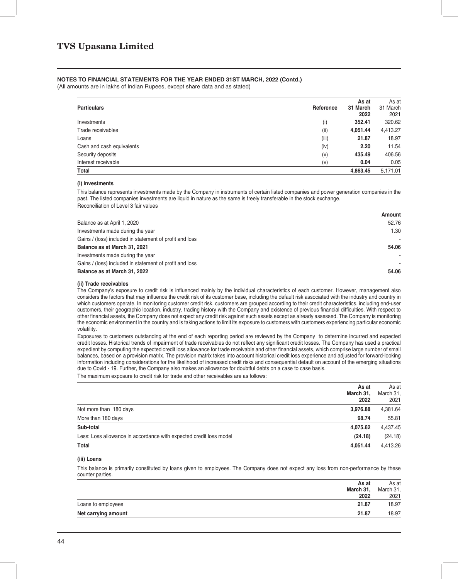(All amounts are in lakhs of Indian Rupees, except share data and as stated)

| <b>Particulars</b>        | Reference | As at<br>31 March<br>2022 | As at<br>31 March<br>2021 |
|---------------------------|-----------|---------------------------|---------------------------|
| Investments               | (i)       | 352.41                    | 320.62                    |
| Trade receivables         | (ii)      | 4,051.44                  | 4,413.27                  |
| Loans                     | (iii)     | 21.87                     | 18.97                     |
| Cash and cash equivalents | (iv)      | 2.20                      | 11.54                     |
| Security deposits         | (v)       | 435.49                    | 406.56                    |
| Interest receivable       | (v)       | 0.04                      | 0.05                      |
| Total                     |           | 4,863.45                  | 5,171.01                  |

## **(i) Investments**

This balance represents investments made by the Company in instruments of certain listed companies and power generation companies in the past. The listed companies investments are liquid in nature as the same is freely transferable in the stock exchange. Reconciliation of Level 3 fair values

|                                                         | Amount |
|---------------------------------------------------------|--------|
| Balance as at April 1, 2020                             | 52.76  |
| Investments made during the year                        | 1.30   |
| Gains / (loss) included in statement of profit and loss | ٠      |
| Balance as at March 31, 2021                            | 54.06  |
| Investments made during the year                        | ٠      |
| Gains / (loss) included in statement of profit and loss |        |
| Balance as at March 31, 2022                            | 54.06  |
|                                                         |        |

### **(ii) Trade receivables**

The Company's exposure to credit risk is influenced mainly by the individual characteristics of each customer. However, management also considers the factors that may influence the credit risk of its customer base, including the default risk associated with the industry and country in which customers operate. In monitoring customer credit risk, customers are grouped according to their credit characteristics, including end-user customers, their geographic location, industry, trading history with the Company and existence of previous financial difficulties. With respect to other financial assets, the Company does not expect any credit risk against such assets except as already assessed. The Company is monitoring the economic environment in the country and is taking actions to limit its exposure to customers with customers experiencing particular economic volatility.

Exposures to customers outstanding at the end of each reporting period are reviewed by the Company to determine incurred and expected credit losses. Historical trends of impairment of trade receivables do not reflect any significant credit losses. The Company has used a practical expedient by computing the expected credit loss allowance for trade receivable and other financial assets, which comprise large number of small balances, based on a provision matrix. The provision matrix takes into account historical credit loss experience and adjusted for forward-looking information including considerations for the likelihood of increased credit risks and consequential default on account of the emerging situations due to Covid - 19. Further, the Company also makes an allowance for doubtful debts on a case to case basis.

The maximum exposure to credit risk for trade and other receivables are as follows:

|                                                                    | As at<br>March 31,<br>2022 | As at<br>March 31,<br>2021 |
|--------------------------------------------------------------------|----------------------------|----------------------------|
| Not more than 180 days                                             | 3.976.88                   | 4.381.64                   |
| More than 180 days                                                 | 98.74                      | 55.81                      |
| Sub-total                                                          | 4.075.62                   | 4.437.45                   |
| Less: Loss allowance in accordance with expected credit loss model | (24.18)                    | (24.18)                    |
| Total                                                              | 4.051.44                   | 4.413.26                   |

#### **(iii) Loans**

This balance is primarily constituted by loans given to employees. The Company does not expect any loss from non-performance by these counter parties.

| Net carrying amount | 21.87     | 18.97     |
|---------------------|-----------|-----------|
| Loans to employees  | 21.87     | 18.97     |
|                     | 2022      | 2021      |
|                     | March 31, | March 31, |
|                     | As at     | As at     |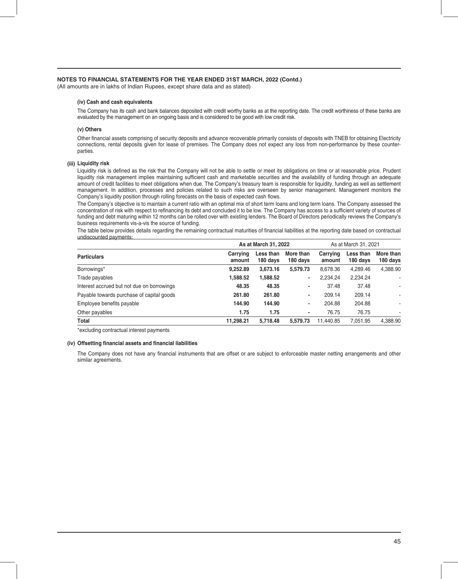(All amounts are in lakhs of Indian Rupees, except share data and as stated)

#### **(iv) Cash and cash equivalents**

The Company has its cash and bank balances deposited with credit worthy banks as at the reporting date. The credit worthiness of these banks are evaluated by the management on an ongoing basis and is considered to be good with low credit risk.

## **(v) Others**

Other financial assets comprising of security deposits and advance recoverable primarily consists of deposits with TNEB for obtaining Electricity connections, rental deposits given for lease of premises. The Company does not expect any loss from non-performance by these counterparties.

# **(iii) Liquidity risk**

Liquidity risk is defined as the risk that the Company will not be able to settle or meet its obligations on time or at reasonable price. Prudent liquidity risk management implies maintaining sufficient cash and marketable securities and the availability of funding through an adequate amount of credit facilities to meet obligations when due. The Company's treasury team is responsible for liquidity, funding as well as settlement management. In addition, processes and policies related to such risks are overseen by senior management. Management monitors the Company's liquidity position through rolling forecasts on the basis of expected cash flows.

The Company's objective is to maintain a current ratio with an optimal mix of short term loans and long term loans. The Company assessed the concentration of risk with respect to refinancing its debt and concluded it to be low. The Company has access to a sufficient variety of sources of funding and debt maturing within 12 months can be rolled over with existing lenders. The Board of Directors periodically reviews the Company's business requirements vis-a-vis the source of funding.

The table below provides details regarding the remaining contractual maturities of financial liabilities at the reporting date based on contractual undiscounted payments:

|                                            |                    | As at March 31, 2022  |                       |                    | As at March 31, 2021  |                       |
|--------------------------------------------|--------------------|-----------------------|-----------------------|--------------------|-----------------------|-----------------------|
| <b>Particulars</b>                         | Carrving<br>amount | Less than<br>180 days | More than<br>180 days | Carrving<br>amount | Less than<br>180 days | More than<br>180 days |
| Borrowings*                                | 9.252.89           | 3.673.16              | 5.579.73              | 8.678.36           | 4.289.46              | 4.388.90              |
| Trade payables                             | 1,588.52           | .588.52               |                       | 2.234.24           | 2,234.24              |                       |
| Interest accrued but not due on borrowings | 48.35              | 48.35                 | ٠                     | 37.48              | 37.48                 |                       |
| Payable towards purchase of capital goods  | 261.80             | 261.80                | $\blacksquare$        | 209.14             | 209.14                |                       |
| Employee benefits payable                  | 144.90             | 144.90                | $\blacksquare$        | 204.88             | 204.88                |                       |
| Other payables                             | 1.75               | 1.75                  | $\blacksquare$        | 76.75              | 76.75                 |                       |
| <b>Total</b>                               | 11.298.21          | 5.718.48              | 5.579.73              | 11.440.85          | 7.051.95              | 4.388.90              |

\*excluding contractual interest payments

#### (iv) Offsetting financial assets and financial liabilities

The Company does not have any financial instruments that are offset or are subject to enforceable master netting arrangements and other similar agreements.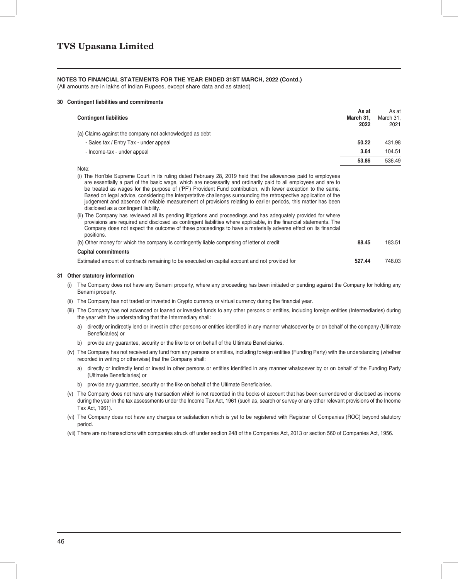(All amounts are in lakhs of Indian Rupees, except share data and as stated)

#### **30 Contingent liabilities and commitments**

| <b>Contingent liabilities</b>                           | As at<br>March 31,<br>2022 | As at<br>March 31,<br>2021 |
|---------------------------------------------------------|----------------------------|----------------------------|
| (a) Claims against the company not acknowledged as debt |                            |                            |
| - Sales tax / Entry Tax - under appeal                  | 50.22                      | 431.98                     |
| - Income-tax - under appeal                             | 3.64                       | 104.51                     |
|                                                         | 53.86                      | 536.49                     |

Note:

- (i) The Hon'ble Supreme Court in its ruling dated February 28, 2019 held that the allowances paid to employees are essentially a part of the basic wage, which are necessarily and ordinarily paid to all employees and are to be treated as wages for the purpose of ('PF') Provident Fund contribution, with fewer exception to the same. Based on legal advice, considering the interpretative challenges surrounding the retrospective application of the judgement and absence of reliable measurement of provisions relating to earlier periods, this matter has been disclosed as a contingent liability.
- (ii) The Company has reviewed all its pending litigations and proceedings and has adequately provided for where provisions are required and disclosed as contingent liabilities where applicable, in the financial statements. The Company does not expect the outcome of these proceedings to have a materially adverse effect on its financial positions.

| (b) Other money for which the company is contingently liable comprising of letter of credit    | 88.45  | 183.51 |
|------------------------------------------------------------------------------------------------|--------|--------|
| <b>Capital commitments</b>                                                                     |        |        |
| Estimated amount of contracts remaining to be executed on capital account and not provided for | 527.44 | 748.03 |

#### **31 Other statutory information**

- (i) The Company does not have any Benami property, where any proceeding has been initiated or pending against the Company for holding any Benami property.
- (ii) The Company has not traded or invested in Crypto currency or virtual currency during the financial year.
- (iii) The Company has not advanced or loaned or invested funds to any other persons or entities, including foreign entities (Intermediaries) during the year with the understanding that the Intermediary shall:
	- a) directly or indirectly lend or invest in other persons or entities identified in any manner whatsoever by or on behalf of the company (Ultimate Beneficiaries) or
	- b) provide any guarantee, security or the like to or on behalf of the Ultimate Beneficiaries.
- (iv) The Company has not received any fund from any persons or entities, including foreign entities (Funding Party) with the understanding (whether recorded in writing or otherwise) that the Company shall:
	- a) directly or indirectly lend or invest in other persons or entities identified in any manner whatsoever by or on behalf of the Funding Party (Ultimate Beneficiaries) or
	- b) provide any guarantee, security or the like on behalf of the Ultimate Beneficiaries.
- (v) The Company does not have any transaction which is not recorded in the books of account that has been surrendered or disclosed as income during the year in the tax assessments under the Income Tax Act, 1961 (such as, search or survey or any other relevant provisions of the Income Tax Act, 1961).
- (vi) The Company does not have any charges or satisfaction which is yet to be registered with Registrar of Companies (ROC) beyond statutory period.
- (vii) There are no transactions with companies struck off under section 248 of the Companies Act, 2013 or section 560 of Companies Act, 1956.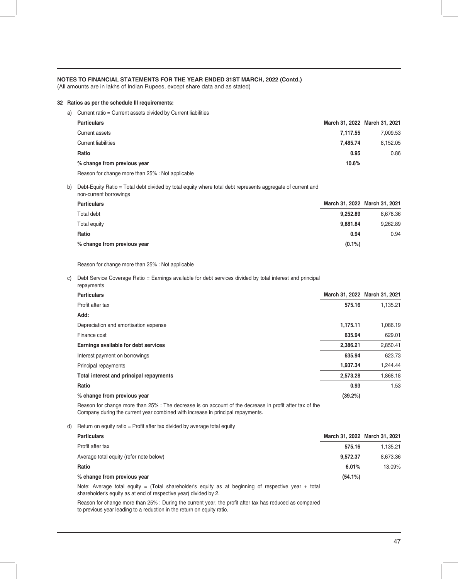(All amounts are in lakhs of Indian Rupees, except share data and as stated)

## **32 Ratios as per the schedule III requirements:**

a) Current ratio = Current assets divided by Current liabilities

| <b>Particulars</b>          | March 31, 2022 March 31, 2021 |          |
|-----------------------------|-------------------------------|----------|
| Current assets              | 7.117.55                      | 7,009.53 |
| <b>Current liabilities</b>  | 7.485.74                      | 8,152.05 |
| Ratio                       | 0.95                          | 0.86     |
| % change from previous year | 10.6%                         |          |

Reason for change more than 25% : Not applicable

#### b) Debt-Equity Ratio = Total debt divided by total equity where total debt represents aggregate of current and

| non-current borrowings      |                               |          |
|-----------------------------|-------------------------------|----------|
| <b>Particulars</b>          | March 31, 2022 March 31, 2021 |          |
| Total debt                  | 9,252.89                      | 8,678.36 |
| Total equity                | 9.881.84                      | 9,262.89 |
| Ratio                       | 0.94                          | 0.94     |
| % change from previous year | $(0.1\%)$                     |          |

Reason for change more than 25% : Not applicable

renayments

c) Debt Service Coverage Ratio = Earnings available for debt services divided by total interest and principal

| <b>Particulars</b>                                                                                      |          | March 31, 2022 March 31, 2021 |
|---------------------------------------------------------------------------------------------------------|----------|-------------------------------|
| Profit after tax                                                                                        | 575.16   | 1,135.21                      |
| Add:                                                                                                    |          |                               |
| Depreciation and amortisation expense                                                                   | 1,175.11 | 1,086.19                      |
| Finance cost                                                                                            | 635.94   | 629.01                        |
| Earnings available for debt services                                                                    | 2,386.21 | 2,850.41                      |
| Interest payment on borrowings                                                                          | 635.94   | 623.73                        |
| Principal repayments                                                                                    | 1.937.34 | 1.244.44                      |
| Total interest and principal repayments                                                                 | 2.573.28 | 1.868.18                      |
| Ratio                                                                                                   | 0.93     | 1.53                          |
| % change from previous year                                                                             | (39.2%)  |                               |
| Beason for change more than 25% : The decrease is on account of the decrease in profit after tax of the |          |                               |

Reason for change more than 25% : The decrease is on account of the decrease in profit after tax of the Company during the current year combined with increase in principal repayments.

d) Return on equity ratio  $=$  Profit after tax divided by average total equity

| <b>Particulars</b>                                                                                                          | March 31, 2022 March 31, 2021 |          |
|-----------------------------------------------------------------------------------------------------------------------------|-------------------------------|----------|
| Profit after tax                                                                                                            | 575.16                        | 1.135.21 |
| Average total equity (refer note below)                                                                                     | 9.572.37                      | 8,673.36 |
| Ratio                                                                                                                       | 6.01%                         | 13.09%   |
| % change from previous year                                                                                                 | $(54.1\%)$                    |          |
| $\mathbf{a}$ , and the set of $\mathbf{a}$ , and $\mathbf{a}$ , and $\mathbf{a}$ , and $\mathbf{a}$ , and $\mathbf{a}$<br>. |                               |          |

Note: Average total equity = (Total shareholder's equity as at beginning of respective year + total shareholder's equity as at end of respective year) divided by 2.

Reason for change more than 25% : During the current year, the profit after tax has reduced as compared to previous year leading to a reduction in the return on equity ratio.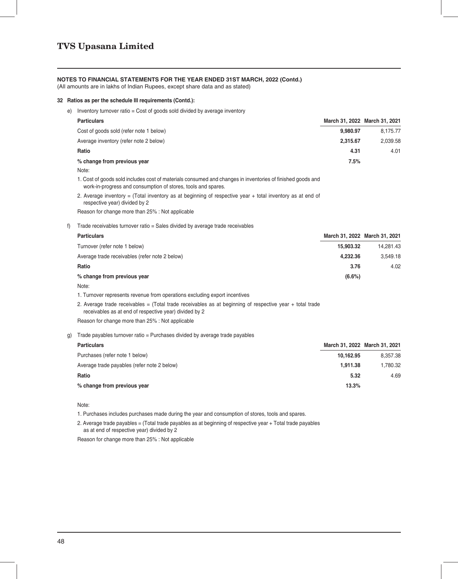(All amounts are in lakhs of Indian Rupees, except share data and as stated)

## **32 Ratios as per the schedule III requirements (Contd.):**

e) Inventory turnover ratio = Cost of goods sold divided by average inventory

| <b>Particulars</b>                      |          | March 31, 2022 March 31, 2021 |
|-----------------------------------------|----------|-------------------------------|
| Cost of goods sold (refer note 1 below) | 9.980.97 | 8,175.77                      |
| Average inventory (refer note 2 below)  | 2.315.67 | 2,039.58                      |
| Ratio                                   | 4.31     | 4.01                          |
| % change from previous year             | 7.5%     |                               |

Note:

Note:

1. Cost of goods sold includes cost of materials consumed and changes in inventories of finished goods and work-in-progress and consumption of stores, tools and spares.

2. Average inventory = (Total inventory as at beginning of respective year + total inventory as at end of respective year) divided by 2

Reason for change more than 25% : Not applicable

f) Trade receivables turnover ratio = Sales divided by average trade receivables

| <b>Particulars</b>                             |           | March 31, 2022 March 31, 2021 |
|------------------------------------------------|-----------|-------------------------------|
| Turnover (refer note 1 below)                  | 15.903.32 | 14.281.43                     |
| Average trade receivables (refer note 2 below) | 4.232.36  | 3.549.18                      |
| Ratio                                          | 3.76      | 4.02                          |
| % change from previous year                    | $(6.6\%)$ |                               |

1. Turnover represents revenue from operations excluding export incentives

2. Average trade receivables = (Total trade receivables as at beginning of respective year + total trade receivables as at end of respective year) divided by 2

Reason for change more than 25% : Not applicable

## g) Trade payables turnover ratio = Purchases divided by average trade payables

| <b>Particulars</b>                          | March 31, 2022 March 31, 2021 |          |
|---------------------------------------------|-------------------------------|----------|
| Purchases (refer note 1 below)              | 10.162.95                     | 8,357.38 |
| Average trade payables (refer note 2 below) | 1.911.38                      | .780.32  |
| Ratio                                       | 5.32                          | 4.69     |
| % change from previous year                 | 13.3%                         |          |

Note:

1. Purchases includes purchases made during the year and consumption of stores, tools and spares.

2. Average trade payables = (Total trade payables as at beginning of respective year + Total trade payables as at end of respective year) divided by 2

Reason for change more than 25% : Not applicable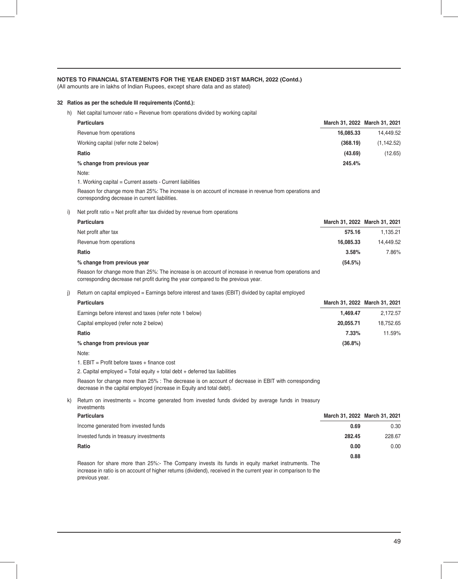(All amounts are in lakhs of Indian Rupees, except share data and as stated)

## **32 Ratios as per the schedule III requirements (Contd.):**

h) Net capital turnover ratio = Revenue from operations divided by working capital

| <b>Particulars</b>                   |           | March 31, 2022 March 31, 2021 |
|--------------------------------------|-----------|-------------------------------|
| Revenue from operations              | 16.085.33 | 14,449.52                     |
| Working capital (refer note 2 below) | (368.19)  | (1, 142.52)                   |
| Ratio                                | (43.69)   | (12.65)                       |
| % change from previous year          | 245.4%    |                               |

Note:

1. Working capital = Current assets - Current liabilities

Reason for change more than 25%: The increase is on account of increase in revenue from operations and corresponding decrease in current liabilities.

 $i)$  Net profit ratio = Net profit after tax divided by revenue from operations

| <b>Particulars</b>                                                                                     |           | March 31, 2022 March 31, 2021 |
|--------------------------------------------------------------------------------------------------------|-----------|-------------------------------|
| Net profit after tax                                                                                   | 575.16    | 1.135.21                      |
| Revenue from operations                                                                                | 16.085.33 | 14.449.52                     |
| Ratio                                                                                                  | 3.58%     | 7.86%                         |
| % change from previous year                                                                            | (54.5%)   |                               |
| Reason for change more than 25%: The increase is on account of increase in revenue from operations and |           |                               |

corresponding decrease net profit during the year compared to the previous year.

j) Return on capital employed = Earnings before interest and taxes (EBIT) divided by capital employed

| <b>Particulars</b>                                      |           | March 31, 2022 March 31, 2021 |
|---------------------------------------------------------|-----------|-------------------------------|
| Earnings before interest and taxes (refer note 1 below) | 1.469.47  | 2.172.57                      |
| Capital employed (refer note 2 below)                   | 20.055.71 | 18.752.65                     |
| Ratio                                                   | 7.33%     | 11.59%                        |
| % change from previous year                             | (36.8%)   |                               |

Note:

1.  $EBIT = Profit before taxes + finance cost$ 

2. Capital employed = Total equity + total debt + deferred tax liabilities

Reason for change more than 25% : The decrease is on account of decrease in EBIT with corresponding decrease in the capital employed (increase in Equity and total debt).

k) Return on investments = Income generated from invested funds divided by average funds in treasury investments

| <b>Particulars</b>                     | March 31, 2022 March 31, 2021 |        |
|----------------------------------------|-------------------------------|--------|
| Income generated from invested funds   | 0.69                          | 0.30   |
| Invested funds in treasury investments | 282.45                        | 228.67 |
| Ratio                                  | 0.00                          | 0.00   |
|                                        | 0.88                          |        |

Reason for share more than 25%:- The Company invests its funds in equity market instruments. The increase in ratio is on account of higher returns (dividend), received in the current year in comparison to the previous year.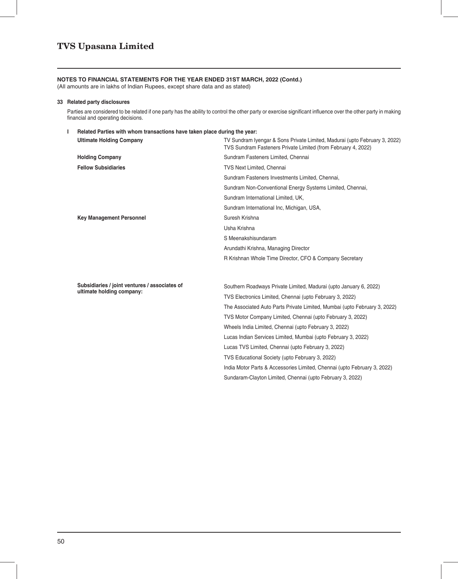## **NOTES TO FINANCIAL STATEMENTS FOR THE YEAR ENDED 31ST MARCH, 2022 (Contd.)**

(All amounts are in lakhs of Indian Rupees, except share data and as stated)

#### **33 Related party disclosures**

Parties are considered to be related if one party has the ability to control the other party or exercise significant influence over the other party in making financial and operating decisions.

# **I Related Parties with whom transactions have taken place during the year: Ultimate Holding Company** TV Sundram Iyengar & Sons Private Limited, Madurai (upto February 3, 2022) TVS Sundram Fasteners Private Limited (from February 4, 2022) **Holding Company** Sundram Fasteners Limited, Chennai **Fellow Subsidiaries** TVS Next Limited, Chennai Sundram Fasteners Investments Limited, Chennai, Sundram Non-Conventional Energy Systems Limited, Chennai, Sundram International Limited, UK, Sundram International Inc, Michigan, USA, Key Management Personnel **Key Management Personnel** Usha Krishna S Meenakshisundaram Arundathi Krishna, Managing Director R Krishnan Whole Time Director, CFO & Company Secretary **Subsidiaries / joint ventures / associates of**  Southern Roadways Private Limited, Madurai (upto January 6, 2022) TVS Electronics Limited, Chennai (upto February 3, 2022) The Associated Auto Parts Private Limited, Mumbai (upto February 3, 2022) TVS Motor Company Limited, Chennai (upto February 3, 2022) Wheels India Limited, Chennai (upto February 3, 2022) Lucas Indian Services Limited, Mumbai (upto February 3, 2022)

Lucas TVS Limited, Chennai (upto February 3, 2022) TVS Educational Society (upto February 3, 2022)

Sundaram-Clayton Limited, Chennai (upto February 3, 2022)

India Motor Parts & Accessories Limited, Chennai (upto February 3, 2022)

50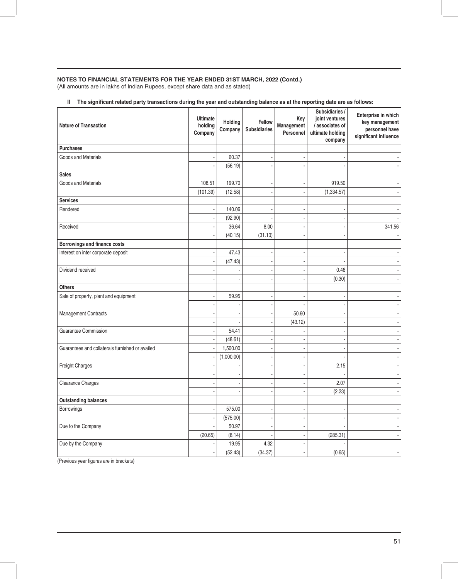(All amounts are in lakhs of Indian Rupees, except share data and as stated)

| <b>Nature of Transaction</b>                    | <b>Ultimate</b><br>holding<br>Company | Holding<br>Company | <b>Fellow</b><br><b>Subsidiaries</b> | Key<br>Management<br>Personnel | Subsidiaries /<br>joint ventures<br>/associates of<br>ultimate holding<br>company | Enterprise in which<br>key management<br>personnel have<br>significant influence |
|-------------------------------------------------|---------------------------------------|--------------------|--------------------------------------|--------------------------------|-----------------------------------------------------------------------------------|----------------------------------------------------------------------------------|
| <b>Purchases</b>                                |                                       |                    |                                      |                                |                                                                                   |                                                                                  |
| Goods and Materials                             |                                       | 60.37              |                                      |                                | Ĭ.                                                                                |                                                                                  |
|                                                 |                                       | (56.19)            |                                      |                                |                                                                                   |                                                                                  |
| <b>Sales</b>                                    |                                       |                    |                                      |                                |                                                                                   |                                                                                  |
| Goods and Materials                             | 108.51                                | 199.70             | ÷.                                   |                                | 919.50                                                                            |                                                                                  |
|                                                 | (101.39)                              | (12.58)            | ×,                                   |                                | (1, 334.57)                                                                       |                                                                                  |
| <b>Services</b>                                 |                                       |                    |                                      |                                |                                                                                   |                                                                                  |
| Rendered                                        |                                       | 140.06             |                                      |                                |                                                                                   |                                                                                  |
|                                                 |                                       | (92.90)            |                                      |                                | L,                                                                                |                                                                                  |
| Received                                        |                                       | 36.64              | 8.00                                 |                                | Ĭ.                                                                                | 341.56                                                                           |
|                                                 |                                       | (40.15)            | (31.10)                              |                                |                                                                                   |                                                                                  |
| Borrowings and finance costs                    |                                       |                    |                                      |                                |                                                                                   |                                                                                  |
| Interest on inter corporate deposit             |                                       | 47.43              | $\overline{\phantom{a}}$             |                                | Ĭ.                                                                                |                                                                                  |
|                                                 |                                       | (47.43)            |                                      |                                | ä,                                                                                |                                                                                  |
| Dividend received                               |                                       |                    |                                      |                                | 0.46                                                                              |                                                                                  |
|                                                 |                                       |                    |                                      |                                | (0.30)                                                                            |                                                                                  |
| <b>Others</b>                                   |                                       |                    |                                      |                                |                                                                                   |                                                                                  |
| Sale of property, plant and equipment           |                                       | 59.95              | Ĭ.                                   |                                |                                                                                   |                                                                                  |
|                                                 |                                       |                    |                                      |                                | ä,                                                                                |                                                                                  |
| Management Contracts                            |                                       |                    | ×,                                   | 50.60                          | ÷,                                                                                |                                                                                  |
|                                                 |                                       |                    | ×,                                   | (43.12)                        | ÷,                                                                                |                                                                                  |
| Guarantee Commission                            |                                       | 54.41              |                                      |                                | Ĭ.                                                                                |                                                                                  |
|                                                 |                                       | (48.61)            |                                      |                                | ÷,                                                                                |                                                                                  |
| Guarantees and collaterals furnished or availed |                                       | 1,500.00           |                                      |                                |                                                                                   |                                                                                  |
|                                                 |                                       | (1,000.00)         |                                      |                                |                                                                                   |                                                                                  |
| Freight Charges                                 |                                       |                    | ÷.                                   |                                | 2.15                                                                              |                                                                                  |
|                                                 |                                       |                    | ×,                                   |                                |                                                                                   |                                                                                  |
| Clearance Charges                               |                                       |                    |                                      |                                | 2.07                                                                              |                                                                                  |
|                                                 |                                       |                    |                                      |                                | (2.23)                                                                            |                                                                                  |
| <b>Outstanding balances</b>                     |                                       |                    |                                      |                                |                                                                                   |                                                                                  |
| <b>Borrowings</b>                               |                                       | 575.00             |                                      |                                |                                                                                   |                                                                                  |
|                                                 |                                       | (575.00)           | J.                                   |                                | Ĭ.                                                                                |                                                                                  |
| Due to the Company                              |                                       | 50.97              |                                      |                                |                                                                                   |                                                                                  |
|                                                 | (20.65)                               | (8.14)             |                                      |                                | (285.31)                                                                          |                                                                                  |
| Due by the Company                              |                                       | 19.95              | 4.32                                 |                                |                                                                                   |                                                                                  |
|                                                 |                                       | (52.43)            | (34.37)                              | Ĭ.                             | (0.65)                                                                            |                                                                                  |

# II The significant related party transactions during the year and outstanding balance as at the reporting date are as follows:

(Previous year figures are in brackets)